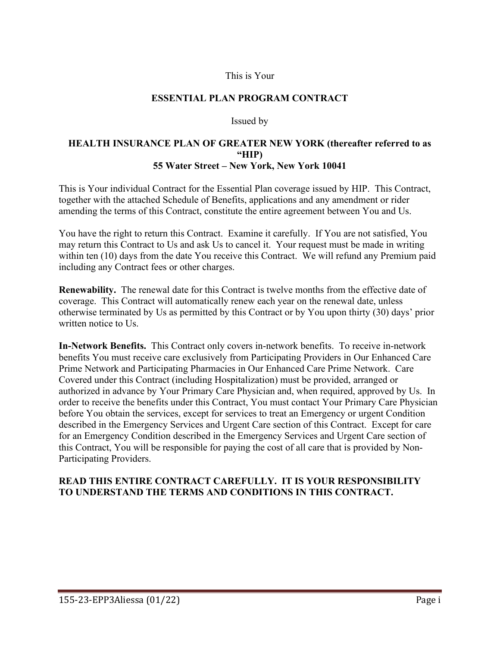#### This is Your

#### **ESSENTIAL PLAN PROGRAM CONTRACT**

#### Issued by

#### **HEALTH INSURANCE PLAN OF GREATER NEW YORK (thereafter referred to as "HIP) 55 Water Street – New York, New York 10041**

This is Your individual Contract for the Essential Plan coverage issued by HIP. This Contract, together with the attached Schedule of Benefits, applications and any amendment or rider amending the terms of this Contract, constitute the entire agreement between You and Us.

You have the right to return this Contract. Examine it carefully. If You are not satisfied, You may return this Contract to Us and ask Us to cancel it. Your request must be made in writing within ten (10) days from the date You receive this Contract. We will refund any Premium paid including any Contract fees or other charges.

**Renewability.** The renewal date for this Contract is twelve months from the effective date of coverage. This Contract will automatically renew each year on the renewal date, unless otherwise terminated by Us as permitted by this Contract or by You upon thirty (30) days' prior written notice to Us.

**In-Network Benefits.** This Contract only covers in-network benefits. To receive in-network benefits You must receive care exclusively from Participating Providers in Our Enhanced Care Prime Network and Participating Pharmacies in Our Enhanced Care Prime Network. Care Covered under this Contract (including Hospitalization) must be provided, arranged or authorized in advance by Your Primary Care Physician and, when required, approved by Us. In order to receive the benefits under this Contract, You must contact Your Primary Care Physician before You obtain the services, except for services to treat an Emergency or urgent Condition described in the Emergency Services and Urgent Care section of this Contract. Except for care for an Emergency Condition described in the Emergency Services and Urgent Care section of this Contract, You will be responsible for paying the cost of all care that is provided by Non-Participating Providers.

### **READ THIS ENTIRE CONTRACT CAREFULLY. IT IS YOUR RESPONSIBILITY TO UNDERSTAND THE TERMS AND CONDITIONS IN THIS CONTRACT.**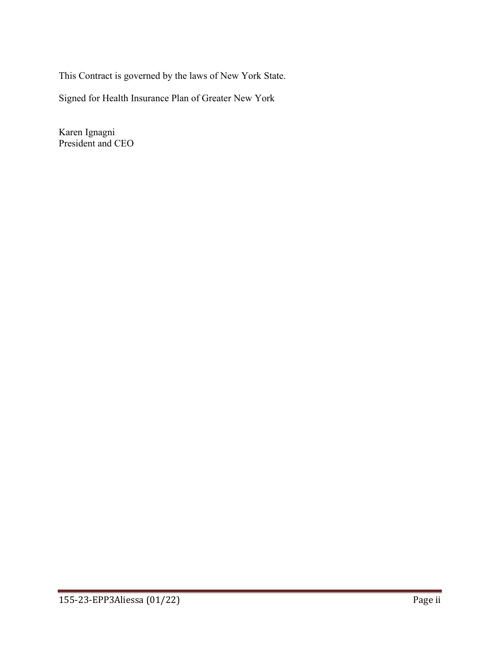This Contract is governed by the laws of New York State.

Signed for Health Insurance Plan of Greater New York

Karen Ignagni President and CEO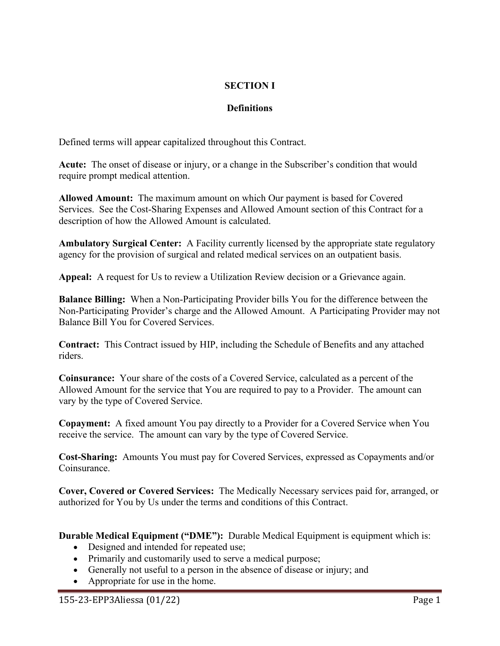# **SECTION I**

# **Definitions**

Defined terms will appear capitalized throughout this Contract.

**Acute:** The onset of disease or injury, or a change in the Subscriber's condition that would require prompt medical attention.

**Allowed Amount:** The maximum amount on which Our payment is based for Covered Services. See the Cost-Sharing Expenses and Allowed Amount section of this Contract for a description of how the Allowed Amount is calculated.

**Ambulatory Surgical Center:** A Facility currently licensed by the appropriate state regulatory agency for the provision of surgical and related medical services on an outpatient basis.

**Appeal:** A request for Us to review a Utilization Review decision or a Grievance again.

**Balance Billing:** When a Non-Participating Provider bills You for the difference between the Non-Participating Provider's charge and the Allowed Amount. A Participating Provider may not Balance Bill You for Covered Services.

**Contract:** This Contract issued by HIP, including the Schedule of Benefits and any attached riders.

**Coinsurance:** Your share of the costs of a Covered Service, calculated as a percent of the Allowed Amount for the service that You are required to pay to a Provider. The amount can vary by the type of Covered Service.

**Copayment:** A fixed amount You pay directly to a Provider for a Covered Service when You receive the service. The amount can vary by the type of Covered Service.

**Cost-Sharing:** Amounts You must pay for Covered Services, expressed as Copayments and/or Coinsurance.

**Cover, Covered or Covered Services:** The Medically Necessary services paid for, arranged, or authorized for You by Us under the terms and conditions of this Contract.

**Durable Medical Equipment ("DME"):** Durable Medical Equipment is equipment which is:

- Designed and intended for repeated use;
- Primarily and customarily used to serve a medical purpose;
- Generally not useful to a person in the absence of disease or injury; and
- Appropriate for use in the home.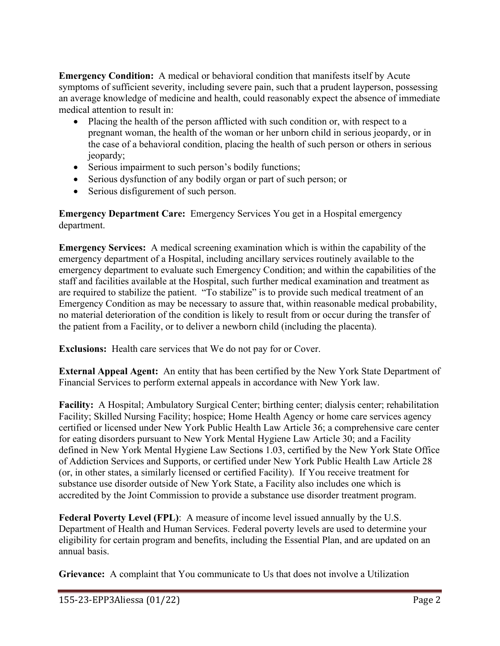**Emergency Condition:** A medical or behavioral condition that manifests itself by Acute symptoms of sufficient severity, including severe pain, such that a prudent layperson, possessing an average knowledge of medicine and health, could reasonably expect the absence of immediate medical attention to result in:

- Placing the health of the person afflicted with such condition or, with respect to a pregnant woman, the health of the woman or her unborn child in serious jeopardy, or in the case of a behavioral condition, placing the health of such person or others in serious jeopardy;
- Serious impairment to such person's bodily functions;
- Serious dysfunction of any bodily organ or part of such person; or
- Serious disfigurement of such person.

**Emergency Department Care:** Emergency Services You get in a Hospital emergency department.

**Emergency Services:** A medical screening examination which is within the capability of the emergency department of a Hospital, including ancillary services routinely available to the emergency department to evaluate such Emergency Condition; and within the capabilities of the staff and facilities available at the Hospital, such further medical examination and treatment as are required to stabilize the patient. "To stabilize" is to provide such medical treatment of an Emergency Condition as may be necessary to assure that, within reasonable medical probability, no material deterioration of the condition is likely to result from or occur during the transfer of the patient from a Facility, or to deliver a newborn child (including the placenta).

**Exclusions:** Health care services that We do not pay for or Cover.

**External Appeal Agent:** An entity that has been certified by the New York State Department of Financial Services to perform external appeals in accordance with New York law.

**Facility:** A Hospital; Ambulatory Surgical Center; birthing center; dialysis center; rehabilitation Facility; Skilled Nursing Facility; hospice; Home Health Agency or home care services agency certified or licensed under New York Public Health Law Article 36; a comprehensive care center for eating disorders pursuant to New York Mental Hygiene Law Article 30; and a Facility defined in New York Mental Hygiene Law Sections 1.03, certified by the New York State Office of Addiction Services and Supports, or certified under New York Public Health Law Article 28 (or, in other states, a similarly licensed or certified Facility). If You receive treatment for substance use disorder outside of New York State, a Facility also includes one which is accredited by the Joint Commission to provide a substance use disorder treatment program.

**Federal Poverty Level (FPL)**: A measure of income level issued annually by the U.S. Department of Health and Human Services. Federal poverty levels are used to determine your eligibility for certain program and benefits, including the Essential Plan, and are updated on an annual basis.

**Grievance:** A complaint that You communicate to Us that does not involve a Utilization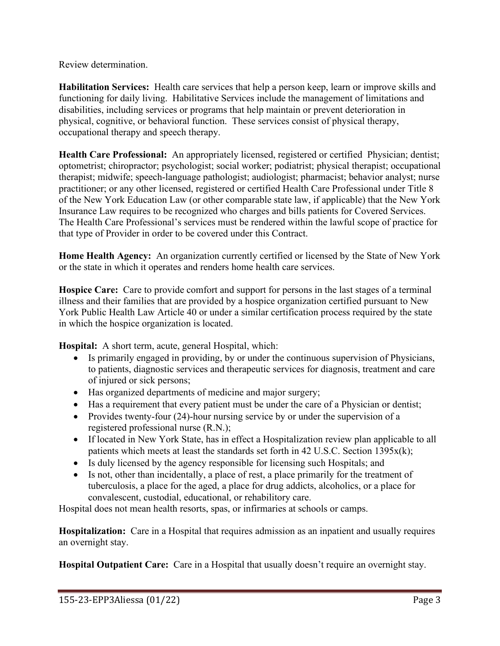Review determination.

**Habilitation Services:** Health care services that help a person keep, learn or improve skills and functioning for daily living. Habilitative Services include the management of limitations and disabilities, including services or programs that help maintain or prevent deterioration in physical, cognitive, or behavioral function. These services consist of physical therapy, occupational therapy and speech therapy.

**Health Care Professional:** An appropriately licensed, registered or certified Physician; dentist; optometrist; chiropractor; psychologist; social worker; podiatrist; physical therapist; occupational therapist; midwife; speech-language pathologist; audiologist; pharmacist; behavior analyst; nurse practitioner; or any other licensed, registered or certified Health Care Professional under Title 8 of the New York Education Law (or other comparable state law, if applicable) that the New York Insurance Law requires to be recognized who charges and bills patients for Covered Services. The Health Care Professional's services must be rendered within the lawful scope of practice for that type of Provider in order to be covered under this Contract.

**Home Health Agency:** An organization currently certified or licensed by the State of New York or the state in which it operates and renders home health care services.

**Hospice Care:** Care to provide comfort and support for persons in the last stages of a terminal illness and their families that are provided by a hospice organization certified pursuant to New York Public Health Law Article 40 or under a similar certification process required by the state in which the hospice organization is located.

**Hospital:** A short term, acute, general Hospital, which:

- Is primarily engaged in providing, by or under the continuous supervision of Physicians, to patients, diagnostic services and therapeutic services for diagnosis, treatment and care of injured or sick persons;
- Has organized departments of medicine and major surgery;
- Has a requirement that every patient must be under the care of a Physician or dentist;
- Provides twenty-four (24)-hour nursing service by or under the supervision of a registered professional nurse (R.N.);
- If located in New York State, has in effect a Hospitalization review plan applicable to all patients which meets at least the standards set forth in 42 U.S.C. Section 1395x(k);
- Is duly licensed by the agency responsible for licensing such Hospitals; and
- Is not, other than incidentally, a place of rest, a place primarily for the treatment of tuberculosis, a place for the aged, a place for drug addicts, alcoholics, or a place for convalescent, custodial, educational, or rehabilitory care.

Hospital does not mean health resorts, spas, or infirmaries at schools or camps.

**Hospitalization:** Care in a Hospital that requires admission as an inpatient and usually requires an overnight stay.

**Hospital Outpatient Care:** Care in a Hospital that usually doesn't require an overnight stay.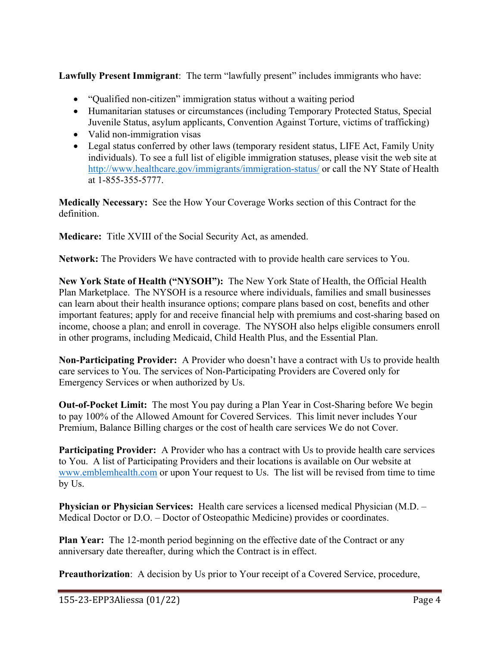**Lawfully Present Immigrant**: The term "lawfully present" includes immigrants who have:

- "Qualified non-citizen" immigration status without a waiting period
- Humanitarian statuses or circumstances (including Temporary Protected Status, Special Juvenile Status, asylum applicants, Convention Against Torture, victims of trafficking)
- Valid non-immigration visas
- Legal status conferred by other laws (temporary resident status, LIFE Act, Family Unity individuals). To see a full list of eligible immigration statuses, please visit the web site at http:/[/www.healthcare.gov/immigrants/immigration-status/](http://www.healthcare.gov/immigrants/immigration-status/) or call the NY State of Health at 1-855-355-5777.

**Medically Necessary:** See the How Your Coverage Works section of this Contract for the definition.

**Medicare:** Title XVIII of the Social Security Act, as amended.

**Network:** The Providers We have contracted with to provide health care services to You.

**New York State of Health ("NYSOH"):** The New York State of Health, the Official Health Plan Marketplace. The NYSOH is a resource where individuals, families and small businesses can learn about their health insurance options; compare plans based on cost, benefits and other important features; apply for and receive financial help with premiums and cost-sharing based on income, choose a plan; and enroll in coverage. The NYSOH also helps eligible consumers enroll in other programs, including Medicaid, Child Health Plus, and the Essential Plan.

**Non-Participating Provider:** A Provider who doesn't have a contract with Us to provide health care services to You. The services of Non-Participating Providers are Covered only for Emergency Services or when authorized by Us.

**Out-of-Pocket Limit:** The most You pay during a Plan Year in Cost-Sharing before We begin to pay 100% of the Allowed Amount for Covered Services. This limit never includes Your Premium, Balance Billing charges or the cost of health care services We do not Cover.

**Participating Provider:** A Provider who has a contract with Us to provide health care services to You. A list of Participating Providers and their locations is available on Our website at [www.emblemhealth.com](http://www.emblemhealth.com/) or upon Your request to Us. The list will be revised from time to time by Us.

**Physician or Physician Services:** Health care services a licensed medical Physician (M.D. – Medical Doctor or D.O. – Doctor of Osteopathic Medicine) provides or coordinates.

**Plan Year:** The 12-month period beginning on the effective date of the Contract or any anniversary date thereafter, during which the Contract is in effect.

**Preauthorization**: A decision by Us prior to Your receipt of a Covered Service, procedure,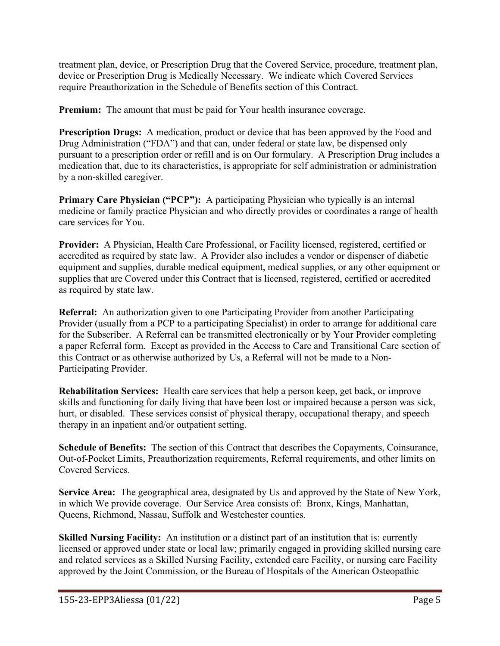treatment plan, device, or Prescription Drug that the Covered Service, procedure, treatment plan, device or Prescription Drug is Medically Necessary.We indicate which Covered Services require Preauthorization in the Schedule of Benefits section of this Contract.

**Premium:** The amount that must be paid for Your health insurance coverage.

**Prescription Drugs:** A medication, product or device that has been approved by the Food and Drug Administration ("FDA") and that can, under federal or state law, be dispensed only pursuant to a prescription order or refill and is on Our formulary. A Prescription Drug includes a medication that, due to its characteristics, is appropriate for self administration or administration by a non-skilled caregiver.

**Primary Care Physician ("PCP"):** A participating Physician who typically is an internal medicine or family practice Physician and who directly provides or coordinates a range of health care services for You.

**Provider:** A Physician, Health Care Professional, or Facility licensed, registered, certified or accredited as required by state law. A Provider also includes a vendor or dispenser of diabetic equipment and supplies, durable medical equipment, medical supplies, or any other equipment or supplies that are Covered under this Contract that is licensed, registered, certified or accredited as required by state law.

**Referral:** An authorization given to one Participating Provider from another Participating Provider (usually from a PCP to a participating Specialist) in order to arrange for additional care for the Subscriber. A Referral can be transmitted electronically or by Your Provider completing a paper Referral form. Except as provided in the Access to Care and Transitional Care section of this Contract or as otherwise authorized by Us, a Referral will not be made to a Non-Participating Provider.

**Rehabilitation Services:** Health care services that help a person keep, get back, or improve skills and functioning for daily living that have been lost or impaired because a person was sick, hurt, or disabled. These services consist of physical therapy, occupational therapy, and speech therapy in an inpatient and/or outpatient setting.

**Schedule of Benefits:** The section of this Contract that describes the Copayments, Coinsurance, Out-of-Pocket Limits, Preauthorization requirements, Referral requirements, and other limits on Covered Services.

**Service Area:** The geographical area, designated by Us and approved by the State of New York, in which We provide coverage. Our Service Area consists of: Bronx, Kings, Manhattan, Queens, Richmond, Nassau, Suffolk and Westchester counties.

**Skilled Nursing Facility:** An institution or a distinct part of an institution that is: currently licensed or approved under state or local law; primarily engaged in providing skilled nursing care and related services as a Skilled Nursing Facility, extended care Facility, or nursing care Facility approved by the Joint Commission, or the Bureau of Hospitals of the American Osteopathic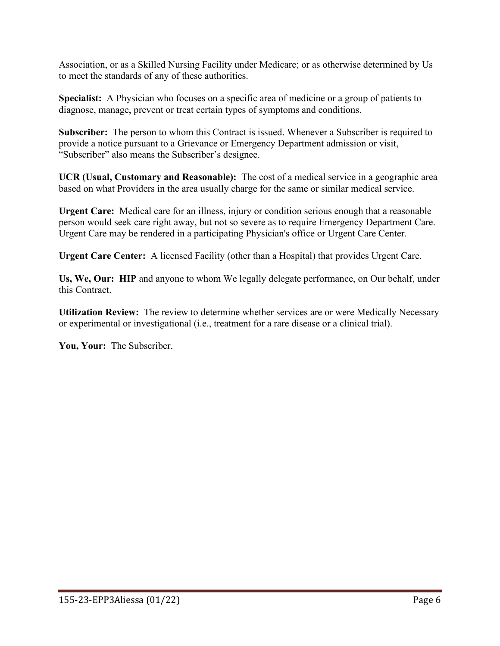Association, or as a Skilled Nursing Facility under Medicare; or as otherwise determined by Us to meet the standards of any of these authorities.

**Specialist:** A Physician who focuses on a specific area of medicine or a group of patients to diagnose, manage, prevent or treat certain types of symptoms and conditions.

**Subscriber:** The person to whom this Contract is issued. Whenever a Subscriber is required to provide a notice pursuant to a Grievance or Emergency Department admission or visit, "Subscriber" also means the Subscriber's designee.

**UCR (Usual, Customary and Reasonable):** The cost of a medical service in a geographic area based on what Providers in the area usually charge for the same or similar medical service.

**Urgent Care:** Medical care for an illness, injury or condition serious enough that a reasonable person would seek care right away, but not so severe as to require Emergency Department Care. Urgent Care may be rendered in a participating Physician's office or Urgent Care Center.

**Urgent Care Center:** A licensed Facility (other than a Hospital) that provides Urgent Care.

**Us, We, Our: HIP** and anyone to whom We legally delegate performance, on Our behalf, under this Contract.

**Utilization Review:** The review to determine whether services are or were Medically Necessary or experimental or investigational (i.e., treatment for a rare disease or a clinical trial).

**You, Your:** The Subscriber.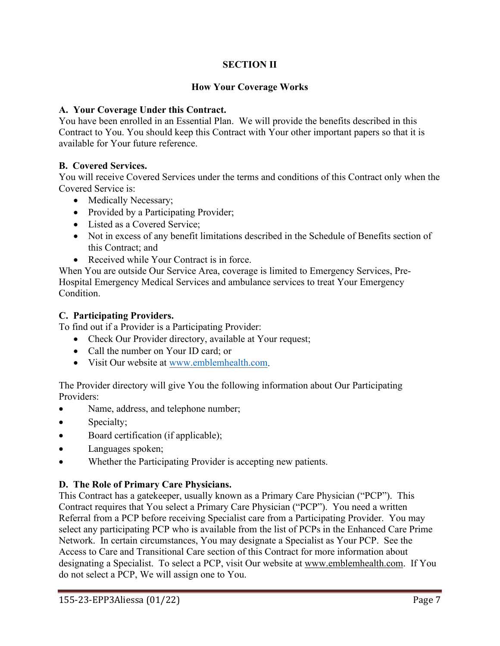# **SECTION II**

## **How Your Coverage Works**

### **A. Your Coverage Under this Contract.**

You have been enrolled in an Essential Plan. We will provide the benefits described in this Contract to You. You should keep this Contract with Your other important papers so that it is available for Your future reference.

## **B. Covered Services.**

You will receive Covered Services under the terms and conditions of this Contract only when the Covered Service is:

- Medically Necessary;
- Provided by a Participating Provider;
- Listed as a Covered Service;
- Not in excess of any benefit limitations described in the Schedule of Benefits section of this Contract; and
- Received while Your Contract is in force.

When You are outside Our Service Area, coverage is limited to Emergency Services, Pre-Hospital Emergency Medical Services and ambulance services to treat Your Emergency Condition.

### **C. Participating Providers.**

To find out if a Provider is a Participating Provider:

- Check Our Provider directory, available at Your request;
- Call the number on Your ID card; or
- Visit Our website at [www.emblemhealth.com.](http://www.emblemhealth.com/)

The Provider directory will give You the following information about Our Participating Providers:

- Name, address, and telephone number;
- Specialty;
- Board certification (if applicable);
- Languages spoken;
- Whether the Participating Provider is accepting new patients.

### **D. The Role of Primary Care Physicians.**

This Contract has a gatekeeper, usually known as a Primary Care Physician ("PCP"). This Contract requires that You select a Primary Care Physician ("PCP"). You need a written Referral from a PCP before receiving Specialist care from a Participating Provider. You may select any participating PCP who is available from the list of PCPs in the Enhanced Care Prime Network. In certain circumstances, You may designate a Specialist as Your PCP. See the Access to Care and Transitional Care section of this Contract for more information about designating a Specialist. To select a PCP, visit Our website at [www.emblemhealth.com.](http://www.emblemhealth.com/) If You do not select a PCP, We will assign one to You.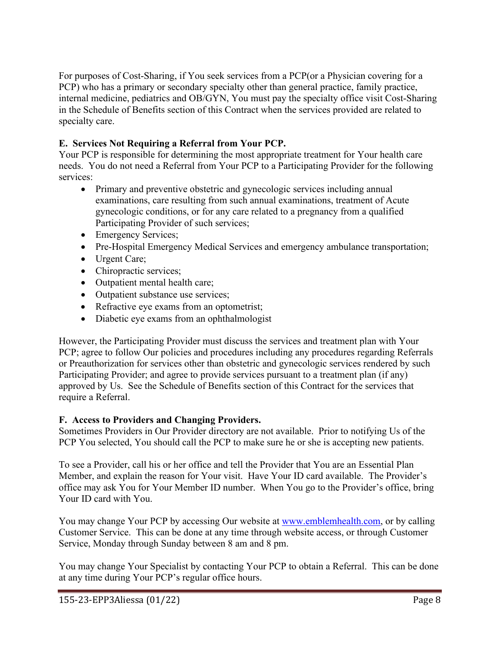For purposes of Cost-Sharing, if You seek services from a PCP(or a Physician covering for a PCP) who has a primary or secondary specialty other than general practice, family practice, internal medicine, pediatrics and OB/GYN, You must pay the specialty office visit Cost-Sharing in the Schedule of Benefits section of this Contract when the services provided are related to specialty care.

# **E. Services Not Requiring a Referral from Your PCP.**

Your PCP is responsible for determining the most appropriate treatment for Your health care needs. You do not need a Referral from Your PCP to a Participating Provider for the following services:

- Primary and preventive obstetric and gynecologic services including annual examinations, care resulting from such annual examinations, treatment of Acute gynecologic conditions, or for any care related to a pregnancy from a qualified Participating Provider of such services;
- Emergency Services;
- Pre-Hospital Emergency Medical Services and emergency ambulance transportation;
- Urgent Care;
- Chiropractic services;
- Outpatient mental health care;
- Outpatient substance use services;
- Refractive eye exams from an optometrist;
- Diabetic eye exams from an ophthalmologist

However, the Participating Provider must discuss the services and treatment plan with Your PCP; agree to follow Our policies and procedures including any procedures regarding Referrals or Preauthorization for services other than obstetric and gynecologic services rendered by such Participating Provider; and agree to provide services pursuant to a treatment plan (if any) approved by Us. See the Schedule of Benefits section of this Contract for the services that require a Referral.

## **F. Access to Providers and Changing Providers.**

Sometimes Providers in Our Provider directory are not available. Prior to notifying Us of the PCP You selected, You should call the PCP to make sure he or she is accepting new patients.

To see a Provider, call his or her office and tell the Provider that You are an Essential Plan Member, and explain the reason for Your visit. Have Your ID card available. The Provider's office may ask You for Your Member ID number. When You go to the Provider's office, bring Your ID card with You.

You may change Your PCP by accessing Our website at [www.emblemhealth.com,](http://www.emblemhealth.com/) or by calling Customer Service. This can be done at any time through website access, or through Customer Service, Monday through Sunday between 8 am and 8 pm.

You may change Your Specialist by contacting Your PCP to obtain a Referral. This can be done at any time during Your PCP's regular office hours.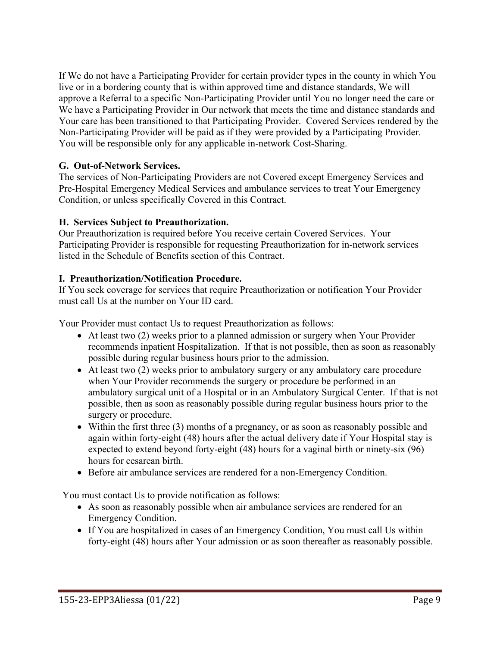If We do not have a Participating Provider for certain provider types in the county in which You live or in a bordering county that is within approved time and distance standards, We will approve a Referral to a specific Non-Participating Provider until You no longer need the care or We have a Participating Provider in Our network that meets the time and distance standards and Your care has been transitioned to that Participating Provider. Covered Services rendered by the Non-Participating Provider will be paid as if they were provided by a Participating Provider. You will be responsible only for any applicable in-network Cost-Sharing.

## **G. Out-of-Network Services.**

The services of Non-Participating Providers are not Covered except Emergency Services and Pre-Hospital Emergency Medical Services and ambulance services to treat Your Emergency Condition, or unless specifically Covered in this Contract.

## **H. Services Subject to Preauthorization.**

Our Preauthorization is required before You receive certain Covered Services. Your Participating Provider is responsible for requesting Preauthorization for in-network services listed in the Schedule of Benefits section of this Contract.

## **I. Preauthorization/Notification Procedure.**

If You seek coverage for services that require Preauthorization or notification Your Provider must call Us at the number on Your ID card.

Your Provider must contact Us to request Preauthorization as follows:

- At least two (2) weeks prior to a planned admission or surgery when Your Provider recommends inpatient Hospitalization. If that is not possible, then as soon as reasonably possible during regular business hours prior to the admission.
- At least two (2) weeks prior to ambulatory surgery or any ambulatory care procedure when Your Provider recommends the surgery or procedure be performed in an ambulatory surgical unit of a Hospital or in an Ambulatory Surgical Center. If that is not possible, then as soon as reasonably possible during regular business hours prior to the surgery or procedure.
- Within the first three (3) months of a pregnancy, or as soon as reasonably possible and again within forty-eight (48) hours after the actual delivery date if Your Hospital stay is expected to extend beyond forty-eight (48) hours for a vaginal birth or ninety-six (96) hours for cesarean birth.
- Before air ambulance services are rendered for a non-Emergency Condition.

You must contact Us to provide notification as follows:

- As soon as reasonably possible when air ambulance services are rendered for an Emergency Condition.
- If You are hospitalized in cases of an Emergency Condition, You must call Us within forty-eight (48) hours after Your admission or as soon thereafter as reasonably possible.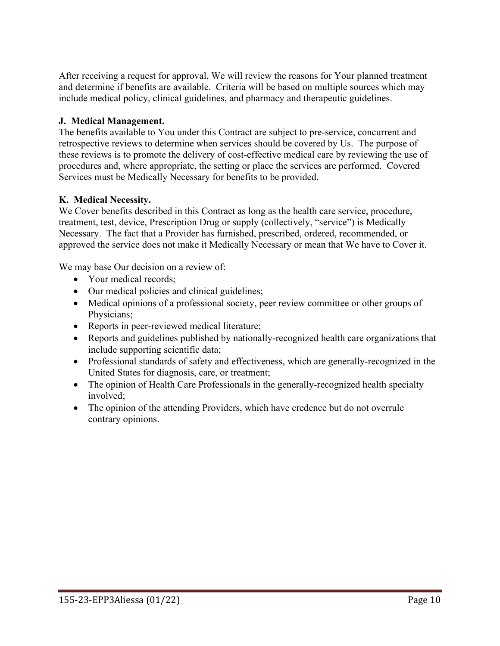After receiving a request for approval, We will review the reasons for Your planned treatment and determine if benefits are available. Criteria will be based on multiple sources which may include medical policy, clinical guidelines, and pharmacy and therapeutic guidelines.

## **J. Medical Management.**

The benefits available to You under this Contract are subject to pre-service, concurrent and retrospective reviews to determine when services should be covered by Us. The purpose of these reviews is to promote the delivery of cost-effective medical care by reviewing the use of procedures and, where appropriate, the setting or place the services are performed. Covered Services must be Medically Necessary for benefits to be provided.

## **K. Medical Necessity.**

We Cover benefits described in this Contract as long as the health care service, procedure, treatment, test, device, Prescription Drug or supply (collectively, "service") is Medically Necessary. The fact that a Provider has furnished, prescribed, ordered, recommended, or approved the service does not make it Medically Necessary or mean that We have to Cover it.

We may base Our decision on a review of:

- Your medical records;
- Our medical policies and clinical guidelines;
- Medical opinions of a professional society, peer review committee or other groups of Physicians;
- Reports in peer-reviewed medical literature;
- Reports and guidelines published by nationally-recognized health care organizations that include supporting scientific data;
- Professional standards of safety and effectiveness, which are generally-recognized in the United States for diagnosis, care, or treatment;
- The opinion of Health Care Professionals in the generally-recognized health specialty involved;
- The opinion of the attending Providers, which have credence but do not overrule contrary opinions.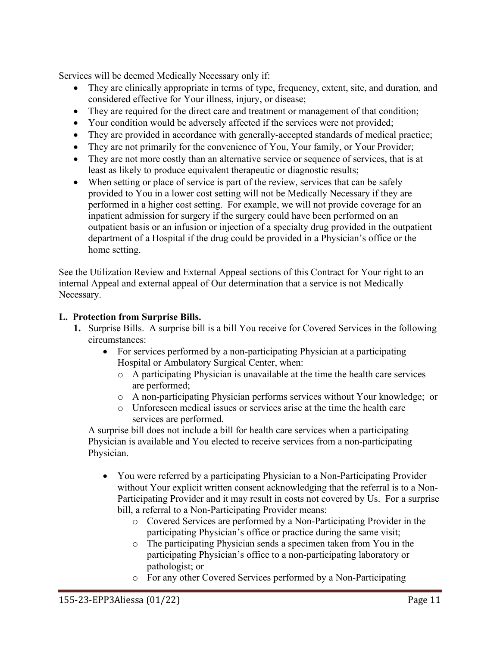Services will be deemed Medically Necessary only if:

- They are clinically appropriate in terms of type, frequency, extent, site, and duration, and considered effective for Your illness, injury, or disease;
- They are required for the direct care and treatment or management of that condition;
- Your condition would be adversely affected if the services were not provided;
- They are provided in accordance with generally-accepted standards of medical practice;
- They are not primarily for the convenience of You, Your family, or Your Provider;
- They are not more costly than an alternative service or sequence of services, that is at least as likely to produce equivalent therapeutic or diagnostic results;
- When setting or place of service is part of the review, services that can be safely provided to You in a lower cost setting will not be Medically Necessary if they are performed in a higher cost setting. For example, we will not provide coverage for an inpatient admission for surgery if the surgery could have been performed on an outpatient basis or an infusion or injection of a specialty drug provided in the outpatient department of a Hospital if the drug could be provided in a Physician's office or the home setting.

See the Utilization Review and External Appeal sections of this Contract for Your right to an internal Appeal and external appeal of Our determination that a service is not Medically Necessary.

## **L. Protection from Surprise Bills.**

- **1.** Surprise Bills. A surprise bill is a bill You receive for Covered Services in the following circumstances:
	- For services performed by a non-participating Physician at a participating Hospital or Ambulatory Surgical Center, when:
		- o A participating Physician is unavailable at the time the health care services are performed;
		- o A non-participating Physician performs services without Your knowledge; or
		- o Unforeseen medical issues or services arise at the time the health care services are performed.

A surprise bill does not include a bill for health care services when a participating Physician is available and You elected to receive services from a non-participating Physician.

- You were referred by a participating Physician to a Non-Participating Provider without Your explicit written consent acknowledging that the referral is to a Non-Participating Provider and it may result in costs not covered by Us. For a surprise bill, a referral to a Non-Participating Provider means:
	- o Covered Services are performed by a Non-Participating Provider in the participating Physician's office or practice during the same visit;
	- o The participating Physician sends a specimen taken from You in the participating Physician's office to a non-participating laboratory or pathologist; or
	- o For any other Covered Services performed by a Non-Participating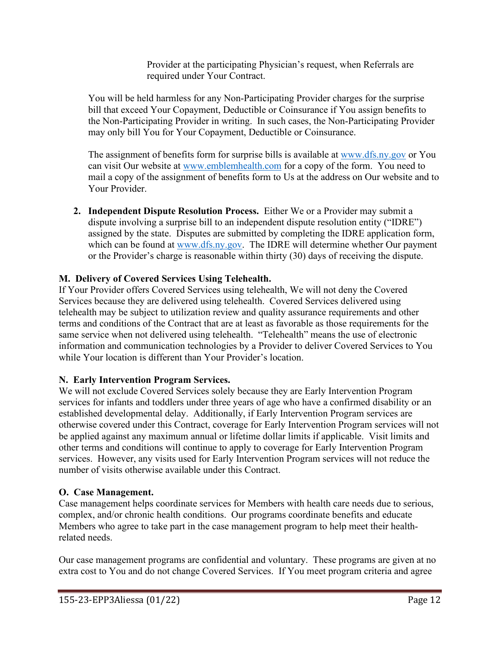Provider at the participating Physician's request, when Referrals are required under Your Contract.

You will be held harmless for any Non-Participating Provider charges for the surprise bill that exceed Your Copayment, Deductible or Coinsurance if You assign benefits to the Non-Participating Provider in writing. In such cases, the Non-Participating Provider may only bill You for Your Copayment, Deductible or Coinsurance.

The assignment of benefits form for surprise bills is available at [www.dfs.ny.gov](http://www.dfs.ny.gov/) or You can visit Our website at [www.emblemhealth.com](http://www.emblemhealth.com/) for a copy of the form. You need to mail a copy of the assignment of benefits form to Us at the address on Our website and to Your Provider.

**2. Independent Dispute Resolution Process.** Either We or a Provider may submit a dispute involving a surprise bill to an independent dispute resolution entity ("IDRE") assigned by the state. Disputes are submitted by completing the IDRE application form, which can be found at [www.dfs.ny.gov.](http://www.dfs.ny.gov/) The IDRE will determine whether Our payment or the Provider's charge is reasonable within thirty (30) days of receiving the dispute.

# **M. Delivery of Covered Services Using Telehealth.**

If Your Provider offers Covered Services using telehealth, We will not deny the Covered Services because they are delivered using telehealth. Covered Services delivered using telehealth may be subject to utilization review and quality assurance requirements and other terms and conditions of the Contract that are at least as favorable as those requirements for the same service when not delivered using telehealth. "Telehealth" means the use of electronic information and communication technologies by a Provider to deliver Covered Services to You while Your location is different than Your Provider's location.

## **N. Early Intervention Program Services.**

We will not exclude Covered Services solely because they are Early Intervention Program services for infants and toddlers under three years of age who have a confirmed disability or an established developmental delay. Additionally, if Early Intervention Program services are otherwise covered under this Contract, coverage for Early Intervention Program services will not be applied against any maximum annual or lifetime dollar limits if applicable. Visit limits and other terms and conditions will continue to apply to coverage for Early Intervention Program services. However, any visits used for Early Intervention Program services will not reduce the number of visits otherwise available under this Contract.

### **O. Case Management.**

Case management helps coordinate services for Members with health care needs due to serious, complex, and/or chronic health conditions. Our programs coordinate benefits and educate Members who agree to take part in the case management program to help meet their healthrelated needs.

Our case management programs are confidential and voluntary. These programs are given at no extra cost to You and do not change Covered Services. If You meet program criteria and agree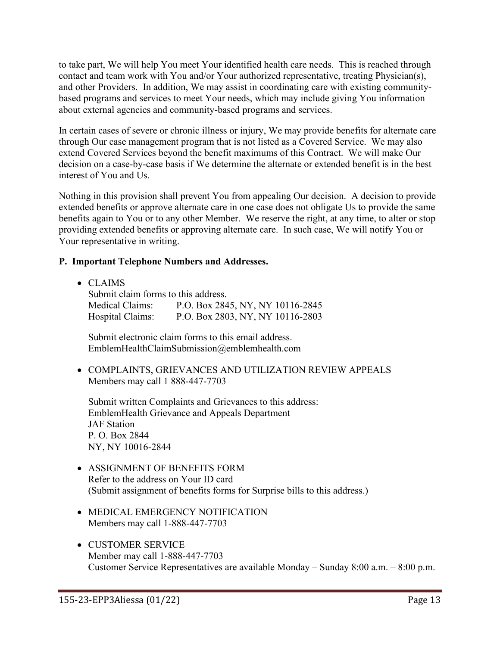to take part, We will help You meet Your identified health care needs. This is reached through contact and team work with You and/or Your authorized representative, treating Physician(s), and other Providers. In addition, We may assist in coordinating care with existing communitybased programs and services to meet Your needs, which may include giving You information about external agencies and community-based programs and services.

In certain cases of severe or chronic illness or injury, We may provide benefits for alternate care through Our case management program that is not listed as a Covered Service. We may also extend Covered Services beyond the benefit maximums of this Contract. We will make Our decision on a case-by-case basis if We determine the alternate or extended benefit is in the best interest of You and Us.

Nothing in this provision shall prevent You from appealing Our decision. A decision to provide extended benefits or approve alternate care in one case does not obligate Us to provide the same benefits again to You or to any other Member. We reserve the right, at any time, to alter or stop providing extended benefits or approving alternate care. In such case, We will notify You or Your representative in writing.

### **P. Important Telephone Numbers and Addresses.**

• CLAIMS

Submit claim forms to this address. Medical Claims: P.O. Box 2845, NY, NY 10116-2845 Hospital Claims: P.O. Box 2803, NY, NY 10116-2803

Submit electronic claim forms to this email address. [EmblemHealthClaimSubmission@emblemhealth.com](mailto:EmblemHealthClaimSubmission@emblemhealth.com)

• COMPLAINTS, GRIEVANCES AND UTILIZATION REVIEW APPEALS Members may call 1 888-447-7703

Submit written Complaints and Grievances to this address: EmblemHealth Grievance and Appeals Department JAF Station P. O. Box 2844 NY, NY 10016-2844

- ASSIGNMENT OF BENEFITS FORM Refer to the address on Your ID card (Submit assignment of benefits forms for Surprise bills to this address.)
- MEDICAL EMERGENCY NOTIFICATION Members may call 1-888-447-7703
- CUSTOMER SERVICE Member may call 1-888-447-7703 Customer Service Representatives are available Monday – Sunday 8:00 a.m. – 8:00 p.m.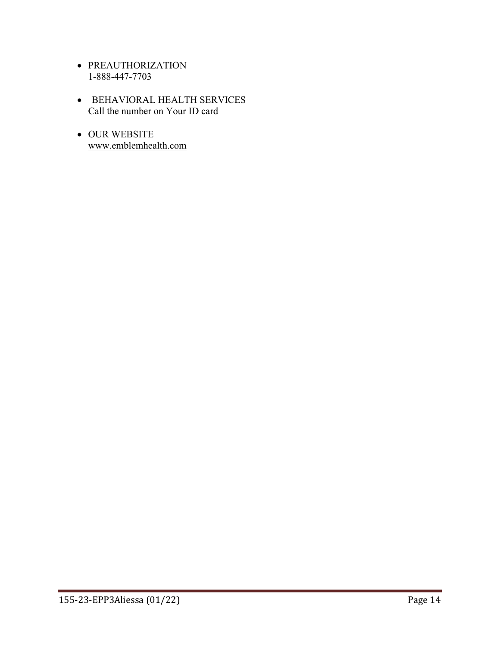- PREAUTHORIZATION 1-888-447-7703
- BEHAVIORAL HEALTH SERVICES Call the number on Your ID card
- OUR WEBSITE [www.emblemhealth.com](http://www.emblemhealth.com/)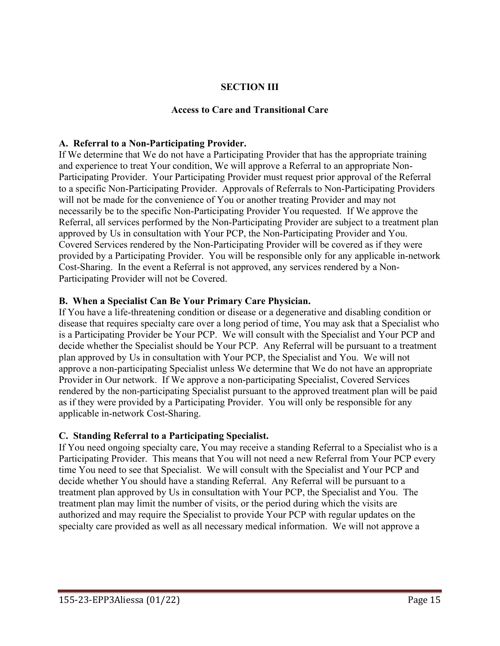## **SECTION III**

#### **Access to Care and Transitional Care**

#### **A. Referral to a Non-Participating Provider.**

If We determine that We do not have a Participating Provider that has the appropriate training and experience to treat Your condition, We will approve a Referral to an appropriate Non-Participating Provider. Your Participating Provider must request prior approval of the Referral to a specific Non-Participating Provider. Approvals of Referrals to Non-Participating Providers will not be made for the convenience of You or another treating Provider and may not necessarily be to the specific Non-Participating Provider You requested. If We approve the Referral, all services performed by the Non-Participating Provider are subject to a treatment plan approved by Us in consultation with Your PCP, the Non-Participating Provider and You. Covered Services rendered by the Non-Participating Provider will be covered as if they were provided by a Participating Provider. You will be responsible only for any applicable in-network Cost-Sharing. In the event a Referral is not approved, any services rendered by a Non-Participating Provider will not be Covered.

#### **B. When a Specialist Can Be Your Primary Care Physician.**

If You have a life-threatening condition or disease or a degenerative and disabling condition or disease that requires specialty care over a long period of time, You may ask that a Specialist who is a Participating Provider be Your PCP. We will consult with the Specialist and Your PCP and decide whether the Specialist should be Your PCP. Any Referral will be pursuant to a treatment plan approved by Us in consultation with Your PCP, the Specialist and You. We will not approve a non-participating Specialist unless We determine that We do not have an appropriate Provider in Our network. If We approve a non-participating Specialist, Covered Services rendered by the non-participating Specialist pursuant to the approved treatment plan will be paid as if they were provided by a Participating Provider. You will only be responsible for any applicable in-network Cost-Sharing.

### **C. Standing Referral to a Participating Specialist.**

If You need ongoing specialty care, You may receive a standing Referral to a Specialist who is a Participating Provider. This means that You will not need a new Referral from Your PCP every time You need to see that Specialist. We will consult with the Specialist and Your PCP and decide whether You should have a standing Referral. Any Referral will be pursuant to a treatment plan approved by Us in consultation with Your PCP, the Specialist and You. The treatment plan may limit the number of visits, or the period during which the visits are authorized and may require the Specialist to provide Your PCP with regular updates on the specialty care provided as well as all necessary medical information. We will not approve a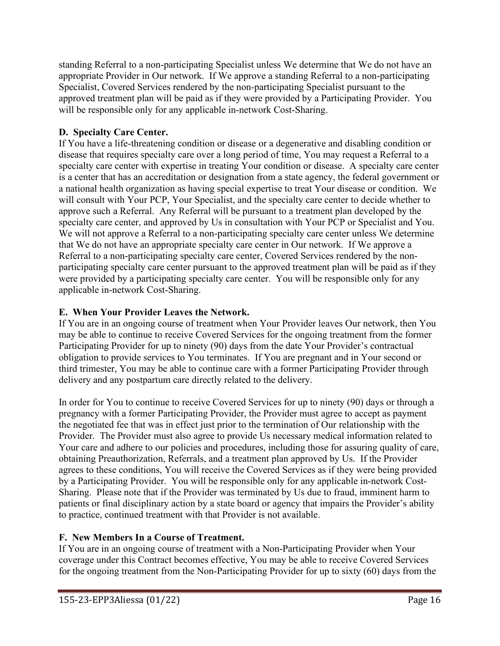standing Referral to a non-participating Specialist unless We determine that We do not have an appropriate Provider in Our network. If We approve a standing Referral to a non-participating Specialist, Covered Services rendered by the non-participating Specialist pursuant to the approved treatment plan will be paid as if they were provided by a Participating Provider. You will be responsible only for any applicable in-network Cost-Sharing.

# **D. Specialty Care Center.**

If You have a life-threatening condition or disease or a degenerative and disabling condition or disease that requires specialty care over a long period of time, You may request a Referral to a specialty care center with expertise in treating Your condition or disease. A specialty care center is a center that has an accreditation or designation from a state agency, the federal government or a national health organization as having special expertise to treat Your disease or condition. We will consult with Your PCP, Your Specialist, and the specialty care center to decide whether to approve such a Referral. Any Referral will be pursuant to a treatment plan developed by the specialty care center, and approved by Us in consultation with Your PCP or Specialist and You. We will not approve a Referral to a non-participating specialty care center unless We determine that We do not have an appropriate specialty care center in Our network. If We approve a Referral to a non-participating specialty care center, Covered Services rendered by the nonparticipating specialty care center pursuant to the approved treatment plan will be paid as if they were provided by a participating specialty care center. You will be responsible only for any applicable in-network Cost-Sharing.

## **E. When Your Provider Leaves the Network.**

If You are in an ongoing course of treatment when Your Provider leaves Our network, then You may be able to continue to receive Covered Services for the ongoing treatment from the former Participating Provider for up to ninety (90) days from the date Your Provider's contractual obligation to provide services to You terminates. If You are pregnant and in Your second or third trimester, You may be able to continue care with a former Participating Provider through delivery and any postpartum care directly related to the delivery.

In order for You to continue to receive Covered Services for up to ninety (90) days or through a pregnancy with a former Participating Provider, the Provider must agree to accept as payment the negotiated fee that was in effect just prior to the termination of Our relationship with the Provider. The Provider must also agree to provide Us necessary medical information related to Your care and adhere to our policies and procedures, including those for assuring quality of care, obtaining Preauthorization, Referrals, and a treatment plan approved by Us. If the Provider agrees to these conditions, You will receive the Covered Services as if they were being provided by a Participating Provider. You will be responsible only for any applicable in-network Cost-Sharing. Please note that if the Provider was terminated by Us due to fraud, imminent harm to patients or final disciplinary action by a state board or agency that impairs the Provider's ability to practice, continued treatment with that Provider is not available.

## **F. New Members In a Course of Treatment.**

If You are in an ongoing course of treatment with a Non-Participating Provider when Your coverage under this Contract becomes effective, You may be able to receive Covered Services for the ongoing treatment from the Non-Participating Provider for up to sixty (60) days from the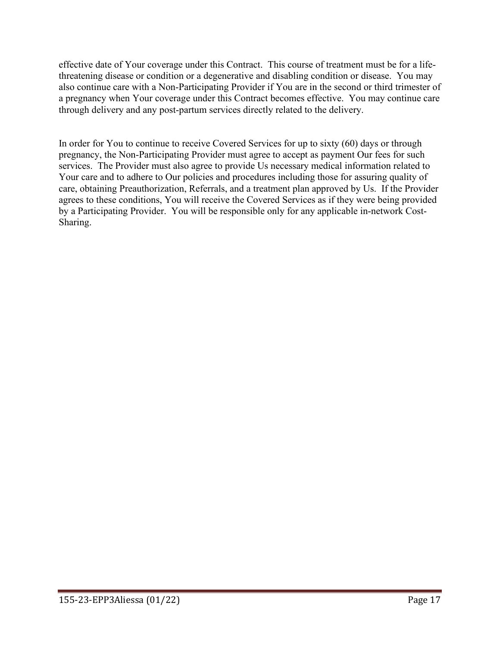effective date of Your coverage under this Contract. This course of treatment must be for a lifethreatening disease or condition or a degenerative and disabling condition or disease. You may also continue care with a Non-Participating Provider if You are in the second or third trimester of a pregnancy when Your coverage under this Contract becomes effective. You may continue care through delivery and any post-partum services directly related to the delivery.

In order for You to continue to receive Covered Services for up to sixty (60) days or through pregnancy, the Non-Participating Provider must agree to accept as payment Our fees for such services. The Provider must also agree to provide Us necessary medical information related to Your care and to adhere to Our policies and procedures including those for assuring quality of care, obtaining Preauthorization, Referrals, and a treatment plan approved by Us. If the Provider agrees to these conditions, You will receive the Covered Services as if they were being provided by a Participating Provider. You will be responsible only for any applicable in-network Cost-Sharing.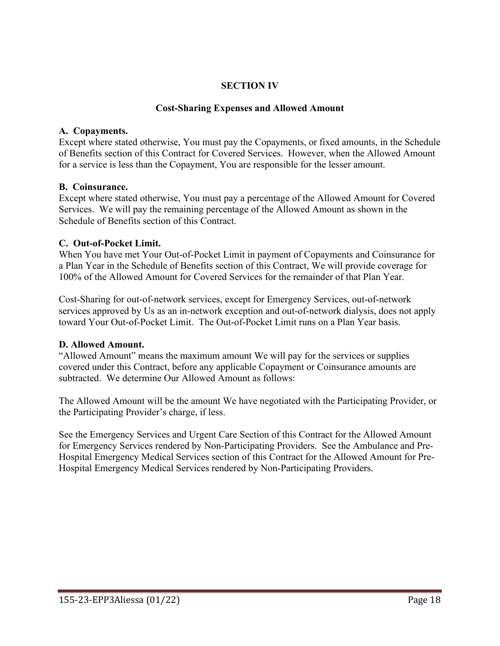## **SECTION IV**

### **Cost-Sharing Expenses and Allowed Amount**

### **A. Copayments.**

Except where stated otherwise, You must pay the Copayments, or fixed amounts, in the Schedule of Benefits section of this Contract for Covered Services. However, when the Allowed Amount for a service is less than the Copayment, You are responsible for the lesser amount.

### **B. Coinsurance.**

Except where stated otherwise, You must pay a percentage of the Allowed Amount for Covered Services. We will pay the remaining percentage of the Allowed Amount as shown in the Schedule of Benefits section of this Contract.

### **C. Out-of-Pocket Limit.**

When You have met Your Out-of-Pocket Limit in payment of Copayments and Coinsurance for a Plan Year in the Schedule of Benefits section of this Contract, We will provide coverage for 100% of the Allowed Amount for Covered Services for the remainder of that Plan Year.

Cost-Sharing for out-of-network services, except for Emergency Services, out-of-network services approved by Us as an in-network exception and out-of-network dialysis, does not apply toward Your Out-of-Pocket Limit. The Out-of-Pocket Limit runs on a Plan Year basis.

### **D. Allowed Amount.**

"Allowed Amount" means the maximum amount We will pay for the services or supplies covered under this Contract, before any applicable Copayment or Coinsurance amounts are subtracted. We determine Our Allowed Amount as follows:

The Allowed Amount will be the amount We have negotiated with the Participating Provider, or the Participating Provider's charge, if less.

See the Emergency Services and Urgent Care Section of this Contract for the Allowed Amount for Emergency Services rendered by Non-Participating Providers. See the Ambulance and Pre-Hospital Emergency Medical Services section of this Contract for the Allowed Amount for Pre-Hospital Emergency Medical Services rendered by Non-Participating Providers.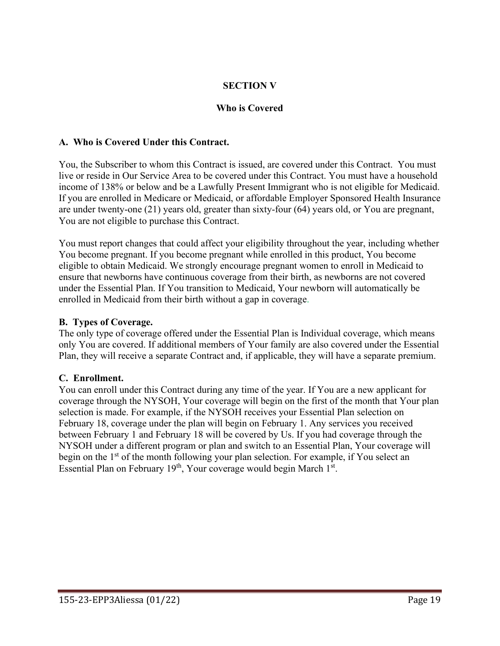## **SECTION V**

## **Who is Covered**

### **A. Who is Covered Under this Contract.**

You, the Subscriber to whom this Contract is issued, are covered under this Contract. You must live or reside in Our Service Area to be covered under this Contract. You must have a household income of 138% or below and be a Lawfully Present Immigrant who is not eligible for Medicaid. If you are enrolled in Medicare or Medicaid, or affordable Employer Sponsored Health Insurance are under twenty-one (21) years old, greater than sixty-four (64) years old, or You are pregnant, You are not eligible to purchase this Contract.

You must report changes that could affect your eligibility throughout the year, including whether You become pregnant. If you become pregnant while enrolled in this product, You become eligible to obtain Medicaid. We strongly encourage pregnant women to enroll in Medicaid to ensure that newborns have continuous coverage from their birth, as newborns are not covered under the Essential Plan. If You transition to Medicaid, Your newborn will automatically be enrolled in Medicaid from their birth without a gap in coverage.

#### **B. Types of Coverage.**

The only type of coverage offered under the Essential Plan is Individual coverage, which means only You are covered. If additional members of Your family are also covered under the Essential Plan, they will receive a separate Contract and, if applicable, they will have a separate premium.

### **C. Enrollment.**

You can enroll under this Contract during any time of the year. If You are a new applicant for coverage through the NYSOH, Your coverage will begin on the first of the month that Your plan selection is made. For example, if the NYSOH receives your Essential Plan selection on February 18, coverage under the plan will begin on February 1. Any services you received between February 1 and February 18 will be covered by Us. If you had coverage through the NYSOH under a different program or plan and switch to an Essential Plan, Your coverage will begin on the 1<sup>st</sup> of the month following your plan selection. For example, if You select an Essential Plan on February  $19<sup>th</sup>$ , Your coverage would begin March  $1<sup>st</sup>$ .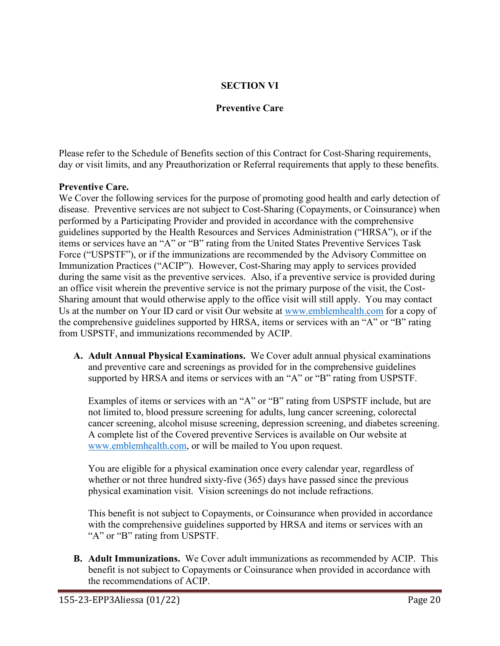## **SECTION VI**

### **Preventive Care**

Please refer to the Schedule of Benefits section of this Contract for Cost-Sharing requirements, day or visit limits, and any Preauthorization or Referral requirements that apply to these benefits.

#### **Preventive Care.**

We Cover the following services for the purpose of promoting good health and early detection of disease. Preventive services are not subject to Cost-Sharing (Copayments, or Coinsurance) when performed by a Participating Provider and provided in accordance with the comprehensive guidelines supported by the Health Resources and Services Administration ("HRSA"), or if the items or services have an "A" or "B" rating from the United States Preventive Services Task Force ("USPSTF"), or if the immunizations are recommended by the Advisory Committee on Immunization Practices ("ACIP"). However, Cost-Sharing may apply to services provided during the same visit as the preventive services. Also, if a preventive service is provided during an office visit wherein the preventive service is not the primary purpose of the visit, the Cost-Sharing amount that would otherwise apply to the office visit will still apply. You may contact Us at the number on Your ID card or visit Our website at [www.emblemhealth.com](http://www.emblemhealth.com/) for a copy of the comprehensive guidelines supported by HRSA, items or services with an "A" or "B" rating from USPSTF, and immunizations recommended by ACIP.

**A. Adult Annual Physical Examinations.** We Cover adult annual physical examinations and preventive care and screenings as provided for in the comprehensive guidelines supported by HRSA and items or services with an "A" or "B" rating from USPSTF.

Examples of items or services with an "A" or "B" rating from USPSTF include, but are not limited to, blood pressure screening for adults, lung cancer screening, colorectal cancer screening, alcohol misuse screening, depression screening, and diabetes screening. A complete list of the Covered preventive Services is available on Our website at [www.emblemhealth.com,](http://www.emblemhealth.com/) or will be mailed to You upon request.

You are eligible for a physical examination once every calendar year, regardless of whether or not three hundred sixty-five (365) days have passed since the previous physical examination visit. Vision screenings do not include refractions.

This benefit is not subject to Copayments, or Coinsurance when provided in accordance with the comprehensive guidelines supported by HRSA and items or services with an "A" or "B" rating from USPSTF.

**B. Adult Immunizations.** We Cover adult immunizations as recommended by ACIP. This benefit is not subject to Copayments or Coinsurance when provided in accordance with the recommendations of ACIP.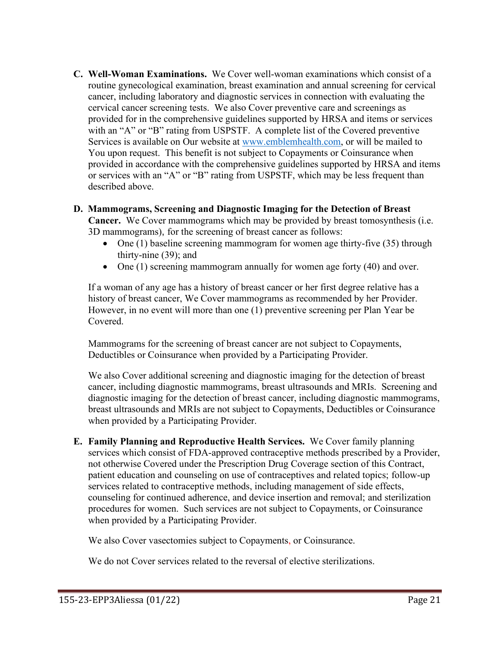**C. Well-Woman Examinations.** We Cover well-woman examinations which consist of a routine gynecological examination, breast examination and annual screening for cervical cancer, including laboratory and diagnostic services in connection with evaluating the cervical cancer screening tests. We also Cover preventive care and screenings as provided for in the comprehensive guidelines supported by HRSA and items or services with an "A" or "B" rating from USPSTF. A complete list of the Covered preventive Services is available on Our website at [www.emblemhealth.com,](http://www.emblemhealth.com/) or will be mailed to You upon request. This benefit is not subject to Copayments or Coinsurance when provided in accordance with the comprehensive guidelines supported by HRSA and items or services with an "A" or "B" rating from USPSTF, which may be less frequent than described above.

## **D. Mammograms, Screening and Diagnostic Imaging for the Detection of Breast**

**Cancer.** We Cover mammograms which may be provided by breast tomosynthesis (i.e. 3D mammograms), for the screening of breast cancer as follows:

- One (1) baseline screening mammogram for women age thirty-five (35) through thirty-nine (39); and
- One (1) screening mammogram annually for women age forty (40) and over.

If a woman of any age has a history of breast cancer or her first degree relative has a history of breast cancer, We Cover mammograms as recommended by her Provider. However, in no event will more than one (1) preventive screening per Plan Year be Covered.

Mammograms for the screening of breast cancer are not subject to Copayments, Deductibles or Coinsurance when provided by a Participating Provider.

We also Cover additional screening and diagnostic imaging for the detection of breast cancer, including diagnostic mammograms, breast ultrasounds and MRIs. Screening and diagnostic imaging for the detection of breast cancer, including diagnostic mammograms, breast ultrasounds and MRIs are not subject to Copayments, Deductibles or Coinsurance when provided by a Participating Provider.

**E. Family Planning and Reproductive Health Services.** We Cover family planning services which consist of FDA-approved contraceptive methods prescribed by a Provider, not otherwise Covered under the Prescription Drug Coverage section of this Contract, patient education and counseling on use of contraceptives and related topics; follow-up services related to contraceptive methods, including management of side effects, counseling for continued adherence, and device insertion and removal; and sterilization procedures for women. Such services are not subject to Copayments, or Coinsurance when provided by a Participating Provider.

We also Cover vasectomies subject to Copayments, or Coinsurance.

We do not Cover services related to the reversal of elective sterilizations.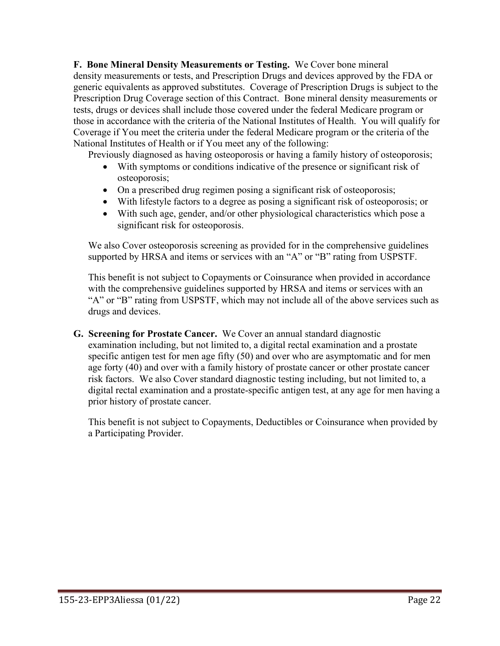**F. Bone Mineral Density Measurements or Testing.** We Cover bone mineral density measurements or tests, and Prescription Drugs and devices approved by the FDA or generic equivalents as approved substitutes. Coverage of Prescription Drugs is subject to the Prescription Drug Coverage section of this Contract. Bone mineral density measurements or tests, drugs or devices shall include those covered under the federal Medicare program or those in accordance with the criteria of the National Institutes of Health. You will qualify for Coverage if You meet the criteria under the federal Medicare program or the criteria of the National Institutes of Health or if You meet any of the following:

Previously diagnosed as having osteoporosis or having a family history of osteoporosis;

- With symptoms or conditions indicative of the presence or significant risk of osteoporosis;
- On a prescribed drug regimen posing a significant risk of osteoporosis;
- With lifestyle factors to a degree as posing a significant risk of osteoporosis; or
- With such age, gender, and/or other physiological characteristics which pose a significant risk for osteoporosis.

We also Cover osteoporosis screening as provided for in the comprehensive guidelines supported by HRSA and items or services with an "A" or "B" rating from USPSTF.

This benefit is not subject to Copayments or Coinsurance when provided in accordance with the comprehensive guidelines supported by HRSA and items or services with an "A" or "B" rating from USPSTF, which may not include all of the above services such as drugs and devices.

**G. Screening for Prostate Cancer.** We Cover an annual standard diagnostic examination including, but not limited to, a digital rectal examination and a prostate specific antigen test for men age fifty (50) and over who are asymptomatic and for men age forty (40) and over with a family history of prostate cancer or other prostate cancer risk factors. We also Cover standard diagnostic testing including, but not limited to, a digital rectal examination and a prostate-specific antigen test, at any age for men having a prior history of prostate cancer.

This benefit is not subject to Copayments, Deductibles or Coinsurance when provided by a Participating Provider.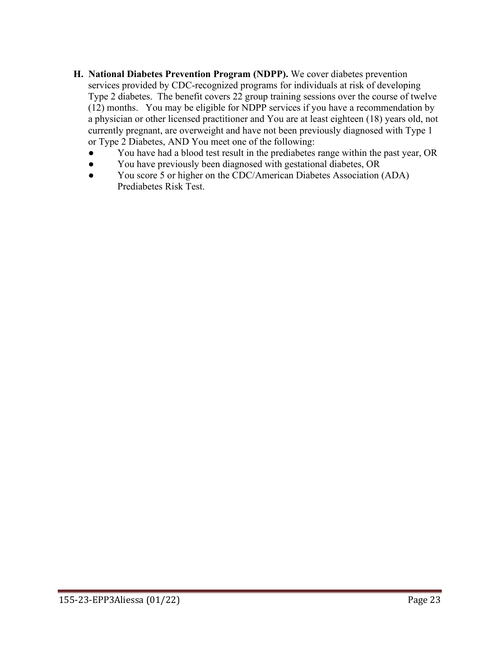- **H. National Diabetes Prevention Program (NDPP).** We cover diabetes prevention services provided by CDC-recognized programs for individuals at risk of developing Type 2 diabetes. The benefit covers 22 group training sessions over the course of twelve (12) months. You may be eligible for NDPP services if you have a recommendation by a physician or other licensed practitioner and You are at least eighteen (18) years old, not currently pregnant, are overweight and have not been previously diagnosed with Type 1 or Type 2 Diabetes, AND You meet one of the following:
	- You have had a blood test result in the prediabetes range within the past year, OR
	- You have previously been diagnosed with gestational diabetes, OR
	- You score 5 or higher on the CDC/American Diabetes Association (ADA) Prediabetes Risk Test.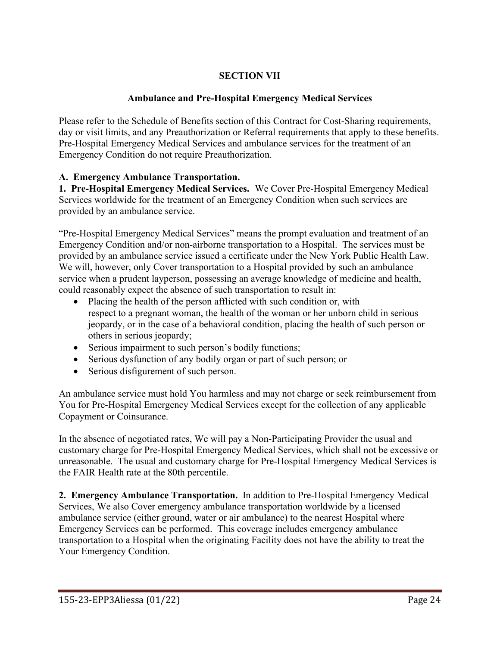# **SECTION VII**

## **Ambulance and Pre-Hospital Emergency Medical Services**

Please refer to the Schedule of Benefits section of this Contract for Cost-Sharing requirements, day or visit limits, and any Preauthorization or Referral requirements that apply to these benefits. Pre-Hospital Emergency Medical Services and ambulance services for the treatment of an Emergency Condition do not require Preauthorization.

## **A. Emergency Ambulance Transportation.**

**1. Pre-Hospital Emergency Medical Services.** We Cover Pre-Hospital Emergency Medical Services worldwide for the treatment of an Emergency Condition when such services are provided by an ambulance service.

"Pre-Hospital Emergency Medical Services" means the prompt evaluation and treatment of an Emergency Condition and/or non-airborne transportation to a Hospital. The services must be provided by an ambulance service issued a certificate under the New York Public Health Law. We will, however, only Cover transportation to a Hospital provided by such an ambulance service when a prudent layperson, possessing an average knowledge of medicine and health, could reasonably expect the absence of such transportation to result in:

- Placing the health of the person afflicted with such condition or, with respect to a pregnant woman, the health of the woman or her unborn child in serious jeopardy, or in the case of a behavioral condition, placing the health of such person or others in serious jeopardy;
- Serious impairment to such person's bodily functions;
- Serious dysfunction of any bodily organ or part of such person; or
- Serious disfigurement of such person.

An ambulance service must hold You harmless and may not charge or seek reimbursement from You for Pre-Hospital Emergency Medical Services except for the collection of any applicable Copayment or Coinsurance.

In the absence of negotiated rates, We will pay a Non-Participating Provider the usual and customary charge for Pre-Hospital Emergency Medical Services, which shall not be excessive or unreasonable. The usual and customary charge for Pre-Hospital Emergency Medical Services is the FAIR Health rate at the 80th percentile.

**2. Emergency Ambulance Transportation.** In addition to Pre-Hospital Emergency Medical Services, We also Cover emergency ambulance transportation worldwide by a licensed ambulance service (either ground, water or air ambulance) to the nearest Hospital where Emergency Services can be performed. This coverage includes emergency ambulance transportation to a Hospital when the originating Facility does not have the ability to treat the Your Emergency Condition.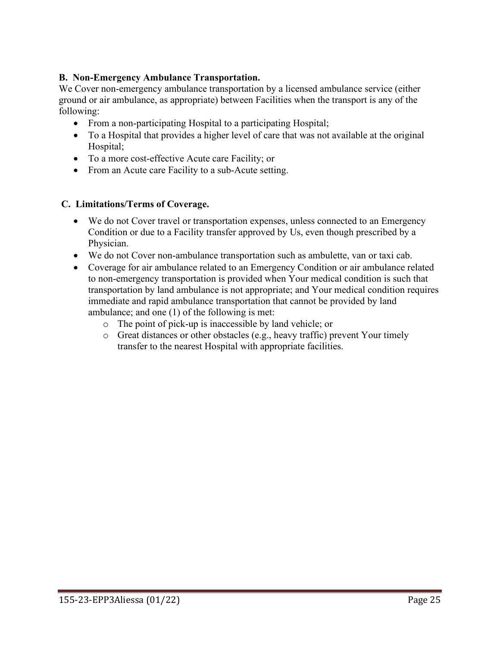## **B. Non-Emergency Ambulance Transportation.**

We Cover non-emergency ambulance transportation by a licensed ambulance service (either ground or air ambulance, as appropriate) between Facilities when the transport is any of the following:

- From a non-participating Hospital to a participating Hospital;
- To a Hospital that provides a higher level of care that was not available at the original Hospital;
- To a more cost-effective Acute care Facility; or
- From an Acute care Facility to a sub-Acute setting.

### **C. Limitations/Terms of Coverage.**

- We do not Cover travel or transportation expenses, unless connected to an Emergency Condition or due to a Facility transfer approved by Us, even though prescribed by a Physician.
- We do not Cover non-ambulance transportation such as ambulette, van or taxi cab.
- Coverage for air ambulance related to an Emergency Condition or air ambulance related to non-emergency transportation is provided when Your medical condition is such that transportation by land ambulance is not appropriate; and Your medical condition requires immediate and rapid ambulance transportation that cannot be provided by land ambulance; and one (1) of the following is met:
	- o The point of pick-up is inaccessible by land vehicle; or
	- $\circ$  Great distances or other obstacles (e.g., heavy traffic) prevent Your timely transfer to the nearest Hospital with appropriate facilities.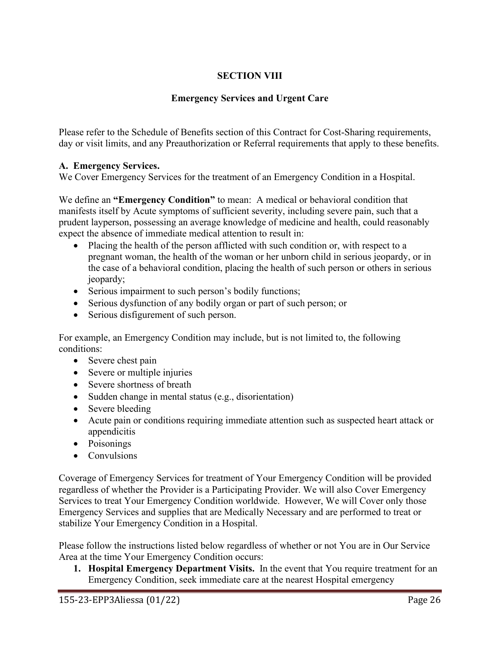# **SECTION VIII**

## **Emergency Services and Urgent Care**

Please refer to the Schedule of Benefits section of this Contract for Cost-Sharing requirements, day or visit limits, and any Preauthorization or Referral requirements that apply to these benefits.

## **A. Emergency Services.**

We Cover Emergency Services for the treatment of an Emergency Condition in a Hospital.

We define an **"Emergency Condition"** to mean: A medical or behavioral condition that manifests itself by Acute symptoms of sufficient severity, including severe pain, such that a prudent layperson, possessing an average knowledge of medicine and health, could reasonably expect the absence of immediate medical attention to result in:

- Placing the health of the person afflicted with such condition or, with respect to a pregnant woman, the health of the woman or her unborn child in serious jeopardy, or in the case of a behavioral condition, placing the health of such person or others in serious jeopardy;
- Serious impairment to such person's bodily functions;
- Serious dysfunction of any bodily organ or part of such person; or
- Serious disfigurement of such person.

For example, an Emergency Condition may include, but is not limited to, the following conditions:

- Severe chest pain
- Severe or multiple injuries
- Severe shortness of breath
- Sudden change in mental status (e.g., disorientation)
- Severe bleeding
- Acute pain or conditions requiring immediate attention such as suspected heart attack or appendicitis
- Poisonings
- Convulsions

Coverage of Emergency Services for treatment of Your Emergency Condition will be provided regardless of whether the Provider is a Participating Provider. We will also Cover Emergency Services to treat Your Emergency Condition worldwide. However, We will Cover only those Emergency Services and supplies that are Medically Necessary and are performed to treat or stabilize Your Emergency Condition in a Hospital.

Please follow the instructions listed below regardless of whether or not You are in Our Service Area at the time Your Emergency Condition occurs:

**1. Hospital Emergency Department Visits.** In the event that You require treatment for an Emergency Condition, seek immediate care at the nearest Hospital emergency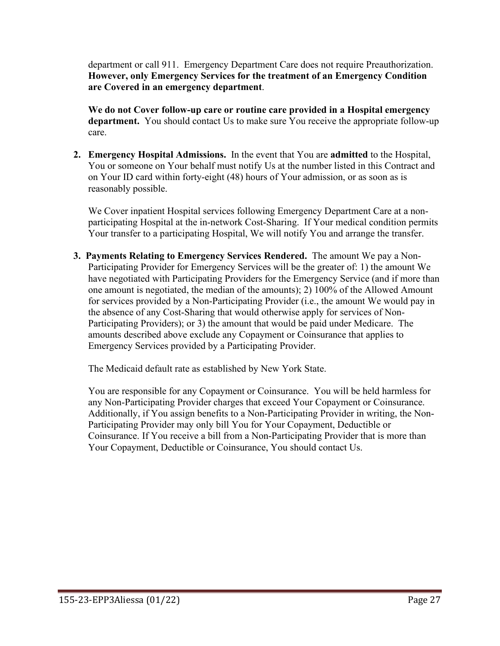department or call 911. Emergency Department Care does not require Preauthorization. **However, only Emergency Services for the treatment of an Emergency Condition are Covered in an emergency department**.

**We do not Cover follow-up care or routine care provided in a Hospital emergency department.** You should contact Us to make sure You receive the appropriate follow-up care.

**2. Emergency Hospital Admissions.** In the event that You are **admitted** to the Hospital, You or someone on Your behalf must notify Us at the number listed in this Contract and on Your ID card within forty-eight (48) hours of Your admission, or as soon as is reasonably possible.

We Cover inpatient Hospital services following Emergency Department Care at a nonparticipating Hospital at the in-network Cost-Sharing. If Your medical condition permits Your transfer to a participating Hospital, We will notify You and arrange the transfer.

**3. Payments Relating to Emergency Services Rendered.** The amount We pay a Non-Participating Provider for Emergency Services will be the greater of: 1) the amount We have negotiated with Participating Providers for the Emergency Service (and if more than one amount is negotiated, the median of the amounts); 2) 100% of the Allowed Amount for services provided by a Non-Participating Provider (i.e., the amount We would pay in the absence of any Cost-Sharing that would otherwise apply for services of Non-Participating Providers); or 3) the amount that would be paid under Medicare. The amounts described above exclude any Copayment or Coinsurance that applies to Emergency Services provided by a Participating Provider.

The Medicaid default rate as established by New York State.

You are responsible for any Copayment or Coinsurance. You will be held harmless for any Non-Participating Provider charges that exceed Your Copayment or Coinsurance. Additionally, if You assign benefits to a Non-Participating Provider in writing, the Non-Participating Provider may only bill You for Your Copayment, Deductible or Coinsurance. If You receive a bill from a Non-Participating Provider that is more than Your Copayment, Deductible or Coinsurance, You should contact Us.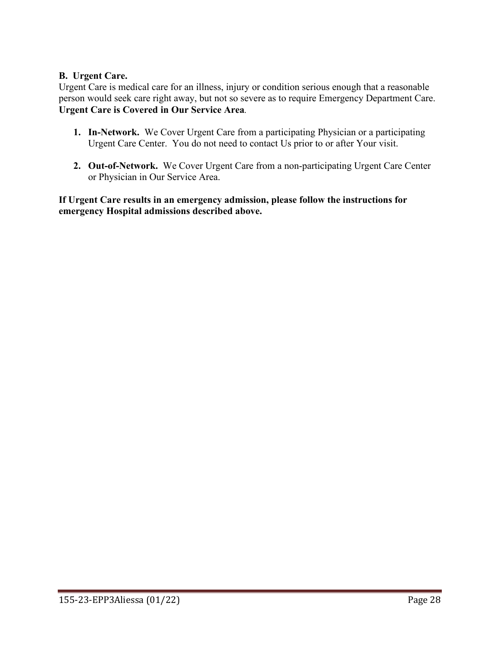## **B. Urgent Care.**

Urgent Care is medical care for an illness, injury or condition serious enough that a reasonable person would seek care right away, but not so severe as to require Emergency Department Care. **Urgent Care is Covered in Our Service Area***.* 

- **1. In-Network.** We Cover Urgent Care from a participating Physician or a participating Urgent Care Center. You do not need to contact Us prior to or after Your visit.
- **2. Out-of-Network.** We Cover Urgent Care from a non-participating Urgent Care Center or Physician in Our Service Area.

**If Urgent Care results in an emergency admission, please follow the instructions for emergency Hospital admissions described above.**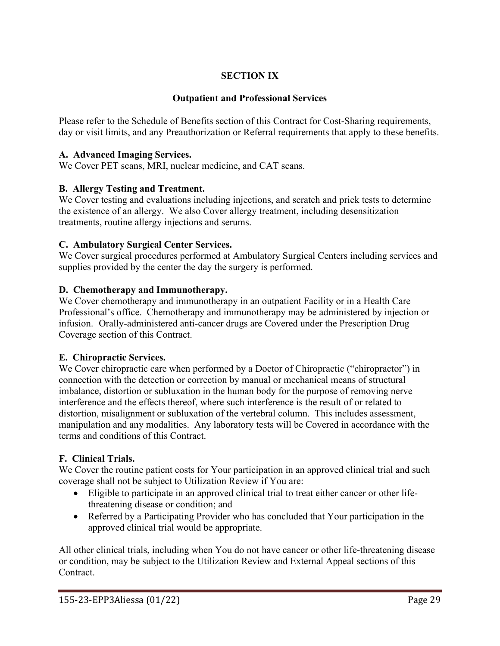# **SECTION IX**

## **Outpatient and Professional Services**

Please refer to the Schedule of Benefits section of this Contract for Cost-Sharing requirements, day or visit limits, and any Preauthorization or Referral requirements that apply to these benefits.

### **A. Advanced Imaging Services.**

We Cover PET scans, MRI, nuclear medicine, and CAT scans.

### **B. Allergy Testing and Treatment.**

We Cover testing and evaluations including injections, and scratch and prick tests to determine the existence of an allergy. We also Cover allergy treatment, including desensitization treatments, routine allergy injections and serums.

#### **C. Ambulatory Surgical Center Services.**

We Cover surgical procedures performed at Ambulatory Surgical Centers including services and supplies provided by the center the day the surgery is performed.

#### **D. Chemotherapy and Immunotherapy.**

We Cover chemotherapy and immunotherapy in an outpatient Facility or in a Health Care Professional's office. Chemotherapy and immunotherapy may be administered by injection or infusion. Orally-administered anti-cancer drugs are Covered under the Prescription Drug Coverage section of this Contract.

### **E. Chiropractic Services.**

We Cover chiropractic care when performed by a Doctor of Chiropractic ("chiropractor") in connection with the detection or correction by manual or mechanical means of structural imbalance, distortion or subluxation in the human body for the purpose of removing nerve interference and the effects thereof, where such interference is the result of or related to distortion, misalignment or subluxation of the vertebral column. This includes assessment, manipulation and any modalities. Any laboratory tests will be Covered in accordance with the terms and conditions of this Contract.

### **F. Clinical Trials.**

We Cover the routine patient costs for Your participation in an approved clinical trial and such coverage shall not be subject to Utilization Review if You are:

- Eligible to participate in an approved clinical trial to treat either cancer or other lifethreatening disease or condition; and
- Referred by a Participating Provider who has concluded that Your participation in the approved clinical trial would be appropriate.

All other clinical trials, including when You do not have cancer or other life-threatening disease or condition, may be subject to the Utilization Review and External Appeal sections of this Contract.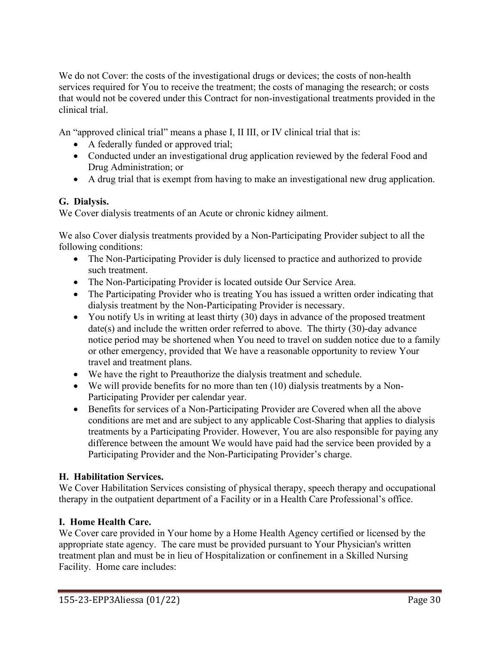We do not Cover: the costs of the investigational drugs or devices; the costs of non-health services required for You to receive the treatment; the costs of managing the research; or costs that would not be covered under this Contract for non-investigational treatments provided in the clinical trial.

An "approved clinical trial" means a phase I, II III, or IV clinical trial that is:

- A federally funded or approved trial;
- Conducted under an investigational drug application reviewed by the federal Food and Drug Administration; or
- A drug trial that is exempt from having to make an investigational new drug application.

## **G. Dialysis.**

We Cover dialysis treatments of an Acute or chronic kidney ailment.

We also Cover dialysis treatments provided by a Non-Participating Provider subject to all the following conditions:

- The Non-Participating Provider is duly licensed to practice and authorized to provide such treatment.
- The Non-Participating Provider is located outside Our Service Area.
- The Participating Provider who is treating You has issued a written order indicating that dialysis treatment by the Non-Participating Provider is necessary.
- You notify Us in writing at least thirty (30) days in advance of the proposed treatment date(s) and include the written order referred to above. The thirty (30)-day advance notice period may be shortened when You need to travel on sudden notice due to a family or other emergency, provided that We have a reasonable opportunity to review Your travel and treatment plans.
- We have the right to Preauthorize the dialysis treatment and schedule.
- We will provide benefits for no more than ten (10) dialysis treatments by a Non-Participating Provider per calendar year.
- Benefits for services of a Non-Participating Provider are Covered when all the above conditions are met and are subject to any applicable Cost-Sharing that applies to dialysis treatments by a Participating Provider. However, You are also responsible for paying any difference between the amount We would have paid had the service been provided by a Participating Provider and the Non-Participating Provider's charge.

## **H. Habilitation Services.**

We Cover Habilitation Services consisting of physical therapy, speech therapy and occupational therapy in the outpatient department of a Facility or in a Health Care Professional's office.

## **I. Home Health Care.**

We Cover care provided in Your home by a Home Health Agency certified or licensed by the appropriate state agency. The care must be provided pursuant to Your Physician's written treatment plan and must be in lieu of Hospitalization or confinement in a Skilled Nursing Facility. Home care includes: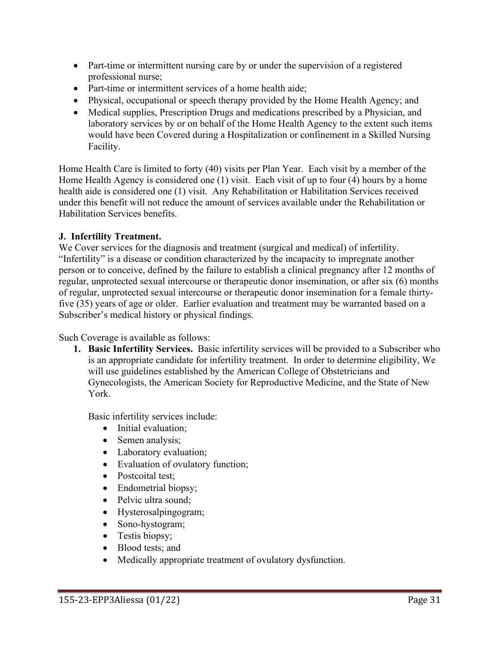- Part-time or intermittent nursing care by or under the supervision of a registered professional nurse;
- Part-time or intermittent services of a home health aide;
- Physical, occupational or speech therapy provided by the Home Health Agency; and
- Medical supplies, Prescription Drugs and medications prescribed by a Physician, and laboratory services by or on behalf of the Home Health Agency to the extent such items would have been Covered during a Hospitalization or confinement in a Skilled Nursing Facility.

Home Health Care is limited to forty (40) visits per Plan Year. Each visit by a member of the Home Health Agency is considered one (1) visit. Each visit of up to four (4) hours by a home health aide is considered one (1) visit. Any Rehabilitation or Habilitation Services received under this benefit will not reduce the amount of services available under the Rehabilitation or Habilitation Services benefits.

## **J. Infertility Treatment.**

We Cover services for the diagnosis and treatment (surgical and medical) of infertility. "Infertility" is a disease or condition characterized by the incapacity to impregnate another person or to conceive, defined by the failure to establish a clinical pregnancy after 12 months of regular, unprotected sexual intercourse or therapeutic donor insemination, or after six (6) months of regular, unprotected sexual intercourse or therapeutic donor insemination for a female thirtyfive (35) years of age or older. Earlier evaluation and treatment may be warranted based on a Subscriber's medical history or physical findings.

Such Coverage is available as follows:

**1. Basic Infertility Services.** Basic infertility services will be provided to a Subscriber who is an appropriate candidate for infertility treatment. In order to determine eligibility, We will use guidelines established by the American College of Obstetricians and Gynecologists, the American Society for Reproductive Medicine, and the State of New York.

Basic infertility services include:

- Initial evaluation;
- Semen analysis;
- Laboratory evaluation;
- Evaluation of ovulatory function;
- Postcoital test;
- Endometrial biopsy;
- Pelvic ultra sound;
- Hysterosalpingogram;
- Sono-hystogram;
- Testis biopsy;
- Blood tests; and
- Medically appropriate treatment of ovulatory dysfunction.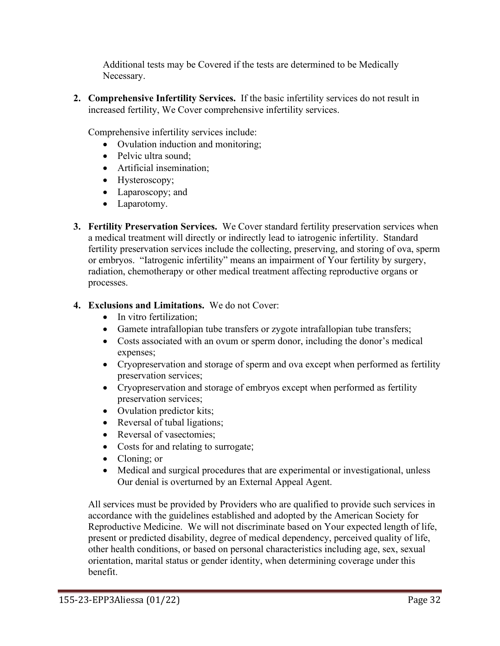Additional tests may be Covered if the tests are determined to be Medically Necessary.

**2. Comprehensive Infertility Services.** If the basic infertility services do not result in increased fertility, We Cover comprehensive infertility services.

Comprehensive infertility services include:

- Ovulation induction and monitoring:
- Pelvic ultra sound;
- Artificial insemination;
- Hysteroscopy;
- Laparoscopy; and
- Laparotomy.
- **3. Fertility Preservation Services.** We Cover standard fertility preservation services when a medical treatment will directly or indirectly lead to iatrogenic infertility. Standard fertility preservation services include the collecting, preserving, and storing of ova, sperm or embryos. "Iatrogenic infertility" means an impairment of Your fertility by surgery, radiation, chemotherapy or other medical treatment affecting reproductive organs or processes.

# **4. Exclusions and Limitations.** We do not Cover:

- In vitro fertilization;
- Gamete intrafallopian tube transfers or zygote intrafallopian tube transfers;
- Costs associated with an ovum or sperm donor, including the donor's medical expenses;
- Cryopreservation and storage of sperm and ova except when performed as fertility preservation services;
- Cryopreservation and storage of embryos except when performed as fertility preservation services;
- Ovulation predictor kits;
- Reversal of tubal ligations;
- Reversal of vasectomies;
- Costs for and relating to surrogate;
- Cloning; or
- Medical and surgical procedures that are experimental or investigational, unless Our denial is overturned by an External Appeal Agent.

All services must be provided by Providers who are qualified to provide such services in accordance with the guidelines established and adopted by the American Society for Reproductive Medicine. We will not discriminate based on Your expected length of life, present or predicted disability, degree of medical dependency, perceived quality of life, other health conditions, or based on personal characteristics including age, sex, sexual orientation, marital status or gender identity, when determining coverage under this benefit.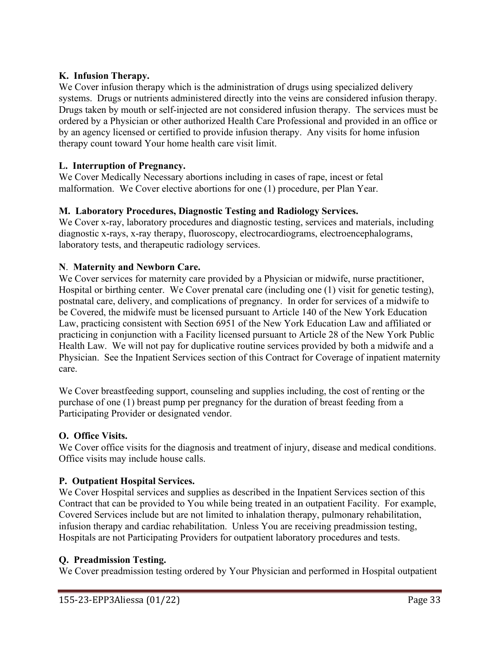## **K. Infusion Therapy.**

We Cover infusion therapy which is the administration of drugs using specialized delivery systems. Drugs or nutrients administered directly into the veins are considered infusion therapy. Drugs taken by mouth or self-injected are not considered infusion therapy. The services must be ordered by a Physician or other authorized Health Care Professional and provided in an office or by an agency licensed or certified to provide infusion therapy. Any visits for home infusion therapy count toward Your home health care visit limit.

### **L. Interruption of Pregnancy.**

We Cover Medically Necessary abortions including in cases of rape, incest or fetal malformation. We Cover elective abortions for one (1) procedure, per Plan Year.

## **M. Laboratory Procedures, Diagnostic Testing and Radiology Services.**

We Cover x-ray, laboratory procedures and diagnostic testing, services and materials, including diagnostic x-rays, x-ray therapy, fluoroscopy, electrocardiograms, electroencephalograms, laboratory tests, and therapeutic radiology services.

## **N**. **Maternity and Newborn Care.**

We Cover services for maternity care provided by a Physician or midwife, nurse practitioner, Hospital or birthing center. We Cover prenatal care (including one (1) visit for genetic testing), postnatal care, delivery, and complications of pregnancy. In order for services of a midwife to be Covered, the midwife must be licensed pursuant to Article 140 of the New York Education Law, practicing consistent with Section 6951 of the New York Education Law and affiliated or practicing in conjunction with a Facility licensed pursuant to Article 28 of the New York Public Health Law. We will not pay for duplicative routine services provided by both a midwife and a Physician. See the Inpatient Services section of this Contract for Coverage of inpatient maternity care.

We Cover breastfeeding support, counseling and supplies including, the cost of renting or the purchase of one (1) breast pump per pregnancy for the duration of breast feeding from a Participating Provider or designated vendor.

### **O. Office Visits.**

We Cover office visits for the diagnosis and treatment of injury, disease and medical conditions. Office visits may include house calls.

### **P. Outpatient Hospital Services.**

We Cover Hospital services and supplies as described in the Inpatient Services section of this Contract that can be provided to You while being treated in an outpatient Facility. For example, Covered Services include but are not limited to inhalation therapy, pulmonary rehabilitation, infusion therapy and cardiac rehabilitation. Unless You are receiving preadmission testing, Hospitals are not Participating Providers for outpatient laboratory procedures and tests.

### **Q. Preadmission Testing.**

We Cover preadmission testing ordered by Your Physician and performed in Hospital outpatient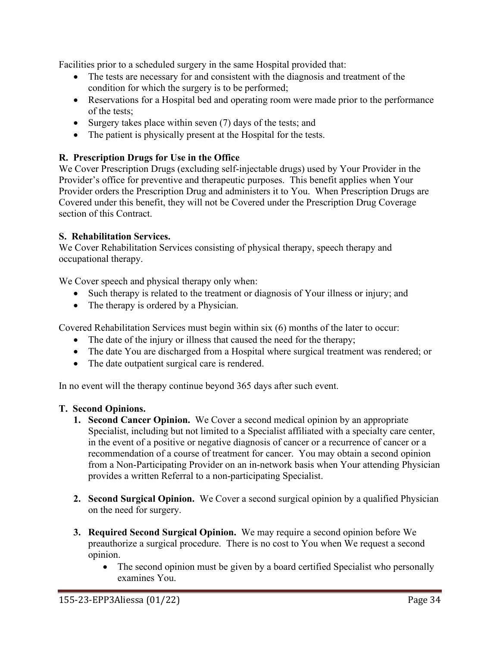Facilities prior to a scheduled surgery in the same Hospital provided that:

- The tests are necessary for and consistent with the diagnosis and treatment of the condition for which the surgery is to be performed;
- Reservations for a Hospital bed and operating room were made prior to the performance of the tests;
- Surgery takes place within seven (7) days of the tests; and
- The patient is physically present at the Hospital for the tests.

### **R. Prescription Drugs for Use in the Office**

We Cover Prescription Drugs (excluding self-injectable drugs) used by Your Provider in the Provider's office for preventive and therapeutic purposes. This benefit applies when Your Provider orders the Prescription Drug and administers it to You. When Prescription Drugs are Covered under this benefit, they will not be Covered under the Prescription Drug Coverage section of this Contract.

### **S. Rehabilitation Services.**

We Cover Rehabilitation Services consisting of physical therapy, speech therapy and occupational therapy.

We Cover speech and physical therapy only when:

- Such therapy is related to the treatment or diagnosis of Your illness or injury; and
- The therapy is ordered by a Physician.

Covered Rehabilitation Services must begin within six (6) months of the later to occur:

- The date of the injury or illness that caused the need for the therapy;
- The date You are discharged from a Hospital where surgical treatment was rendered; or
- The date outpatient surgical care is rendered.

In no event will the therapy continue beyond 365 days after such event.

### **T. Second Opinions.**

- **1. Second Cancer Opinion.** We Cover a second medical opinion by an appropriate Specialist, including but not limited to a Specialist affiliated with a specialty care center, in the event of a positive or negative diagnosis of cancer or a recurrence of cancer or a recommendation of a course of treatment for cancer. You may obtain a second opinion from a Non-Participating Provider on an in-network basis when Your attending Physician provides a written Referral to a non-participating Specialist.
- **2. Second Surgical Opinion.** We Cover a second surgical opinion by a qualified Physician on the need for surgery.
- **3. Required Second Surgical Opinion.** We may require a second opinion before We preauthorize a surgical procedure. There is no cost to You when We request a second opinion.
	- The second opinion must be given by a board certified Specialist who personally examines You.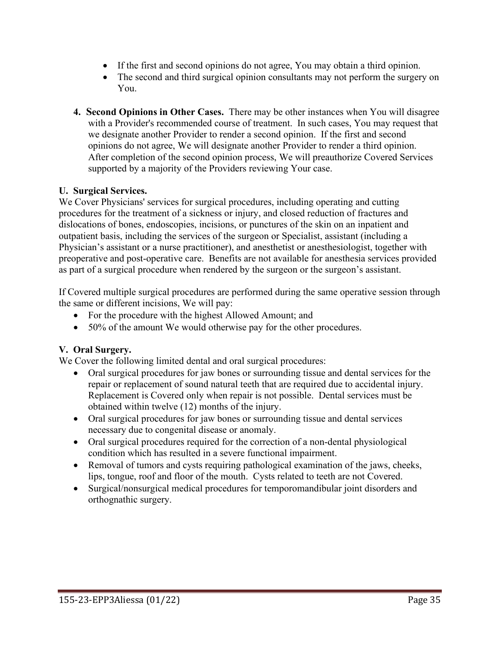- If the first and second opinions do not agree, You may obtain a third opinion.
- The second and third surgical opinion consultants may not perform the surgery on You.
- **4. Second Opinions in Other Cases.** There may be other instances when You will disagree with a Provider's recommended course of treatment. In such cases, You may request that we designate another Provider to render a second opinion. If the first and second opinions do not agree, We will designate another Provider to render a third opinion. After completion of the second opinion process, We will preauthorize Covered Services supported by a majority of the Providers reviewing Your case.

### **U. Surgical Services.**

We Cover Physicians' services for surgical procedures, including operating and cutting procedures for the treatment of a sickness or injury, and closed reduction of fractures and dislocations of bones, endoscopies, incisions, or punctures of the skin on an inpatient and outpatient basis, including the services of the surgeon or Specialist, assistant (including a Physician's assistant or a nurse practitioner), and anesthetist or anesthesiologist, together with preoperative and post-operative care. Benefits are not available for anesthesia services provided as part of a surgical procedure when rendered by the surgeon or the surgeon's assistant.

If Covered multiple surgical procedures are performed during the same operative session through the same or different incisions, We will pay:

- For the procedure with the highest Allowed Amount; and
- 50% of the amount We would otherwise pay for the other procedures.

### **V. Oral Surgery.**

We Cover the following limited dental and oral surgical procedures:

- Oral surgical procedures for jaw bones or surrounding tissue and dental services for the repair or replacement of sound natural teeth that are required due to accidental injury. Replacement is Covered only when repair is not possible. Dental services must be obtained within twelve (12) months of the injury.
- Oral surgical procedures for jaw bones or surrounding tissue and dental services necessary due to congenital disease or anomaly.
- Oral surgical procedures required for the correction of a non-dental physiological condition which has resulted in a severe functional impairment.
- Removal of tumors and cysts requiring pathological examination of the jaws, cheeks, lips, tongue, roof and floor of the mouth. Cysts related to teeth are not Covered.
- Surgical/nonsurgical medical procedures for temporomandibular joint disorders and orthognathic surgery.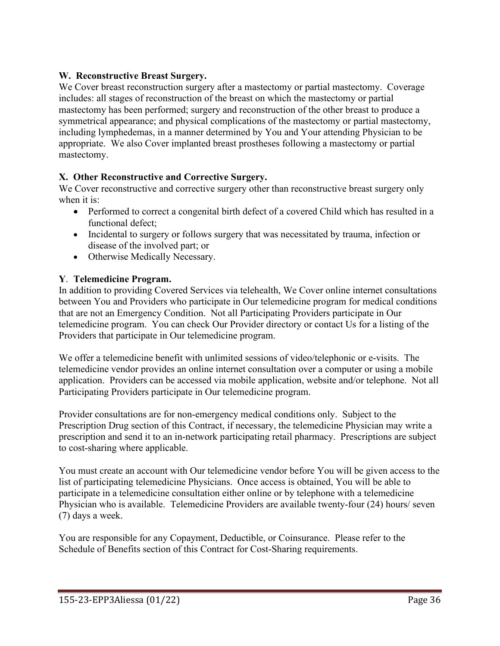# **W. Reconstructive Breast Surgery.**

We Cover breast reconstruction surgery after a mastectomy or partial mastectomy. Coverage includes: all stages of reconstruction of the breast on which the mastectomy or partial mastectomy has been performed; surgery and reconstruction of the other breast to produce a symmetrical appearance; and physical complications of the mastectomy or partial mastectomy, including lymphedemas, in a manner determined by You and Your attending Physician to be appropriate. We also Cover implanted breast prostheses following a mastectomy or partial mastectomy.

# **X. Other Reconstructive and Corrective Surgery.**

We Cover reconstructive and corrective surgery other than reconstructive breast surgery only when it is:

- Performed to correct a congenital birth defect of a covered Child which has resulted in a functional defect;
- Incidental to surgery or follows surgery that was necessitated by trauma, infection or disease of the involved part; or
- Otherwise Medically Necessary.

### **Y**. **Telemedicine Program.**

In addition to providing Covered Services via telehealth, We Cover online internet consultations between You and Providers who participate in Our telemedicine program for medical conditions that are not an Emergency Condition. Not all Participating Providers participate in Our telemedicine program. You can check Our Provider directory or contact Us for a listing of the Providers that participate in Our telemedicine program.

We offer a telemedicine benefit with unlimited sessions of video/telephonic or e-visits. The telemedicine vendor provides an online internet consultation over a computer or using a mobile application. Providers can be accessed via mobile application, website and/or telephone. Not all Participating Providers participate in Our telemedicine program.

Provider consultations are for non-emergency medical conditions only. Subject to the Prescription Drug section of this Contract, if necessary, the telemedicine Physician may write a prescription and send it to an in-network participating retail pharmacy. Prescriptions are subject to cost-sharing where applicable.

You must create an account with Our telemedicine vendor before You will be given access to the list of participating telemedicine Physicians. Once access is obtained, You will be able to participate in a telemedicine consultation either online or by telephone with a telemedicine Physician who is available. Telemedicine Providers are available twenty-four (24) hours/ seven (7) days a week.

You are responsible for any Copayment, Deductible, or Coinsurance. Please refer to the Schedule of Benefits section of this Contract for Cost-Sharing requirements.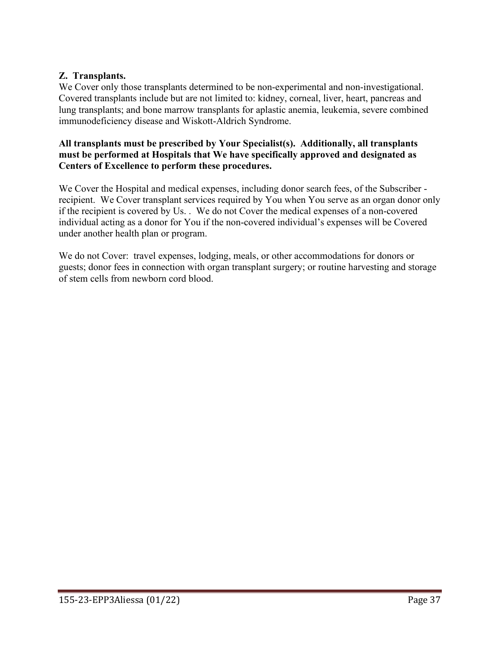### **Z. Transplants.**

We Cover only those transplants determined to be non-experimental and non-investigational. Covered transplants include but are not limited to: kidney, corneal, liver, heart, pancreas and lung transplants; and bone marrow transplants for aplastic anemia, leukemia, severe combined immunodeficiency disease and Wiskott-Aldrich Syndrome.

#### **All transplants must be prescribed by Your Specialist(s). Additionally, all transplants must be performed at Hospitals that We have specifically approved and designated as Centers of Excellence to perform these procedures.**

We Cover the Hospital and medical expenses, including donor search fees, of the Subscriber recipient. We Cover transplant services required by You when You serve as an organ donor only if the recipient is covered by Us. . We do not Cover the medical expenses of a non-covered individual acting as a donor for You if the non-covered individual's expenses will be Covered under another health plan or program.

We do not Cover: travel expenses, lodging, meals, or other accommodations for donors or guests; donor fees in connection with organ transplant surgery; or routine harvesting and storage of stem cells from newborn cord blood.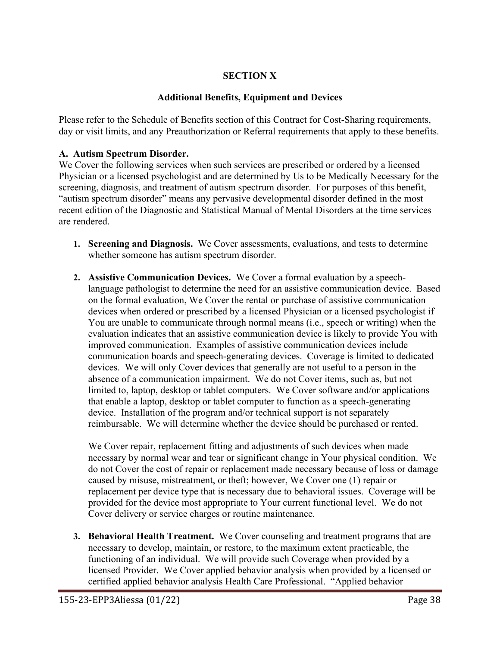# **SECTION X**

### **Additional Benefits, Equipment and Devices**

Please refer to the Schedule of Benefits section of this Contract for Cost-Sharing requirements, day or visit limits, and any Preauthorization or Referral requirements that apply to these benefits.

#### **A. Autism Spectrum Disorder.**

We Cover the following services when such services are prescribed or ordered by a licensed Physician or a licensed psychologist and are determined by Us to be Medically Necessary for the screening, diagnosis, and treatment of autism spectrum disorder. For purposes of this benefit, "autism spectrum disorder" means any pervasive developmental disorder defined in the most recent edition of the Diagnostic and Statistical Manual of Mental Disorders at the time services are rendered.

- **1. Screening and Diagnosis.** We Cover assessments, evaluations, and tests to determine whether someone has autism spectrum disorder.
- **2. Assistive Communication Devices.** We Cover a formal evaluation by a speechlanguage pathologist to determine the need for an assistive communication device. Based on the formal evaluation, We Cover the rental or purchase of assistive communication devices when ordered or prescribed by a licensed Physician or a licensed psychologist if You are unable to communicate through normal means (i.e., speech or writing) when the evaluation indicates that an assistive communication device is likely to provide You with improved communication. Examples of assistive communication devices include communication boards and speech-generating devices. Coverage is limited to dedicated devices. We will only Cover devices that generally are not useful to a person in the absence of a communication impairment. We do not Cover items, such as, but not limited to, laptop, desktop or tablet computers. We Cover software and/or applications that enable a laptop, desktop or tablet computer to function as a speech-generating device. Installation of the program and/or technical support is not separately reimbursable. We will determine whether the device should be purchased or rented.

We Cover repair, replacement fitting and adjustments of such devices when made necessary by normal wear and tear or significant change in Your physical condition. We do not Cover the cost of repair or replacement made necessary because of loss or damage caused by misuse, mistreatment, or theft; however, We Cover one (1) repair or replacement per device type that is necessary due to behavioral issues. Coverage will be provided for the device most appropriate to Your current functional level. We do not Cover delivery or service charges or routine maintenance.

**3. Behavioral Health Treatment.** We Cover counseling and treatment programs that are necessary to develop, maintain, or restore, to the maximum extent practicable, the functioning of an individual. We will provide such Coverage when provided by a licensed Provider. We Cover applied behavior analysis when provided by a licensed or certified applied behavior analysis Health Care Professional. "Applied behavior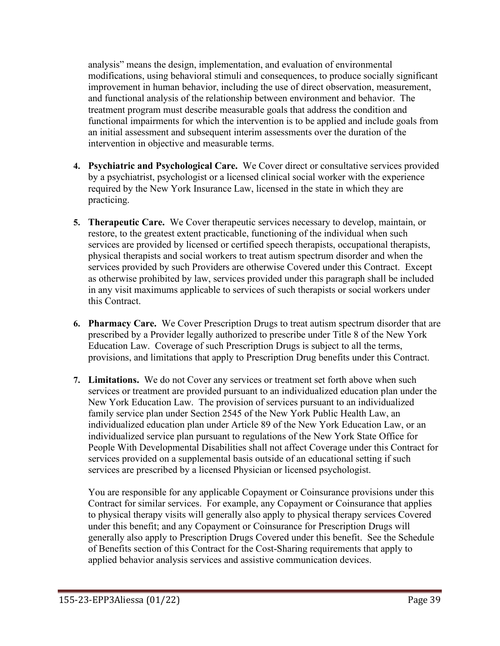analysis" means the design, implementation, and evaluation of environmental modifications, using behavioral stimuli and consequences, to produce socially significant improvement in human behavior, including the use of direct observation, measurement, and functional analysis of the relationship between environment and behavior. The treatment program must describe measurable goals that address the condition and functional impairments for which the intervention is to be applied and include goals from an initial assessment and subsequent interim assessments over the duration of the intervention in objective and measurable terms.

- **4. Psychiatric and Psychological Care.** We Cover direct or consultative services provided by a psychiatrist, psychologist or a licensed clinical social worker with the experience required by the New York Insurance Law, licensed in the state in which they are practicing.
- **5. Therapeutic Care.** We Cover therapeutic services necessary to develop, maintain, or restore, to the greatest extent practicable, functioning of the individual when such services are provided by licensed or certified speech therapists, occupational therapists, physical therapists and social workers to treat autism spectrum disorder and when the services provided by such Providers are otherwise Covered under this Contract. Except as otherwise prohibited by law, services provided under this paragraph shall be included in any visit maximums applicable to services of such therapists or social workers under this Contract.
- **6. Pharmacy Care.** We Cover Prescription Drugs to treat autism spectrum disorder that are prescribed by a Provider legally authorized to prescribe under Title 8 of the New York Education Law. Coverage of such Prescription Drugs is subject to all the terms, provisions, and limitations that apply to Prescription Drug benefits under this Contract.
- **7. Limitations.** We do not Cover any services or treatment set forth above when such services or treatment are provided pursuant to an individualized education plan under the New York Education Law. The provision of services pursuant to an individualized family service plan under Section 2545 of the New York Public Health Law, an individualized education plan under Article 89 of the New York Education Law, or an individualized service plan pursuant to regulations of the New York State Office for People With Developmental Disabilities shall not affect Coverage under this Contract for services provided on a supplemental basis outside of an educational setting if such services are prescribed by a licensed Physician or licensed psychologist.

You are responsible for any applicable Copayment or Coinsurance provisions under this Contract for similar services. For example, any Copayment or Coinsurance that applies to physical therapy visits will generally also apply to physical therapy services Covered under this benefit; and any Copayment or Coinsurance for Prescription Drugs will generally also apply to Prescription Drugs Covered under this benefit. See the Schedule of Benefits section of this Contract for the Cost-Sharing requirements that apply to applied behavior analysis services and assistive communication devices.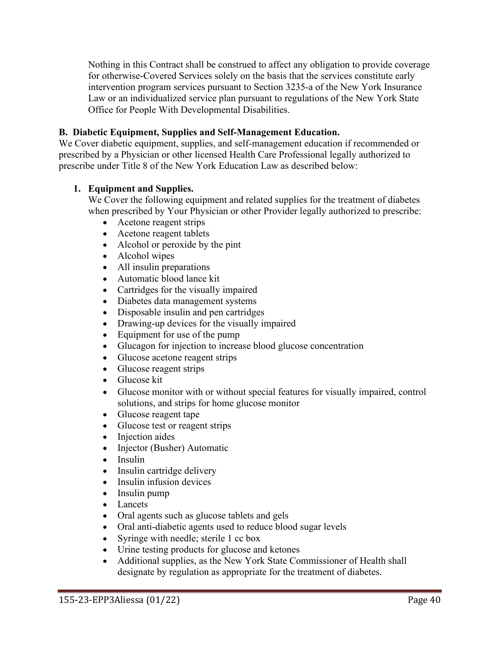Nothing in this Contract shall be construed to affect any obligation to provide coverage for otherwise-Covered Services solely on the basis that the services constitute early intervention program services pursuant to Section 3235-a of the New York Insurance Law or an individualized service plan pursuant to regulations of the New York State Office for People With Developmental Disabilities.

### **B. Diabetic Equipment, Supplies and Self-Management Education.**

We Cover diabetic equipment, supplies, and self-management education if recommended or prescribed by a Physician or other licensed Health Care Professional legally authorized to prescribe under Title 8 of the New York Education Law as described below:

### **1. Equipment and Supplies.**

We Cover the following equipment and related supplies for the treatment of diabetes when prescribed by Your Physician or other Provider legally authorized to prescribe:

- Acetone reagent strips
- Acetone reagent tablets
- Alcohol or peroxide by the pint
- Alcohol wipes
- All insulin preparations
- Automatic blood lance kit
- Cartridges for the visually impaired
- Diabetes data management systems
- Disposable insulin and pen cartridges
- Drawing-up devices for the visually impaired
- Equipment for use of the pump
- Glucagon for injection to increase blood glucose concentration
- Glucose acetone reagent strips
- Glucose reagent strips
- Glucose kit
- Glucose monitor with or without special features for visually impaired, control solutions, and strips for home glucose monitor
- Glucose reagent tape
- Glucose test or reagent strips
- Injection aides
- Injector (Busher) Automatic
- Insulin
- Insulin cartridge delivery
- Insulin infusion devices
- Insulin pump
- Lancets
- Oral agents such as glucose tablets and gels
- Oral anti-diabetic agents used to reduce blood sugar levels
- Syringe with needle; sterile 1 cc box
- Urine testing products for glucose and ketones
- Additional supplies, as the New York State Commissioner of Health shall designate by regulation as appropriate for the treatment of diabetes.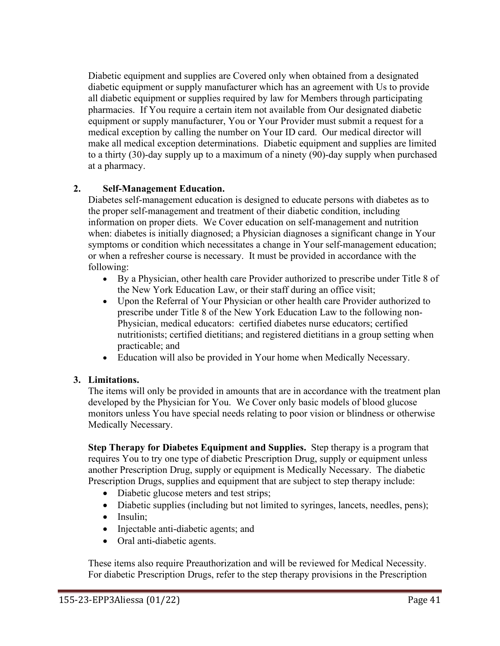Diabetic equipment and supplies are Covered only when obtained from a designated diabetic equipment or supply manufacturer which has an agreement with Us to provide all diabetic equipment or supplies required by law for Members through participating pharmacies. If You require a certain item not available from Our designated diabetic equipment or supply manufacturer, You or Your Provider must submit a request for a medical exception by calling the number on Your ID card. Our medical director will make all medical exception determinations. Diabetic equipment and supplies are limited to a thirty (30)-day supply up to a maximum of a ninety (90)-day supply when purchased at a pharmacy.

# **2. Self-Management Education.**

Diabetes self-management education is designed to educate persons with diabetes as to the proper self-management and treatment of their diabetic condition, including information on proper diets. We Cover education on self-management and nutrition when: diabetes is initially diagnosed; a Physician diagnoses a significant change in Your symptoms or condition which necessitates a change in Your self-management education; or when a refresher course is necessary. It must be provided in accordance with the following:

- By a Physician, other health care Provider authorized to prescribe under Title 8 of the New York Education Law, or their staff during an office visit;
- Upon the Referral of Your Physician or other health care Provider authorized to prescribe under Title 8 of the New York Education Law to the following non-Physician, medical educators: certified diabetes nurse educators; certified nutritionists; certified dietitians; and registered dietitians in a group setting when practicable; and
- Education will also be provided in Your home when Medically Necessary.

### **3. Limitations.**

The items will only be provided in amounts that are in accordance with the treatment plan developed by the Physician for You. We Cover only basic models of blood glucose monitors unless You have special needs relating to poor vision or blindness or otherwise Medically Necessary.

**Step Therapy for Diabetes Equipment and Supplies.** Step therapy is a program that requires You to try one type of diabetic Prescription Drug, supply or equipment unless another Prescription Drug, supply or equipment is Medically Necessary. The diabetic Prescription Drugs, supplies and equipment that are subject to step therapy include:

- Diabetic glucose meters and test strips;
- Diabetic supplies (including but not limited to syringes, lancets, needles, pens);
- Insulin:
- Injectable anti-diabetic agents; and
- Oral anti-diabetic agents.

These items also require Preauthorization and will be reviewed for Medical Necessity. For diabetic Prescription Drugs, refer to the step therapy provisions in the Prescription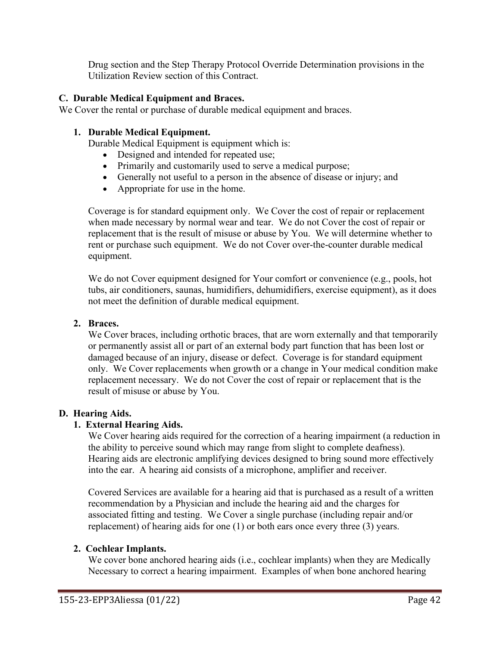Drug section and the Step Therapy Protocol Override Determination provisions in the Utilization Review section of this Contract.

### **C. Durable Medical Equipment and Braces.**

We Cover the rental or purchase of durable medical equipment and braces.

### **1. Durable Medical Equipment.**

Durable Medical Equipment is equipment which is:

- Designed and intended for repeated use;
- Primarily and customarily used to serve a medical purpose;
- Generally not useful to a person in the absence of disease or injury; and
- Appropriate for use in the home.

Coverage is for standard equipment only. We Cover the cost of repair or replacement when made necessary by normal wear and tear. We do not Cover the cost of repair or replacement that is the result of misuse or abuse by You. We will determine whether to rent or purchase such equipment. We do not Cover over-the-counter durable medical equipment.

We do not Cover equipment designed for Your comfort or convenience (e.g., pools, hot tubs, air conditioners, saunas, humidifiers, dehumidifiers, exercise equipment), as it does not meet the definition of durable medical equipment.

### **2. Braces.**

We Cover braces, including orthotic braces, that are worn externally and that temporarily or permanently assist all or part of an external body part function that has been lost or damaged because of an injury, disease or defect. Coverage is for standard equipment only. We Cover replacements when growth or a change in Your medical condition make replacement necessary. We do not Cover the cost of repair or replacement that is the result of misuse or abuse by You.

### **D. Hearing Aids.**

# **1. External Hearing Aids.**

We Cover hearing aids required for the correction of a hearing impairment (a reduction in the ability to perceive sound which may range from slight to complete deafness). Hearing aids are electronic amplifying devices designed to bring sound more effectively into the ear. A hearing aid consists of a microphone, amplifier and receiver.

Covered Services are available for a hearing aid that is purchased as a result of a written recommendation by a Physician and include the hearing aid and the charges for associated fitting and testing. We Cover a single purchase (including repair and/or replacement) of hearing aids for one (1) or both ears once every three (3) years.

### **2. Cochlear Implants.**

We cover bone anchored hearing aids (i.e., cochlear implants) when they are Medically Necessary to correct a hearing impairment. Examples of when bone anchored hearing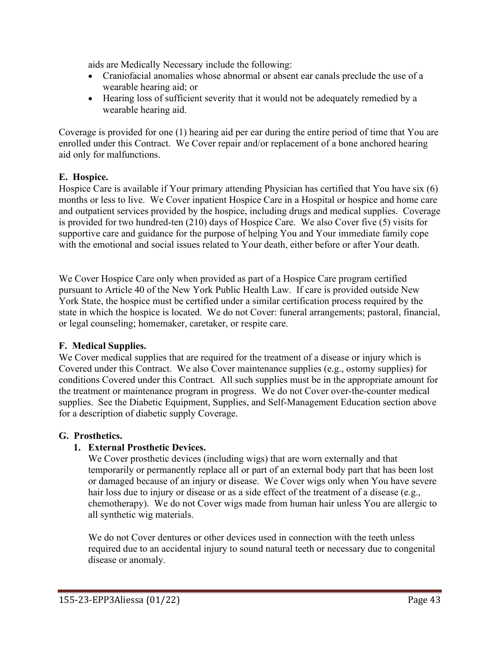aids are Medically Necessary include the following:

- Craniofacial anomalies whose abnormal or absent ear canals preclude the use of a wearable hearing aid; or
- Hearing loss of sufficient severity that it would not be adequately remedied by a wearable hearing aid.

Coverage is provided for one (1) hearing aid per ear during the entire period of time that You are enrolled under this Contract. We Cover repair and/or replacement of a bone anchored hearing aid only for malfunctions.

### **E. Hospice.**

Hospice Care is available if Your primary attending Physician has certified that You have six (6) months or less to live. We Cover inpatient Hospice Care in a Hospital or hospice and home care and outpatient services provided by the hospice, including drugs and medical supplies. Coverage is provided for two hundred-ten (210) days of Hospice Care. We also Cover five (5) visits for supportive care and guidance for the purpose of helping You and Your immediate family cope with the emotional and social issues related to Your death, either before or after Your death.

We Cover Hospice Care only when provided as part of a Hospice Care program certified pursuant to Article 40 of the New York Public Health Law. If care is provided outside New York State, the hospice must be certified under a similar certification process required by the state in which the hospice is located. We do not Cover: funeral arrangements; pastoral, financial, or legal counseling; homemaker, caretaker, or respite care.

### **F. Medical Supplies.**

We Cover medical supplies that are required for the treatment of a disease or injury which is Covered under this Contract. We also Cover maintenance supplies (e.g., ostomy supplies) for conditions Covered under this Contract. All such supplies must be in the appropriate amount for the treatment or maintenance program in progress. We do not Cover over-the-counter medical supplies. See the Diabetic Equipment, Supplies, and Self-Management Education section above for a description of diabetic supply Coverage.

### **G. Prosthetics.**

# **1. External Prosthetic Devices.**

We Cover prosthetic devices (including wigs) that are worn externally and that temporarily or permanently replace all or part of an external body part that has been lost or damaged because of an injury or disease. We Cover wigs only when You have severe hair loss due to injury or disease or as a side effect of the treatment of a disease (e.g., chemotherapy). We do not Cover wigs made from human hair unless You are allergic to all synthetic wig materials.

We do not Cover dentures or other devices used in connection with the teeth unless required due to an accidental injury to sound natural teeth or necessary due to congenital disease or anomaly.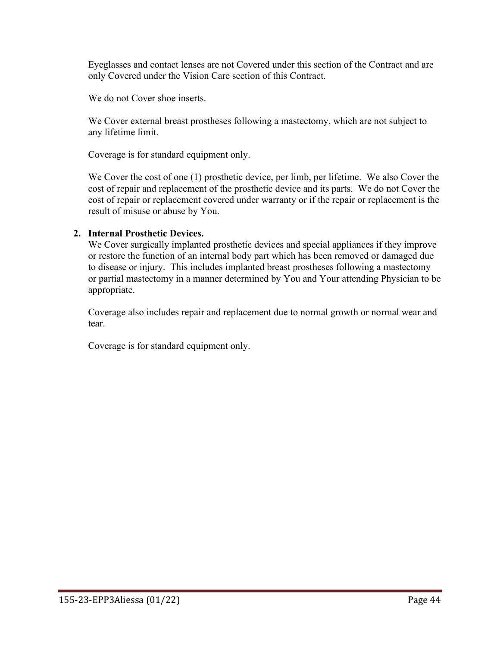Eyeglasses and contact lenses are not Covered under this section of the Contract and are only Covered under the Vision Care section of this Contract.

We do not Cover shoe inserts.

We Cover external breast prostheses following a mastectomy, which are not subject to any lifetime limit.

Coverage is for standard equipment only.

We Cover the cost of one (1) prosthetic device, per limb, per lifetime. We also Cover the cost of repair and replacement of the prosthetic device and its parts. We do not Cover the cost of repair or replacement covered under warranty or if the repair or replacement is the result of misuse or abuse by You.

#### **2. Internal Prosthetic Devices.**

We Cover surgically implanted prosthetic devices and special appliances if they improve or restore the function of an internal body part which has been removed or damaged due to disease or injury. This includes implanted breast prostheses following a mastectomy or partial mastectomy in a manner determined by You and Your attending Physician to be appropriate.

Coverage also includes repair and replacement due to normal growth or normal wear and tear.

Coverage is for standard equipment only.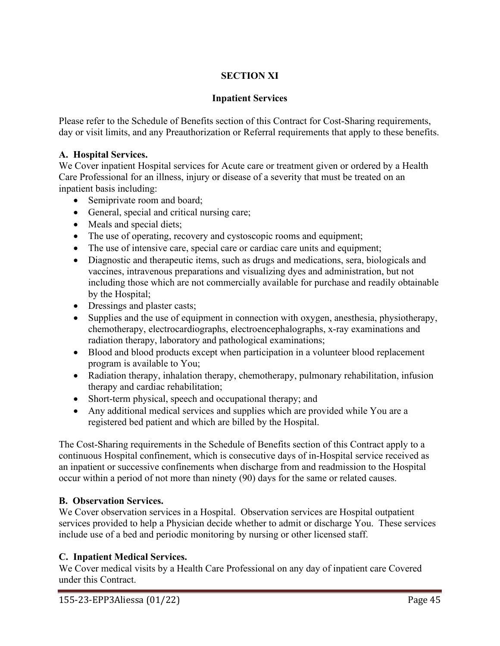# **SECTION XI**

# **Inpatient Services**

Please refer to the Schedule of Benefits section of this Contract for Cost-Sharing requirements, day or visit limits, and any Preauthorization or Referral requirements that apply to these benefits.

### **A. Hospital Services.**

We Cover inpatient Hospital services for Acute care or treatment given or ordered by a Health Care Professional for an illness, injury or disease of a severity that must be treated on an inpatient basis including:

- Semiprivate room and board;
- General, special and critical nursing care;
- Meals and special diets;
- The use of operating, recovery and cystoscopic rooms and equipment;
- The use of intensive care, special care or cardiac care units and equipment;
- Diagnostic and therapeutic items, such as drugs and medications, sera, biologicals and vaccines, intravenous preparations and visualizing dyes and administration, but not including those which are not commercially available for purchase and readily obtainable by the Hospital;
- Dressings and plaster casts;
- Supplies and the use of equipment in connection with oxygen, anesthesia, physiotherapy, chemotherapy, electrocardiographs, electroencephalographs, x-ray examinations and radiation therapy, laboratory and pathological examinations;
- Blood and blood products except when participation in a volunteer blood replacement program is available to You;
- Radiation therapy, inhalation therapy, chemotherapy, pulmonary rehabilitation, infusion therapy and cardiac rehabilitation;
- Short-term physical, speech and occupational therapy; and
- Any additional medical services and supplies which are provided while You are a registered bed patient and which are billed by the Hospital.

The Cost-Sharing requirements in the Schedule of Benefits section of this Contract apply to a continuous Hospital confinement, which is consecutive days of in-Hospital service received as an inpatient or successive confinements when discharge from and readmission to the Hospital occur within a period of not more than ninety (90) days for the same or related causes.

# **B. Observation Services.**

We Cover observation services in a Hospital. Observation services are Hospital outpatient services provided to help a Physician decide whether to admit or discharge You. These services include use of a bed and periodic monitoring by nursing or other licensed staff.

# **C. Inpatient Medical Services.**

We Cover medical visits by a Health Care Professional on any day of inpatient care Covered under this Contract.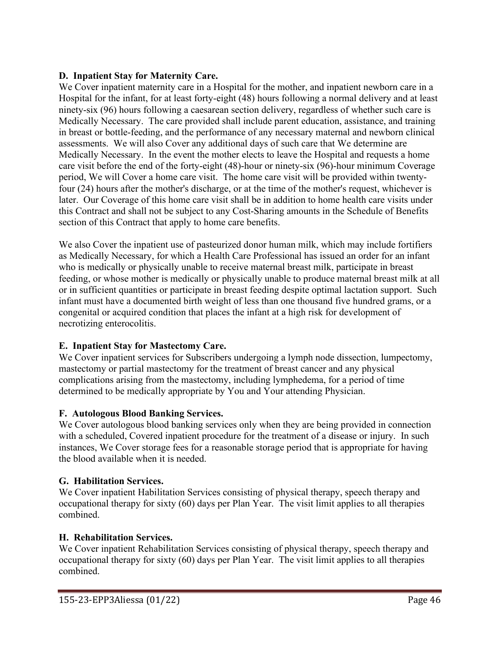### **D. Inpatient Stay for Maternity Care.**

We Cover inpatient maternity care in a Hospital for the mother, and inpatient newborn care in a Hospital for the infant, for at least forty-eight (48) hours following a normal delivery and at least ninety-six (96) hours following a caesarean section delivery, regardless of whether such care is Medically Necessary. The care provided shall include parent education, assistance, and training in breast or bottle-feeding, and the performance of any necessary maternal and newborn clinical assessments. We will also Cover any additional days of such care that We determine are Medically Necessary. In the event the mother elects to leave the Hospital and requests a home care visit before the end of the forty-eight (48)-hour or ninety-six (96)-hour minimum Coverage period, We will Cover a home care visit. The home care visit will be provided within twentyfour (24) hours after the mother's discharge, or at the time of the mother's request, whichever is later. Our Coverage of this home care visit shall be in addition to home health care visits under this Contract and shall not be subject to any Cost-Sharing amounts in the Schedule of Benefits section of this Contract that apply to home care benefits.

We also Cover the inpatient use of pasteurized donor human milk, which may include fortifiers as Medically Necessary, for which a Health Care Professional has issued an order for an infant who is medically or physically unable to receive maternal breast milk, participate in breast feeding, or whose mother is medically or physically unable to produce maternal breast milk at all or in sufficient quantities or participate in breast feeding despite optimal lactation support. Such infant must have a documented birth weight of less than one thousand five hundred grams, or a congenital or acquired condition that places the infant at a high risk for development of necrotizing enterocolitis.

# **E. Inpatient Stay for Mastectomy Care.**

We Cover inpatient services for Subscribers undergoing a lymph node dissection, lumpectomy, mastectomy or partial mastectomy for the treatment of breast cancer and any physical complications arising from the mastectomy, including lymphedema, for a period of time determined to be medically appropriate by You and Your attending Physician.

### **F. Autologous Blood Banking Services.**

We Cover autologous blood banking services only when they are being provided in connection with a scheduled, Covered inpatient procedure for the treatment of a disease or injury. In such instances, We Cover storage fees for a reasonable storage period that is appropriate for having the blood available when it is needed.

# **G. Habilitation Services.**

We Cover inpatient Habilitation Services consisting of physical therapy, speech therapy and occupational therapy for sixty (60) days per Plan Year. The visit limit applies to all therapies combined.

### **H. Rehabilitation Services.**

We Cover inpatient Rehabilitation Services consisting of physical therapy, speech therapy and occupational therapy for sixty (60) days per Plan Year. The visit limit applies to all therapies combined.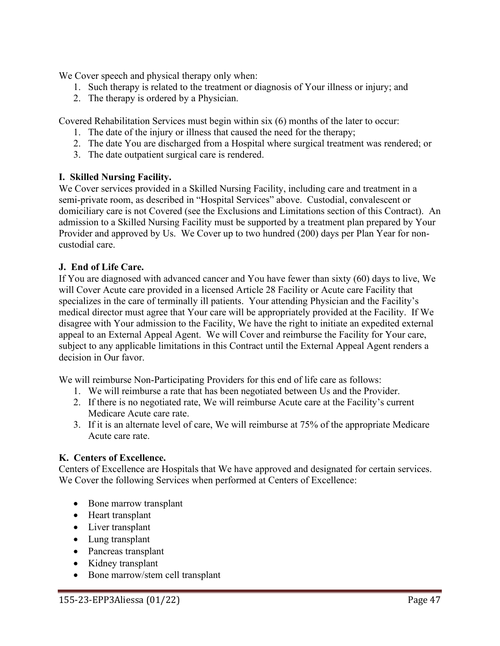We Cover speech and physical therapy only when:

- 1. Such therapy is related to the treatment or diagnosis of Your illness or injury; and
- 2. The therapy is ordered by a Physician.

Covered Rehabilitation Services must begin within six (6) months of the later to occur:

- 1. The date of the injury or illness that caused the need for the therapy;
- 2. The date You are discharged from a Hospital where surgical treatment was rendered; or
- 3. The date outpatient surgical care is rendered.

### **I. Skilled Nursing Facility.**

We Cover services provided in a Skilled Nursing Facility, including care and treatment in a semi-private room, as described in "Hospital Services" above. Custodial, convalescent or domiciliary care is not Covered (see the Exclusions and Limitations section of this Contract). An admission to a Skilled Nursing Facility must be supported by a treatment plan prepared by Your Provider and approved by Us. We Cover up to two hundred (200) days per Plan Year for noncustodial care.

### **J. End of Life Care.**

If You are diagnosed with advanced cancer and You have fewer than sixty (60) days to live, We will Cover Acute care provided in a licensed Article 28 Facility or Acute care Facility that specializes in the care of terminally ill patients. Your attending Physician and the Facility's medical director must agree that Your care will be appropriately provided at the Facility. If We disagree with Your admission to the Facility, We have the right to initiate an expedited external appeal to an External Appeal Agent. We will Cover and reimburse the Facility for Your care, subject to any applicable limitations in this Contract until the External Appeal Agent renders a decision in Our favor.

We will reimburse Non-Participating Providers for this end of life care as follows:

- 1. We will reimburse a rate that has been negotiated between Us and the Provider.
- 2. If there is no negotiated rate, We will reimburse Acute care at the Facility's current Medicare Acute care rate.
- 3. If it is an alternate level of care, We will reimburse at 75% of the appropriate Medicare Acute care rate.

### **K. Centers of Excellence.**

Centers of Excellence are Hospitals that We have approved and designated for certain services. We Cover the following Services when performed at Centers of Excellence:

- Bone marrow transplant
- Heart transplant
- Liver transplant
- Lung transplant
- Pancreas transplant
- Kidney transplant
- Bone marrow/stem cell transplant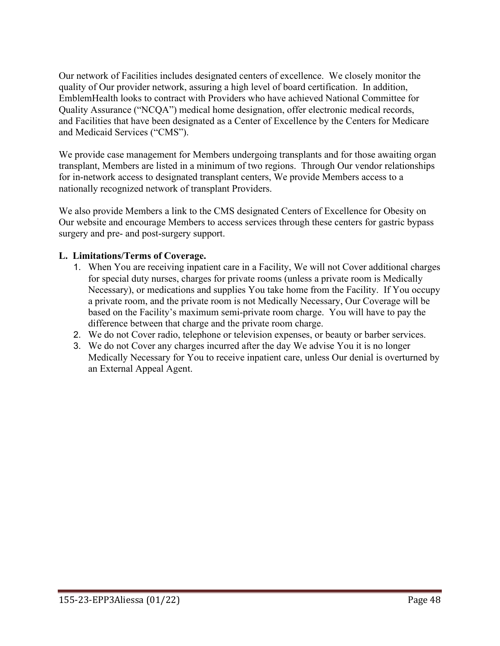Our network of Facilities includes designated centers of excellence. We closely monitor the quality of Our provider network, assuring a high level of board certification. In addition, EmblemHealth looks to contract with Providers who have achieved National Committee for Quality Assurance ("NCQA") medical home designation, offer electronic medical records, and Facilities that have been designated as a Center of Excellence by the Centers for Medicare and Medicaid Services ("CMS").

We provide case management for Members undergoing transplants and for those awaiting organ transplant, Members are listed in a minimum of two regions. Through Our vendor relationships for in-network access to designated transplant centers, We provide Members access to a nationally recognized network of transplant Providers.

We also provide Members a link to the CMS designated Centers of Excellence for Obesity on Our website and encourage Members to access services through these centers for gastric bypass surgery and pre- and post-surgery support.

### **L. Limitations/Terms of Coverage.**

- 1. When You are receiving inpatient care in a Facility, We will not Cover additional charges for special duty nurses, charges for private rooms (unless a private room is Medically Necessary), or medications and supplies You take home from the Facility. If You occupy a private room, and the private room is not Medically Necessary, Our Coverage will be based on the Facility's maximum semi-private room charge. You will have to pay the difference between that charge and the private room charge.
- 2. We do not Cover radio, telephone or television expenses, or beauty or barber services.
- 3. We do not Cover any charges incurred after the day We advise You it is no longer Medically Necessary for You to receive inpatient care, unless Our denial is overturned by an External Appeal Agent.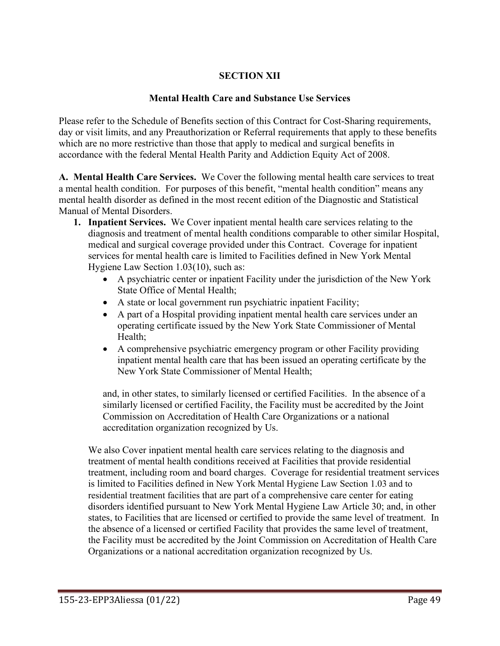# **SECTION XII**

#### **Mental Health Care and Substance Use Services**

Please refer to the Schedule of Benefits section of this Contract for Cost-Sharing requirements, day or visit limits, and any Preauthorization or Referral requirements that apply to these benefits which are no more restrictive than those that apply to medical and surgical benefits in accordance with the federal Mental Health Parity and Addiction Equity Act of 2008.

**A. Mental Health Care Services.** We Cover the following mental health care services to treat a mental health condition. For purposes of this benefit, "mental health condition" means any mental health disorder as defined in the most recent edition of the Diagnostic and Statistical Manual of Mental Disorders.

- **1. Inpatient Services.** We Cover inpatient mental health care services relating to the diagnosis and treatment of mental health conditions comparable to other similar Hospital, medical and surgical coverage provided under this Contract. Coverage for inpatient services for mental health care is limited to Facilities defined in New York Mental Hygiene Law Section 1.03(10), such as:
	- A psychiatric center or inpatient Facility under the jurisdiction of the New York State Office of Mental Health;
	- A state or local government run psychiatric inpatient Facility;
	- A part of a Hospital providing inpatient mental health care services under an operating certificate issued by the New York State Commissioner of Mental Health;
	- A comprehensive psychiatric emergency program or other Facility providing inpatient mental health care that has been issued an operating certificate by the New York State Commissioner of Mental Health;

and, in other states, to similarly licensed or certified Facilities. In the absence of a similarly licensed or certified Facility, the Facility must be accredited by the Joint Commission on Accreditation of Health Care Organizations or a national accreditation organization recognized by Us.

We also Cover inpatient mental health care services relating to the diagnosis and treatment of mental health conditions received at Facilities that provide residential treatment, including room and board charges. Coverage for residential treatment services is limited to Facilities defined in New York Mental Hygiene Law Section 1.03 and to residential treatment facilities that are part of a comprehensive care center for eating disorders identified pursuant to New York Mental Hygiene Law Article 30; and, in other states, to Facilities that are licensed or certified to provide the same level of treatment. In the absence of a licensed or certified Facility that provides the same level of treatment, the Facility must be accredited by the Joint Commission on Accreditation of Health Care Organizations or a national accreditation organization recognized by Us.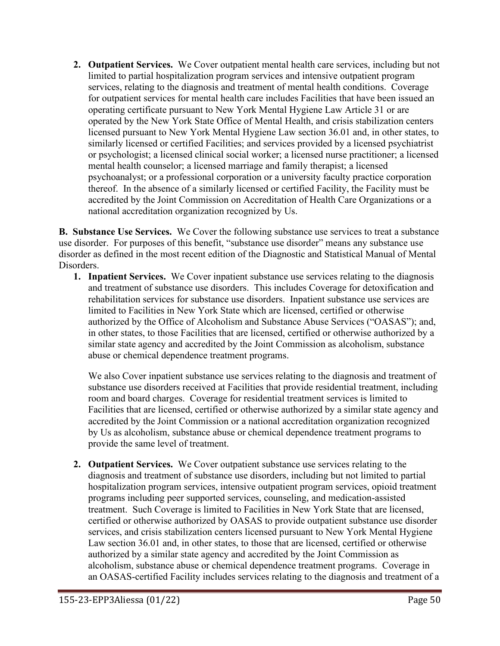**2. Outpatient Services.** We Cover outpatient mental health care services, including but not limited to partial hospitalization program services and intensive outpatient program services, relating to the diagnosis and treatment of mental health conditions. Coverage for outpatient services for mental health care includes Facilities that have been issued an operating certificate pursuant to New York Mental Hygiene Law Article 31 or are operated by the New York State Office of Mental Health, and crisis stabilization centers licensed pursuant to New York Mental Hygiene Law section 36.01 and, in other states, to similarly licensed or certified Facilities; and services provided by a licensed psychiatrist or psychologist; a licensed clinical social worker; a licensed nurse practitioner; a licensed mental health counselor; a licensed marriage and family therapist; a licensed psychoanalyst; or a professional corporation or a university faculty practice corporation thereof. In the absence of a similarly licensed or certified Facility, the Facility must be accredited by the Joint Commission on Accreditation of Health Care Organizations or a national accreditation organization recognized by Us.

**B. Substance Use Services.** We Cover the following substance use services to treat a substance use disorder. For purposes of this benefit, "substance use disorder" means any substance use disorder as defined in the most recent edition of the Diagnostic and Statistical Manual of Mental Disorders.

**1. Inpatient Services.** We Cover inpatient substance use services relating to the diagnosis and treatment of substance use disorders. This includes Coverage for detoxification and rehabilitation services for substance use disorders. Inpatient substance use services are limited to Facilities in New York State which are licensed, certified or otherwise authorized by the Office of Alcoholism and Substance Abuse Services ("OASAS"); and, in other states, to those Facilities that are licensed, certified or otherwise authorized by a similar state agency and accredited by the Joint Commission as alcoholism, substance abuse or chemical dependence treatment programs.

We also Cover inpatient substance use services relating to the diagnosis and treatment of substance use disorders received at Facilities that provide residential treatment, including room and board charges. Coverage for residential treatment services is limited to Facilities that are licensed, certified or otherwise authorized by a similar state agency and accredited by the Joint Commission or a national accreditation organization recognized by Us as alcoholism, substance abuse or chemical dependence treatment programs to provide the same level of treatment.

**2. Outpatient Services.** We Cover outpatient substance use services relating to the diagnosis and treatment of substance use disorders, including but not limited to partial hospitalization program services, intensive outpatient program services, opioid treatment programs including peer supported services, counseling, and medication-assisted treatment. Such Coverage is limited to Facilities in New York State that are licensed, certified or otherwise authorized by OASAS to provide outpatient substance use disorder services, and crisis stabilization centers licensed pursuant to New York Mental Hygiene Law section 36.01 and, in other states, to those that are licensed, certified or otherwise authorized by a similar state agency and accredited by the Joint Commission as alcoholism, substance abuse or chemical dependence treatment programs. Coverage in an OASAS-certified Facility includes services relating to the diagnosis and treatment of a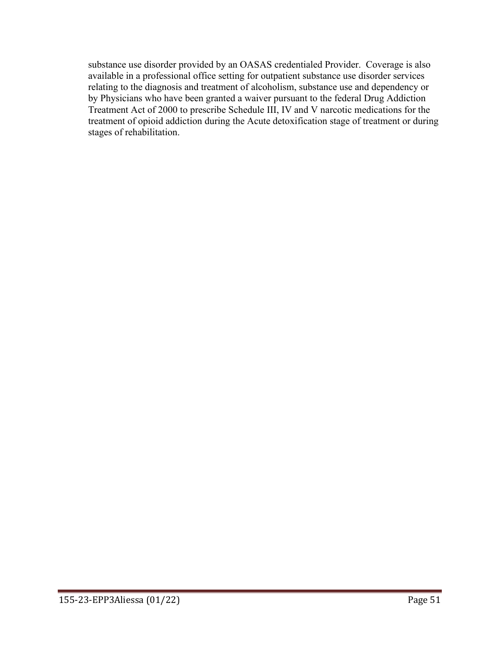substance use disorder provided by an OASAS credentialed Provider. Coverage is also available in a professional office setting for outpatient substance use disorder services relating to the diagnosis and treatment of alcoholism, substance use and dependency or by Physicians who have been granted a waiver pursuant to the federal Drug Addiction Treatment Act of 2000 to prescribe Schedule III, IV and V narcotic medications for the treatment of opioid addiction during the Acute detoxification stage of treatment or during stages of rehabilitation.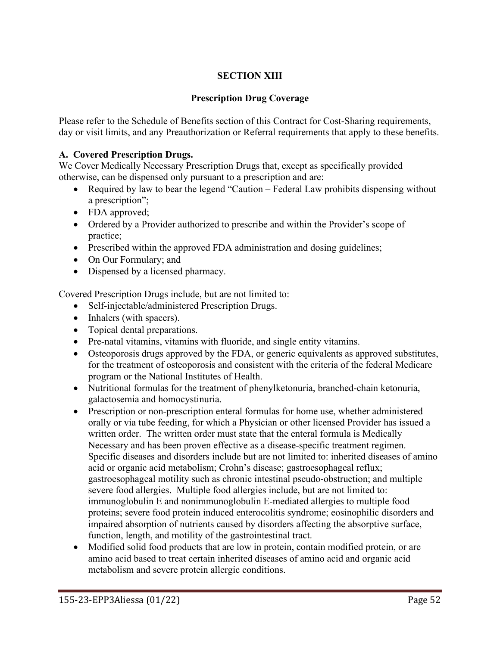# **SECTION XIII**

### **Prescription Drug Coverage**

Please refer to the Schedule of Benefits section of this Contract for Cost-Sharing requirements, day or visit limits, and any Preauthorization or Referral requirements that apply to these benefits.

### **A. Covered Prescription Drugs.**

We Cover Medically Necessary Prescription Drugs that, except as specifically provided otherwise, can be dispensed only pursuant to a prescription and are:

- Required by law to bear the legend "Caution Federal Law prohibits dispensing without a prescription";
- FDA approved;
- Ordered by a Provider authorized to prescribe and within the Provider's scope of practice;
- Prescribed within the approved FDA administration and dosing guidelines;
- On Our Formulary; and
- Dispensed by a licensed pharmacy.

Covered Prescription Drugs include, but are not limited to:

- Self-injectable/administered Prescription Drugs.
- Inhalers (with spacers).
- Topical dental preparations.
- Pre-natal vitamins, vitamins with fluoride, and single entity vitamins.
- Osteoporosis drugs approved by the FDA, or generic equivalents as approved substitutes, for the treatment of osteoporosis and consistent with the criteria of the federal Medicare program or the National Institutes of Health.
- Nutritional formulas for the treatment of phenylketonuria, branched-chain ketonuria, galactosemia and homocystinuria.
- Prescription or non-prescription enteral formulas for home use, whether administered orally or via tube feeding, for which a Physician or other licensed Provider has issued a written order. The written order must state that the enteral formula is Medically Necessary and has been proven effective as a disease-specific treatment regimen. Specific diseases and disorders include but are not limited to: inherited diseases of amino acid or organic acid metabolism; Crohn's disease; gastroesophageal reflux; gastroesophageal motility such as chronic intestinal pseudo-obstruction; and multiple severe food allergies. Multiple food allergies include, but are not limited to: immunoglobulin E and nonimmunoglobulin E-mediated allergies to multiple food proteins; severe food protein induced enterocolitis syndrome; eosinophilic disorders and impaired absorption of nutrients caused by disorders affecting the absorptive surface, function, length, and motility of the gastrointestinal tract.
- Modified solid food products that are low in protein, contain modified protein, or are amino acid based to treat certain inherited diseases of amino acid and organic acid metabolism and severe protein allergic conditions.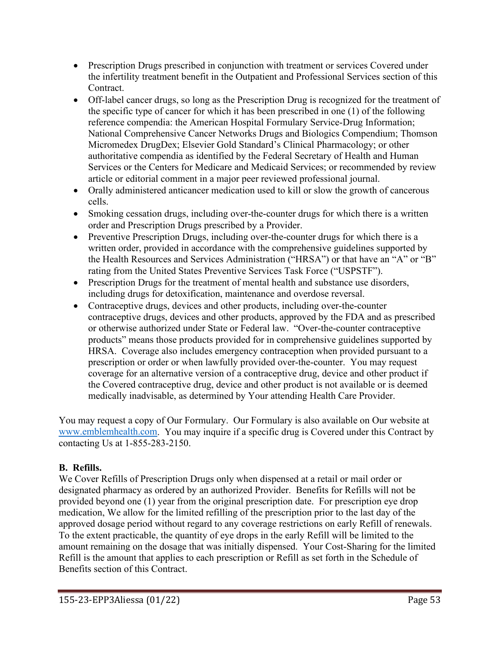- Prescription Drugs prescribed in conjunction with treatment or services Covered under the infertility treatment benefit in the Outpatient and Professional Services section of this Contract.
- Off-label cancer drugs, so long as the Prescription Drug is recognized for the treatment of the specific type of cancer for which it has been prescribed in one (1) of the following reference compendia: the American Hospital Formulary Service-Drug Information; National Comprehensive Cancer Networks Drugs and Biologics Compendium; Thomson Micromedex DrugDex; Elsevier Gold Standard's Clinical Pharmacology; or other authoritative compendia as identified by the Federal Secretary of Health and Human Services or the Centers for Medicare and Medicaid Services; or recommended by review article or editorial comment in a major peer reviewed professional journal.
- Orally administered anticancer medication used to kill or slow the growth of cancerous cells.
- Smoking cessation drugs, including over-the-counter drugs for which there is a written order and Prescription Drugs prescribed by a Provider.
- Preventive Prescription Drugs, including over-the-counter drugs for which there is a written order, provided in accordance with the comprehensive guidelines supported by the Health Resources and Services Administration ("HRSA") or that have an "A" or "B" rating from the United States Preventive Services Task Force ("USPSTF").
- Prescription Drugs for the treatment of mental health and substance use disorders, including drugs for detoxification, maintenance and overdose reversal.
- Contraceptive drugs, devices and other products, including over-the-counter contraceptive drugs, devices and other products, approved by the FDA and as prescribed or otherwise authorized under State or Federal law. "Over-the-counter contraceptive products" means those products provided for in comprehensive guidelines supported by HRSA. Coverage also includes emergency contraception when provided pursuant to a prescription or order or when lawfully provided over-the-counter. You may request coverage for an alternative version of a contraceptive drug, device and other product if the Covered contraceptive drug, device and other product is not available or is deemed medically inadvisable, as determined by Your attending Health Care Provider.

You may request a copy of Our Formulary. Our Formulary is also available on Our website at [www.emblemhealth.com.](http://www.emblemhealth.com/) You may inquire if a specific drug is Covered under this Contract by contacting Us at 1-855-283-2150.

# **B. Refills.**

We Cover Refills of Prescription Drugs only when dispensed at a retail or mail order or designated pharmacy as ordered by an authorized Provider. Benefits for Refills will not be provided beyond one (1) year from the original prescription date. For prescription eye drop medication, We allow for the limited refilling of the prescription prior to the last day of the approved dosage period without regard to any coverage restrictions on early Refill of renewals. To the extent practicable, the quantity of eye drops in the early Refill will be limited to the amount remaining on the dosage that was initially dispensed. Your Cost-Sharing for the limited Refill is the amount that applies to each prescription or Refill as set forth in the Schedule of Benefits section of this Contract.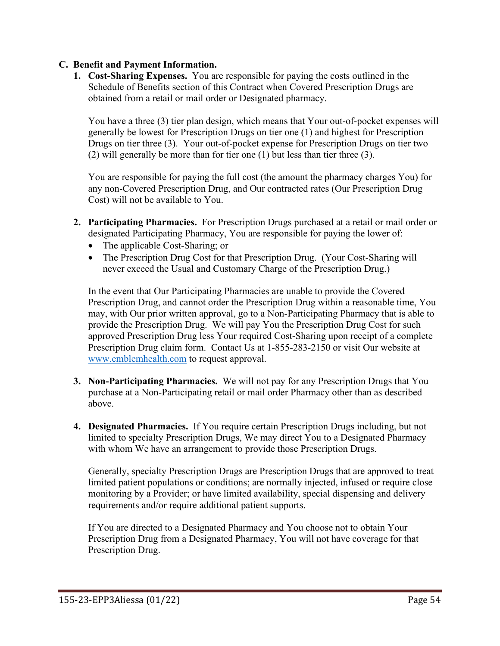### **C. Benefit and Payment Information.**

**1. Cost-Sharing Expenses.** You are responsible for paying the costs outlined in the Schedule of Benefits section of this Contract when Covered Prescription Drugs are obtained from a retail or mail order or Designated pharmacy.

You have a three (3) tier plan design, which means that Your out-of-pocket expenses will generally be lowest for Prescription Drugs on tier one (1) and highest for Prescription Drugs on tier three (3). Your out-of-pocket expense for Prescription Drugs on tier two (2) will generally be more than for tier one (1) but less than tier three (3).

You are responsible for paying the full cost (the amount the pharmacy charges You) for any non-Covered Prescription Drug, and Our contracted rates (Our Prescription Drug Cost) will not be available to You.

- **2. Participating Pharmacies.** For Prescription Drugs purchased at a retail or mail order or designated Participating Pharmacy, You are responsible for paying the lower of:
	- The applicable Cost-Sharing; or
	- The Prescription Drug Cost for that Prescription Drug. (Your Cost-Sharing will never exceed the Usual and Customary Charge of the Prescription Drug.)

In the event that Our Participating Pharmacies are unable to provide the Covered Prescription Drug, and cannot order the Prescription Drug within a reasonable time, You may, with Our prior written approval, go to a Non-Participating Pharmacy that is able to provide the Prescription Drug. We will pay You the Prescription Drug Cost for such approved Prescription Drug less Your required Cost-Sharing upon receipt of a complete Prescription Drug claim form. Contact Us at 1-855-283-2150 or visit Our website at [www.emblemhealth.com](http://www.emblemhealth.com/) to request approval.

- **3. Non-Participating Pharmacies.** We will not pay for any Prescription Drugs that You purchase at a Non-Participating retail or mail order Pharmacy other than as described above.
- **4. Designated Pharmacies.** If You require certain Prescription Drugs including, but not limited to specialty Prescription Drugs, We may direct You to a Designated Pharmacy with whom We have an arrangement to provide those Prescription Drugs.

Generally, specialty Prescription Drugs are Prescription Drugs that are approved to treat limited patient populations or conditions; are normally injected, infused or require close monitoring by a Provider; or have limited availability, special dispensing and delivery requirements and/or require additional patient supports.

If You are directed to a Designated Pharmacy and You choose not to obtain Your Prescription Drug from a Designated Pharmacy, You will not have coverage for that Prescription Drug.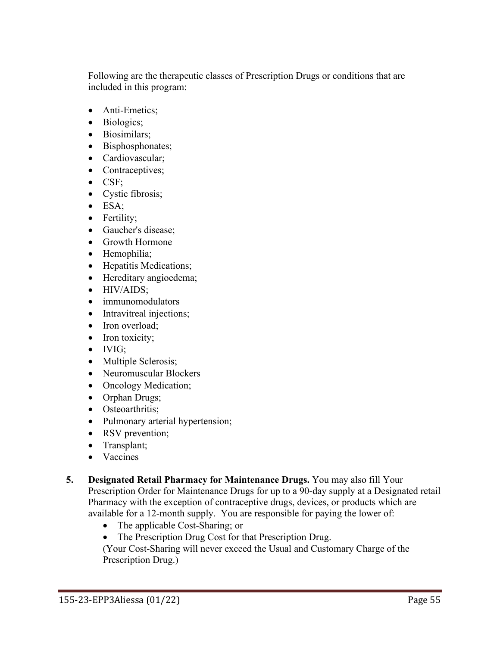Following are the therapeutic classes of Prescription Drugs or conditions that are included in this program:

- Anti-Emetics;
- Biologics;
- Biosimilars;
- Bisphosphonates;
- Cardiovascular;
- Contraceptives;
- CSF;
- Cystic fibrosis;
- ESA;
- Fertility;
- Gaucher's disease;
- Growth Hormone
- Hemophilia;
- Hepatitis Medications;
- Hereditary angioedema;
- HIV/AIDS;
- immunomodulators
- Intravitreal injections;
- Iron overload:
- Iron toxicity;
- IVIG;
- Multiple Sclerosis;
- Neuromuscular Blockers
- Oncology Medication;
- Orphan Drugs;
- Osteoarthritis:
- Pulmonary arterial hypertension;
- RSV prevention;
- Transplant;
- Vaccines
- **5. Designated Retail Pharmacy for Maintenance Drugs.** You may also fill Your Prescription Order for Maintenance Drugs for up to a 90-day supply at a Designated retail Pharmacy with the exception of contraceptive drugs, devices, or products which are available for a 12-month supply. You are responsible for paying the lower of:
	- The applicable Cost-Sharing; or
	- The Prescription Drug Cost for that Prescription Drug.

(Your Cost-Sharing will never exceed the Usual and Customary Charge of the Prescription Drug.)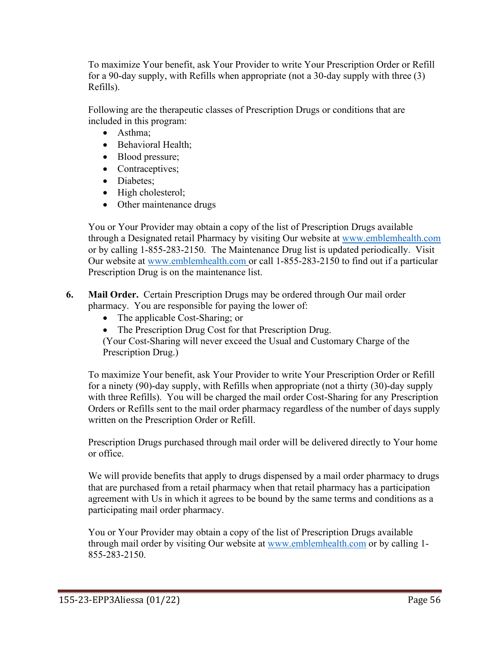To maximize Your benefit, ask Your Provider to write Your Prescription Order or Refill for a 90-day supply, with Refills when appropriate (not a 30-day supply with three (3) Refills).

Following are the therapeutic classes of Prescription Drugs or conditions that are included in this program:

- Asthma;
- Behavioral Health;
- Blood pressure;
- Contraceptives;
- Diabetes;
- High cholesterol;
- Other maintenance drugs

You or Your Provider may obtain a copy of the list of Prescription Drugs available through a Designated retail Pharmacy by visiting Our website at [www.emblemhealth.com](http://www.emblemhealth.com/) or by calling 1-855-283-2150. The Maintenance Drug list is updated periodically. Visit Our website at [www.emblemhealth.com](http://www.emblemhealth.com/) or call 1-855-283-2150 to find out if a particular Prescription Drug is on the maintenance list.

**6. Mail Order.** Certain Prescription Drugs may be ordered through Our mail order pharmacy. You are responsible for paying the lower of:

- The applicable Cost-Sharing; or
- The Prescription Drug Cost for that Prescription Drug.

(Your Cost-Sharing will never exceed the Usual and Customary Charge of the Prescription Drug.)

To maximize Your benefit, ask Your Provider to write Your Prescription Order or Refill for a ninety (90)-day supply, with Refills when appropriate (not a thirty (30)-day supply with three Refills). You will be charged the mail order Cost-Sharing for any Prescription Orders or Refills sent to the mail order pharmacy regardless of the number of days supply written on the Prescription Order or Refill.

Prescription Drugs purchased through mail order will be delivered directly to Your home or office.

We will provide benefits that apply to drugs dispensed by a mail order pharmacy to drugs that are purchased from a retail pharmacy when that retail pharmacy has a participation agreement with Us in which it agrees to be bound by the same terms and conditions as a participating mail order pharmacy.

You or Your Provider may obtain a copy of the list of Prescription Drugs available through mail order by visiting Our website at [www.emblemhealth.com](http://www.emblemhealth.com/) or by calling 1- 855-283-2150.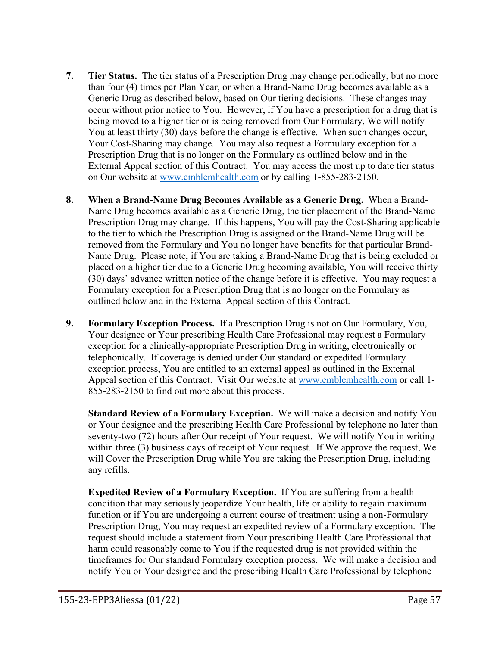- **7. Tier Status.** The tier status of a Prescription Drug may change periodically, but no more than four (4) times per Plan Year, or when a Brand-Name Drug becomes available as a Generic Drug as described below, based on Our tiering decisions. These changes may occur without prior notice to You. However, if You have a prescription for a drug that is being moved to a higher tier or is being removed from Our Formulary, We will notify You at least thirty (30) days before the change is effective. When such changes occur, Your Cost-Sharing may change. You may also request a Formulary exception for a Prescription Drug that is no longer on the Formulary as outlined below and in the External Appeal section of this Contract. You may access the most up to date tier status on Our website at [www.emblemhealth.com](http://www.emblemhealth.com/) or by calling 1-855-283-2150.
- **8. When a Brand-Name Drug Becomes Available as a Generic Drug.** When a Brand-Name Drug becomes available as a Generic Drug, the tier placement of the Brand-Name Prescription Drug may change. If this happens, You will pay the Cost-Sharing applicable to the tier to which the Prescription Drug is assigned or the Brand-Name Drug will be removed from the Formulary and You no longer have benefits for that particular Brand-Name Drug. Please note, if You are taking a Brand-Name Drug that is being excluded or placed on a higher tier due to a Generic Drug becoming available, You will receive thirty (30) days' advance written notice of the change before it is effective. You may request a Formulary exception for a Prescription Drug that is no longer on the Formulary as outlined below and in the External Appeal section of this Contract.
- **9. Formulary Exception Process.** If a Prescription Drug is not on Our Formulary, You, Your designee or Your prescribing Health Care Professional may request a Formulary exception for a clinically-appropriate Prescription Drug in writing, electronically or telephonically. If coverage is denied under Our standard or expedited Formulary exception process, You are entitled to an external appeal as outlined in the External Appeal section of this Contract. Visit Our website at [www.emblemhealth.com](http://www.emblemhealth.com/) or call 1-855-283-2150 to find out more about this process.

**Standard Review of a Formulary Exception.** We will make a decision and notify You or Your designee and the prescribing Health Care Professional by telephone no later than seventy-two (72) hours after Our receipt of Your request. We will notify You in writing within three (3) business days of receipt of Your request. If We approve the request, We will Cover the Prescription Drug while You are taking the Prescription Drug, including any refills.

**Expedited Review of a Formulary Exception.** If You are suffering from a health condition that may seriously jeopardize Your health, life or ability to regain maximum function or if You are undergoing a current course of treatment using a non-Formulary Prescription Drug, You may request an expedited review of a Formulary exception. The request should include a statement from Your prescribing Health Care Professional that harm could reasonably come to You if the requested drug is not provided within the timeframes for Our standard Formulary exception process. We will make a decision and notify You or Your designee and the prescribing Health Care Professional by telephone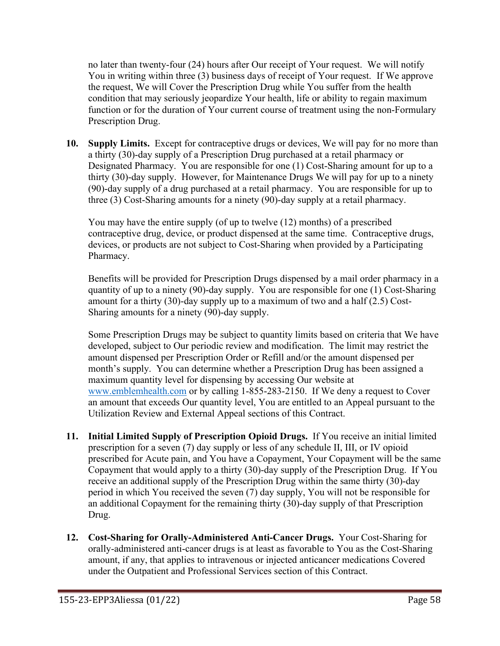no later than twenty-four (24) hours after Our receipt of Your request. We will notify You in writing within three (3) business days of receipt of Your request. If We approve the request, We will Cover the Prescription Drug while You suffer from the health condition that may seriously jeopardize Your health, life or ability to regain maximum function or for the duration of Your current course of treatment using the non-Formulary Prescription Drug.

**10. Supply Limits.** Except for contraceptive drugs or devices, We will pay for no more than a thirty (30)-day supply of a Prescription Drug purchased at a retail pharmacy or Designated Pharmacy. You are responsible for one (1) Cost-Sharing amount for up to a thirty (30)-day supply. However, for Maintenance Drugs We will pay for up to a ninety (90)-day supply of a drug purchased at a retail pharmacy. You are responsible for up to three (3) Cost-Sharing amounts for a ninety (90)-day supply at a retail pharmacy.

You may have the entire supply (of up to twelve (12) months) of a prescribed contraceptive drug, device, or product dispensed at the same time. Contraceptive drugs, devices, or products are not subject to Cost-Sharing when provided by a Participating Pharmacy.

Benefits will be provided for Prescription Drugs dispensed by a mail order pharmacy in a quantity of up to a ninety (90)-day supply. You are responsible for one (1) Cost-Sharing amount for a thirty (30)-day supply up to a maximum of two and a half (2.5) Cost-Sharing amounts for a ninety (90)-day supply.

Some Prescription Drugs may be subject to quantity limits based on criteria that We have developed, subject to Our periodic review and modification. The limit may restrict the amount dispensed per Prescription Order or Refill and/or the amount dispensed per month's supply. You can determine whether a Prescription Drug has been assigned a maximum quantity level for dispensing by accessing Our website at [www.emblemhealth.com](http://www.emblemhealth.com/) or by calling 1-855-283-2150. If We deny a request to Cover an amount that exceeds Our quantity level, You are entitled to an Appeal pursuant to the Utilization Review and External Appeal sections of this Contract.

- **11. Initial Limited Supply of Prescription Opioid Drugs.** If You receive an initial limited prescription for a seven (7) day supply or less of any schedule II, III, or IV opioid prescribed for Acute pain, and You have a Copayment, Your Copayment will be the same Copayment that would apply to a thirty (30)-day supply of the Prescription Drug. If You receive an additional supply of the Prescription Drug within the same thirty (30)-day period in which You received the seven (7) day supply, You will not be responsible for an additional Copayment for the remaining thirty (30)-day supply of that Prescription Drug.
- **12. Cost-Sharing for Orally-Administered Anti-Cancer Drugs.** Your Cost-Sharing for orally-administered anti-cancer drugs is at least as favorable to You as the Cost-Sharing amount, if any, that applies to intravenous or injected anticancer medications Covered under the Outpatient and Professional Services section of this Contract.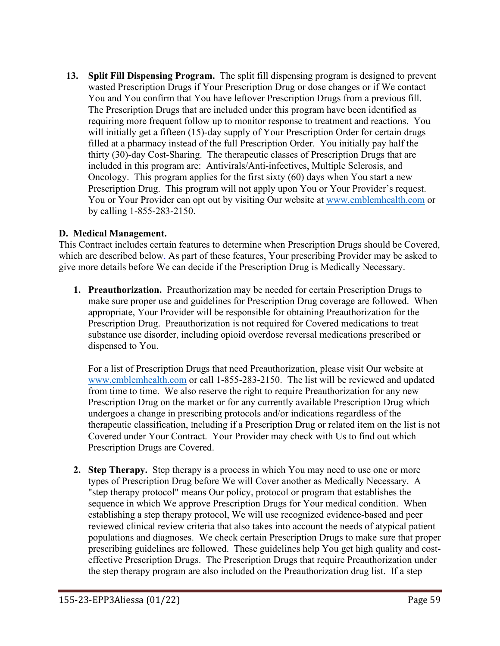**13. Split Fill Dispensing Program.** The split fill dispensing program is designed to prevent wasted Prescription Drugs if Your Prescription Drug or dose changes or if We contact You and You confirm that You have leftover Prescription Drugs from a previous fill. The Prescription Drugs that are included under this program have been identified as requiring more frequent follow up to monitor response to treatment and reactions. You will initially get a fifteen (15)-day supply of Your Prescription Order for certain drugs filled at a pharmacy instead of the full Prescription Order. You initially pay half the thirty (30)-day Cost-Sharing. The therapeutic classes of Prescription Drugs that are included in this program are: Antivirals/Anti-infectives, Multiple Sclerosis, and Oncology. This program applies for the first sixty (60) days when You start a new Prescription Drug. This program will not apply upon You or Your Provider's request. You or Your Provider can opt out by visiting Our website at [www.emblemhealth.com](http://www.emblemhealth.com/) or by calling 1-855-283-2150.

### **D. Medical Management.**

This Contract includes certain features to determine when Prescription Drugs should be Covered, which are described below. As part of these features, Your prescribing Provider may be asked to give more details before We can decide if the Prescription Drug is Medically Necessary.

**1. Preauthorization.** Preauthorization may be needed for certain Prescription Drugs to make sure proper use and guidelines for Prescription Drug coverage are followed. When appropriate, Your Provider will be responsible for obtaining Preauthorization for the Prescription Drug. Preauthorization is not required for Covered medications to treat substance use disorder, including opioid overdose reversal medications prescribed or dispensed to You.

For a list of Prescription Drugs that need Preauthorization, please visit Our website at [www.emblemhealth.com](http://www.emblemhealth.com/) or call 1-855-283-2150. The list will be reviewed and updated from time to time. We also reserve the right to require Preauthorization for any new Prescription Drug on the market or for any currently available Prescription Drug which undergoes a change in prescribing protocols and/or indications regardless of the therapeutic classification, Including if a Prescription Drug or related item on the list is not Covered under Your Contract. Your Provider may check with Us to find out which Prescription Drugs are Covered.

**2. Step Therapy.** Step therapy is a process in which You may need to use one or more types of Prescription Drug before We will Cover another as Medically Necessary. A "step therapy protocol" means Our policy, protocol or program that establishes the sequence in which We approve Prescription Drugs for Your medical condition. When establishing a step therapy protocol, We will use recognized evidence-based and peer reviewed clinical review criteria that also takes into account the needs of atypical patient populations and diagnoses. We check certain Prescription Drugs to make sure that proper prescribing guidelines are followed. These guidelines help You get high quality and costeffective Prescription Drugs. The Prescription Drugs that require Preauthorization under the step therapy program are also included on the Preauthorization drug list. If a step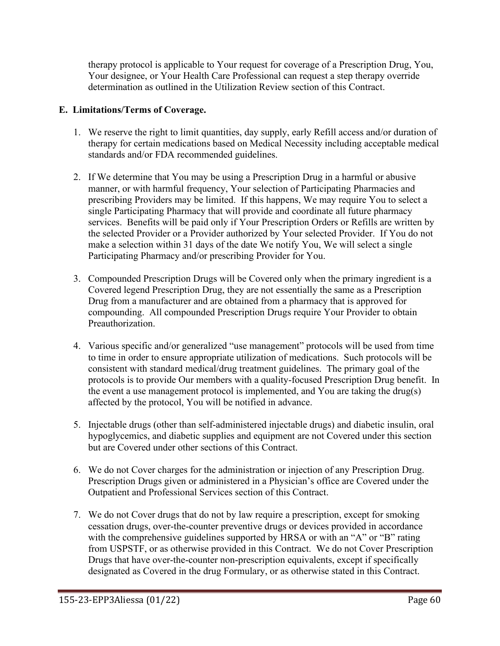therapy protocol is applicable to Your request for coverage of a Prescription Drug, You, Your designee, or Your Health Care Professional can request a step therapy override determination as outlined in the Utilization Review section of this Contract.

### **E. Limitations/Terms of Coverage.**

- 1. We reserve the right to limit quantities, day supply, early Refill access and/or duration of therapy for certain medications based on Medical Necessity including acceptable medical standards and/or FDA recommended guidelines.
- 2. If We determine that You may be using a Prescription Drug in a harmful or abusive manner, or with harmful frequency, Your selection of Participating Pharmacies and prescribing Providers may be limited. If this happens, We may require You to select a single Participating Pharmacy that will provide and coordinate all future pharmacy services. Benefits will be paid only if Your Prescription Orders or Refills are written by the selected Provider or a Provider authorized by Your selected Provider. If You do not make a selection within 31 days of the date We notify You, We will select a single Participating Pharmacy and/or prescribing Provider for You.
- 3. Compounded Prescription Drugs will be Covered only when the primary ingredient is a Covered legend Prescription Drug, they are not essentially the same as a Prescription Drug from a manufacturer and are obtained from a pharmacy that is approved for compounding. All compounded Prescription Drugs require Your Provider to obtain Preauthorization.
- 4. Various specific and/or generalized "use management" protocols will be used from time to time in order to ensure appropriate utilization of medications. Such protocols will be consistent with standard medical/drug treatment guidelines. The primary goal of the protocols is to provide Our members with a quality-focused Prescription Drug benefit. In the event a use management protocol is implemented, and You are taking the drug(s) affected by the protocol, You will be notified in advance.
- 5. Injectable drugs (other than self-administered injectable drugs) and diabetic insulin, oral hypoglycemics, and diabetic supplies and equipment are not Covered under this section but are Covered under other sections of this Contract.
- 6. We do not Cover charges for the administration or injection of any Prescription Drug. Prescription Drugs given or administered in a Physician's office are Covered under the Outpatient and Professional Services section of this Contract.
- 7. We do not Cover drugs that do not by law require a prescription, except for smoking cessation drugs, over-the-counter preventive drugs or devices provided in accordance with the comprehensive guidelines supported by HRSA or with an "A" or "B" rating from USPSTF, or as otherwise provided in this Contract. We do not Cover Prescription Drugs that have over-the-counter non-prescription equivalents, except if specifically designated as Covered in the drug Formulary, or as otherwise stated in this Contract.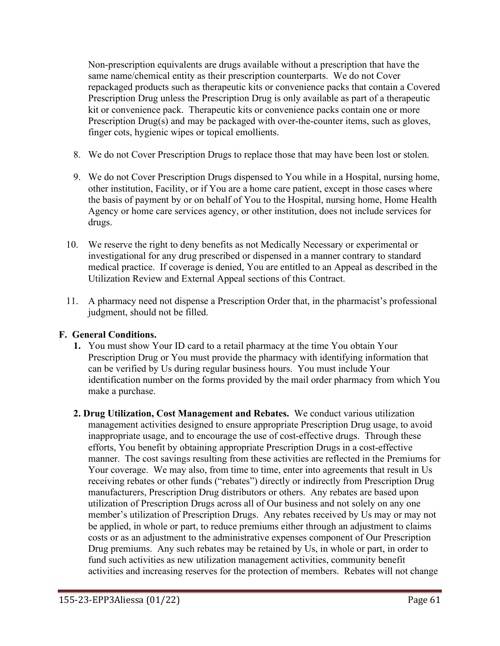Non-prescription equivalents are drugs available without a prescription that have the same name/chemical entity as their prescription counterparts. We do not Cover repackaged products such as therapeutic kits or convenience packs that contain a Covered Prescription Drug unless the Prescription Drug is only available as part of a therapeutic kit or convenience pack. Therapeutic kits or convenience packs contain one or more Prescription Drug(s) and may be packaged with over-the-counter items, such as gloves, finger cots, hygienic wipes or topical emollients.

- 8. We do not Cover Prescription Drugs to replace those that may have been lost or stolen.
- 9. We do not Cover Prescription Drugs dispensed to You while in a Hospital, nursing home, other institution, Facility, or if You are a home care patient, except in those cases where the basis of payment by or on behalf of You to the Hospital, nursing home, Home Health Agency or home care services agency, or other institution, does not include services for drugs.
- 10. We reserve the right to deny benefits as not Medically Necessary or experimental or investigational for any drug prescribed or dispensed in a manner contrary to standard medical practice. If coverage is denied, You are entitled to an Appeal as described in the Utilization Review and External Appeal sections of this Contract.
- 11. A pharmacy need not dispense a Prescription Order that, in the pharmacist's professional judgment, should not be filled.

### **F. General Conditions.**

- **1.** You must show Your ID card to a retail pharmacy at the time You obtain Your Prescription Drug or You must provide the pharmacy with identifying information that can be verified by Us during regular business hours. You must include Your identification number on the forms provided by the mail order pharmacy from which You make a purchase.
- **2. Drug Utilization, Cost Management and Rebates.** We conduct various utilization management activities designed to ensure appropriate Prescription Drug usage, to avoid inappropriate usage, and to encourage the use of cost-effective drugs. Through these efforts, You benefit by obtaining appropriate Prescription Drugs in a cost-effective manner. The cost savings resulting from these activities are reflected in the Premiums for Your coverage. We may also, from time to time, enter into agreements that result in Us receiving rebates or other funds ("rebates") directly or indirectly from Prescription Drug manufacturers, Prescription Drug distributors or others. Any rebates are based upon utilization of Prescription Drugs across all of Our business and not solely on any one member's utilization of Prescription Drugs. Any rebates received by Us may or may not be applied, in whole or part, to reduce premiums either through an adjustment to claims costs or as an adjustment to the administrative expenses component of Our Prescription Drug premiums. Any such rebates may be retained by Us, in whole or part, in order to fund such activities as new utilization management activities, community benefit activities and increasing reserves for the protection of members. Rebates will not change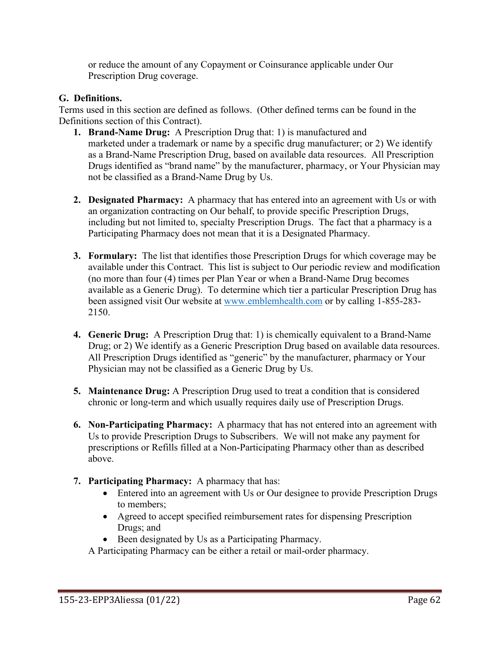or reduce the amount of any Copayment or Coinsurance applicable under Our Prescription Drug coverage.

# **G. Definitions.**

Terms used in this section are defined as follows. (Other defined terms can be found in the Definitions section of this Contract).

- **1. Brand-Name Drug:** A Prescription Drug that: 1) is manufactured and marketed under a trademark or name by a specific drug manufacturer; or 2) We identify as a Brand-Name Prescription Drug, based on available data resources. All Prescription Drugs identified as "brand name" by the manufacturer, pharmacy, or Your Physician may not be classified as a Brand-Name Drug by Us.
- **2. Designated Pharmacy:** A pharmacy that has entered into an agreement with Us or with an organization contracting on Our behalf, to provide specific Prescription Drugs, including but not limited to, specialty Prescription Drugs. The fact that a pharmacy is a Participating Pharmacy does not mean that it is a Designated Pharmacy.
- **3. Formulary:** The list that identifies those Prescription Drugs for which coverage may be available under this Contract. This list is subject to Our periodic review and modification (no more than four (4) times per Plan Year or when a Brand-Name Drug becomes available as a Generic Drug). To determine which tier a particular Prescription Drug has been assigned visit Our website at [www.emblemhealth.com](http://www.emblemhealth.com/) or by calling 1-855-283- 2150.
- **4. Generic Drug:** A Prescription Drug that: 1) is chemically equivalent to a Brand-Name Drug; or 2) We identify as a Generic Prescription Drug based on available data resources. All Prescription Drugs identified as "generic" by the manufacturer, pharmacy or Your Physician may not be classified as a Generic Drug by Us.
- **5. Maintenance Drug:** A Prescription Drug used to treat a condition that is considered chronic or long-term and which usually requires daily use of Prescription Drugs.
- **6. Non-Participating Pharmacy:** A pharmacy that has not entered into an agreement with Us to provide Prescription Drugs to Subscribers. We will not make any payment for prescriptions or Refills filled at a Non-Participating Pharmacy other than as described above.
- **7. Participating Pharmacy:** A pharmacy that has:
	- Entered into an agreement with Us or Our designee to provide Prescription Drugs to members;
	- Agreed to accept specified reimbursement rates for dispensing Prescription Drugs; and
	- Been designated by Us as a Participating Pharmacy.

A Participating Pharmacy can be either a retail or mail-order pharmacy.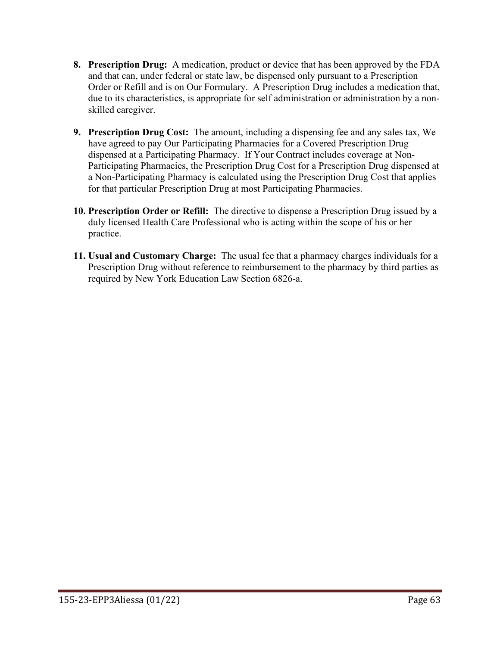- **8. Prescription Drug:** A medication, product or device that has been approved by the FDA and that can, under federal or state law, be dispensed only pursuant to a Prescription Order or Refill and is on Our Formulary. A Prescription Drug includes a medication that, due to its characteristics, is appropriate for self administration or administration by a nonskilled caregiver.
- **9. Prescription Drug Cost:** The amount, including a dispensing fee and any sales tax, We have agreed to pay Our Participating Pharmacies for a Covered Prescription Drug dispensed at a Participating Pharmacy. If Your Contract includes coverage at Non-Participating Pharmacies, the Prescription Drug Cost for a Prescription Drug dispensed at a Non-Participating Pharmacy is calculated using the Prescription Drug Cost that applies for that particular Prescription Drug at most Participating Pharmacies.
- **10. Prescription Order or Refill:** The directive to dispense a Prescription Drug issued by a duly licensed Health Care Professional who is acting within the scope of his or her practice.
- **11. Usual and Customary Charge:** The usual fee that a pharmacy charges individuals for a Prescription Drug without reference to reimbursement to the pharmacy by third parties as required by New York Education Law Section 6826-a.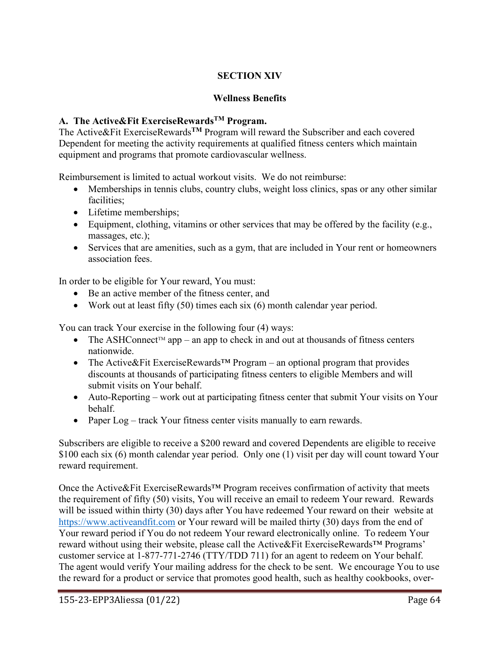# **SECTION XIV**

### **Wellness Benefits**

# **A. The Active&Fit ExerciseRewardsTM Program.**

The Active&Fit ExerciseRewards**TM** Program will reward the Subscriber and each covered Dependent for meeting the activity requirements at qualified fitness centers which maintain equipment and programs that promote cardiovascular wellness.

Reimbursement is limited to actual workout visits. We do not reimburse:

- Memberships in tennis clubs, country clubs, weight loss clinics, spas or any other similar facilities;
- Lifetime memberships;
- Equipment, clothing, vitamins or other services that may be offered by the facility (e.g., massages, etc.);
- Services that are amenities, such as a gym, that are included in Your rent or homeowners association fees.

In order to be eligible for Your reward, You must:

- Be an active member of the fitness center, and
- Work out at least fifty  $(50)$  times each six  $(6)$  month calendar year period.

You can track Your exercise in the following four (4) ways:

- The ASHConnect<sup>TM</sup> app an app to check in and out at thousands of fitness centers nationwide.
- The Active&Fit ExerciseRewards<sup>™</sup> Program an optional program that provides discounts at thousands of participating fitness centers to eligible Members and will submit visits on Your behalf.
- Auto-Reporting work out at participating fitness center that submit Your visits on Your behalf.
- Paper Log track Your fitness center visits manually to earn rewards.

Subscribers are eligible to receive a \$200 reward and covered Dependents are eligible to receive \$100 each six (6) month calendar year period. Only one (1) visit per day will count toward Your reward requirement.

Once the Active&Fit ExerciseRewards™ Program receives confirmation of activity that meets the requirement of fifty (50) visits, You will receive an email to redeem Your reward. Rewards will be issued within thirty (30) days after You have redeemed Your reward on their website at [https://www.activeandfit.com](https://www.exerciserewards.com/) or Your reward will be mailed thirty (30) days from the end of Your reward period if You do not redeem Your reward electronically online. To redeem Your reward without using their website, please call the Active&Fit ExerciseRewards™ Programs' customer service at 1-877-771-2746 (TTY/TDD 711) for an agent to redeem on Your behalf. The agent would verify Your mailing address for the check to be sent. We encourage You to use the reward for a product or service that promotes good health, such as healthy cookbooks, over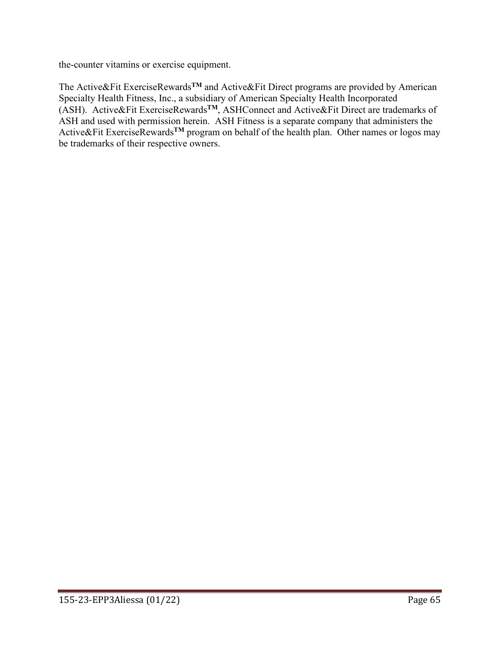the-counter vitamins or exercise equipment.

The Active&Fit ExerciseRewards**TM** and Active&Fit Direct programs are provided by American Specialty Health Fitness, Inc., a subsidiary of American Specialty Health Incorporated (ASH). Active&Fit ExerciseRewards**TM**, ASHConnect and Active&Fit Direct are trademarks of ASH and used with permission herein. ASH Fitness is a separate company that administers the Active&Fit ExerciseRewards**TM** program on behalf of the health plan. Other names or logos may be trademarks of their respective owners.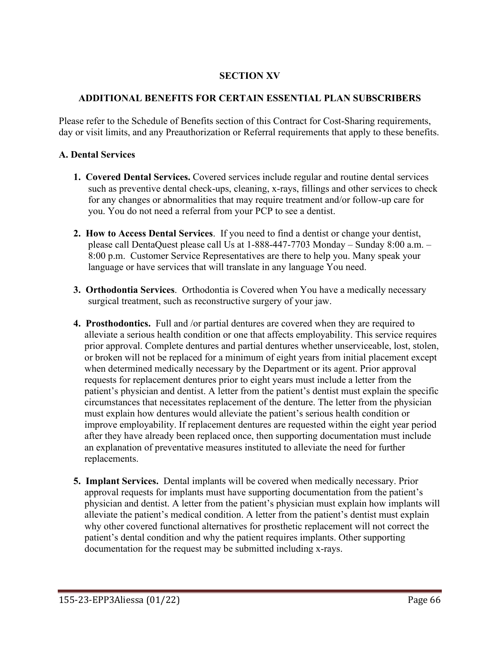### **SECTION XV**

### **ADDITIONAL BENEFITS FOR CERTAIN ESSENTIAL PLAN SUBSCRIBERS**

Please refer to the Schedule of Benefits section of this Contract for Cost-Sharing requirements, day or visit limits, and any Preauthorization or Referral requirements that apply to these benefits.

### **A. Dental Services**

- **1. Covered Dental Services.** Covered services include regular and routine dental services such as preventive dental check-ups, cleaning, x-rays, fillings and other services to check for any changes or abnormalities that may require treatment and/or follow-up care for you. You do not need a referral from your PCP to see a dentist.
- **2. How to Access Dental Services**. If you need to find a dentist or change your dentist, please call DentaQuest please call Us at 1-888-447-7703 Monday – Sunday 8:00 a.m. – 8:00 p.m. Customer Service Representatives are there to help you. Many speak your language or have services that will translate in any language You need.
- **3. Orthodontia Services**. Orthodontia is Covered when You have a medically necessary surgical treatment, such as reconstructive surgery of your jaw.
- **4. Prosthodontics.** Full and /or partial dentures are covered when they are required to alleviate a serious health condition or one that affects employability. This service requires prior approval. Complete dentures and partial dentures whether unserviceable, lost, stolen, or broken will not be replaced for a minimum of eight years from initial placement except when determined medically necessary by the Department or its agent. Prior approval requests for replacement dentures prior to eight years must include a letter from the patient's physician and dentist. A letter from the patient's dentist must explain the specific circumstances that necessitates replacement of the denture. The letter from the physician must explain how dentures would alleviate the patient's serious health condition or improve employability. If replacement dentures are requested within the eight year period after they have already been replaced once, then supporting documentation must include an explanation of preventative measures instituted to alleviate the need for further replacements.
- **5. Implant Services.** Dental implants will be covered when medically necessary. Prior approval requests for implants must have supporting documentation from the patient's physician and dentist. A letter from the patient's physician must explain how implants will alleviate the patient's medical condition. A letter from the patient's dentist must explain why other covered functional alternatives for prosthetic replacement will not correct the patient's dental condition and why the patient requires implants. Other supporting documentation for the request may be submitted including x-rays.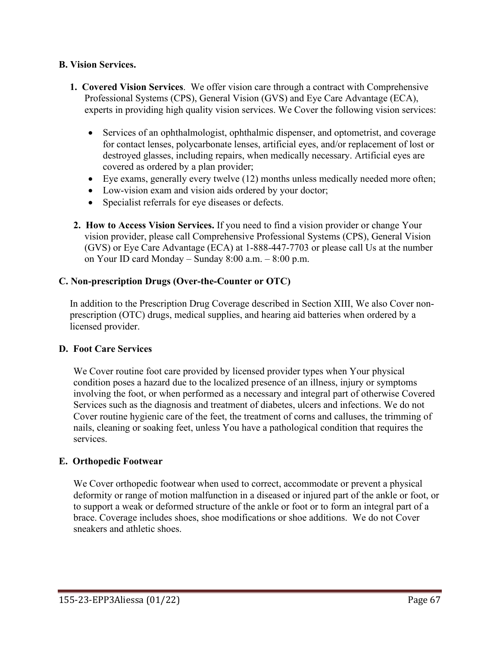### **B. Vision Services.**

- **1. Covered Vision Services**. We offer vision care through a contract with Comprehensive Professional Systems (CPS), General Vision (GVS) and Eye Care Advantage (ECA), experts in providing high quality vision services. We Cover the following vision services:
	- Services of an ophthalmologist, ophthalmic dispenser, and optometrist, and coverage for contact lenses, polycarbonate lenses, artificial eyes, and/or replacement of lost or destroyed glasses, including repairs, when medically necessary. Artificial eyes are covered as ordered by a plan provider;
	- Eye exams, generally every twelve (12) months unless medically needed more often;
	- Low-vision exam and vision aids ordered by your doctor;
	- Specialist referrals for eye diseases or defects.
- **2. How to Access Vision Services.** If you need to find a vision provider or change Your vision provider, please call Comprehensive Professional Systems (CPS), General Vision (GVS) or Eye Care Advantage (ECA) at 1-888-447-7703 or please call Us at the number on Your ID card Monday – Sunday 8:00 a.m. – 8:00 p.m.

### **C. Non-prescription Drugs (Over-the-Counter or OTC)**

In addition to the Prescription Drug Coverage described in Section XIII, We also Cover nonprescription (OTC) drugs, medical supplies, and hearing aid batteries when ordered by a licensed provider.

### **D. Foot Care Services**

We Cover routine foot care provided by licensed provider types when Your physical condition poses a hazard due to the localized presence of an illness, injury or symptoms involving the foot, or when performed as a necessary and integral part of otherwise Covered Services such as the diagnosis and treatment of diabetes, ulcers and infections. We do not Cover routine hygienic care of the feet, the treatment of corns and calluses, the trimming of nails, cleaning or soaking feet, unless You have a pathological condition that requires the services.

### **E. Orthopedic Footwear**

We Cover orthopedic footwear when used to correct, accommodate or prevent a physical deformity or range of motion malfunction in a diseased or injured part of the ankle or foot, or to support a weak or deformed structure of the ankle or foot or to form an integral part of a brace. Coverage includes shoes, shoe modifications or shoe additions. We do not Cover sneakers and athletic shoes.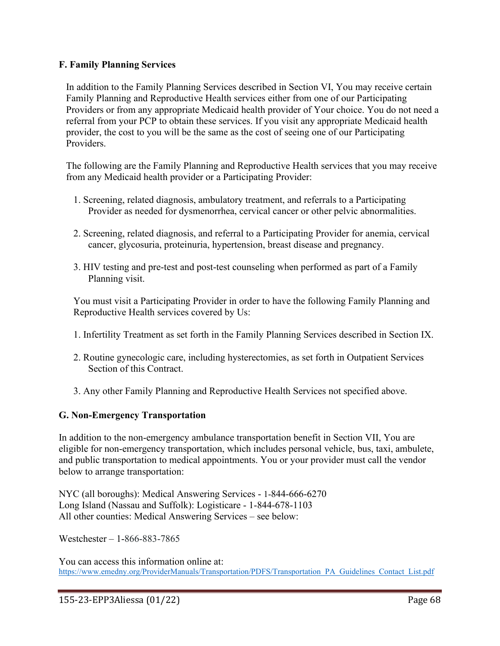### **F. Family Planning Services**

In addition to the Family Planning Services described in Section VI, You may receive certain Family Planning and Reproductive Health services either from one of our Participating Providers or from any appropriate Medicaid health provider of Your choice. You do not need a referral from your PCP to obtain these services. If you visit any appropriate Medicaid health provider, the cost to you will be the same as the cost of seeing one of our Participating Providers.

The following are the Family Planning and Reproductive Health services that you may receive from any Medicaid health provider or a Participating Provider:

- 1. Screening, related diagnosis, ambulatory treatment, and referrals to a Participating Provider as needed for dysmenorrhea, cervical cancer or other pelvic abnormalities.
- 2. Screening, related diagnosis, and referral to a Participating Provider for anemia, cervical cancer, glycosuria, proteinuria, hypertension, breast disease and pregnancy.
- 3. HIV testing and pre-test and post-test counseling when performed as part of a Family Planning visit.

You must visit a Participating Provider in order to have the following Family Planning and Reproductive Health services covered by Us:

- 1. Infertility Treatment as set forth in the Family Planning Services described in Section IX.
- 2. Routine gynecologic care, including hysterectomies, as set forth in Outpatient Services Section of this Contract.
- 3. Any other Family Planning and Reproductive Health Services not specified above.

# **G. Non-Emergency Transportation**

In addition to the non-emergency ambulance transportation benefit in Section VII, You are eligible for non-emergency transportation, which includes personal vehicle, bus, taxi, ambulete, and public transportation to medical appointments. You or your provider must call the vendor below to arrange transportation:

NYC (all boroughs): Medical Answering Services - 1-844-666-6270 Long Island (Nassau and Suffolk): Logisticare - 1-844-678-1103 All other counties: Medical Answering Services – see below:

Westchester – 1-866-883-7865

You can access this information online at: [https://www.emedny.org/ProviderManuals/Transportation/PDFS/Transportation\\_PA\\_Guidelines\\_Contact\\_List.pdf](https://www.emedny.org/ProviderManuals/Transportation/PDFS/Transportation_PA_Guidelines_Contact_List.pdf)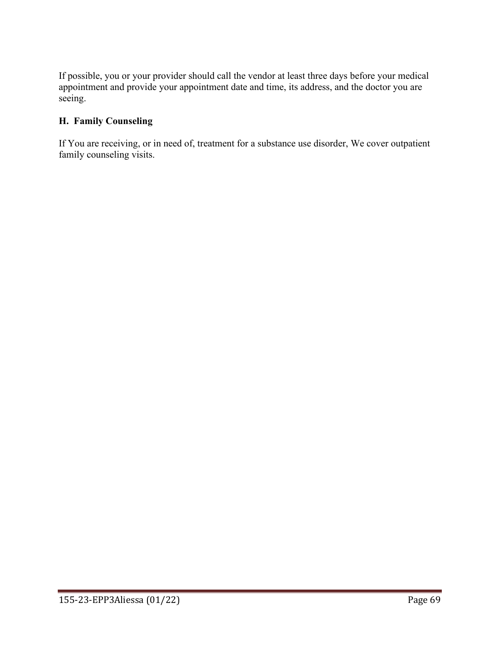If possible, you or your provider should call the vendor at least three days before your medical appointment and provide your appointment date and time, its address, and the doctor you are seeing.

# **H. Family Counseling**

If You are receiving, or in need of, treatment for a substance use disorder, We cover outpatient family counseling visits.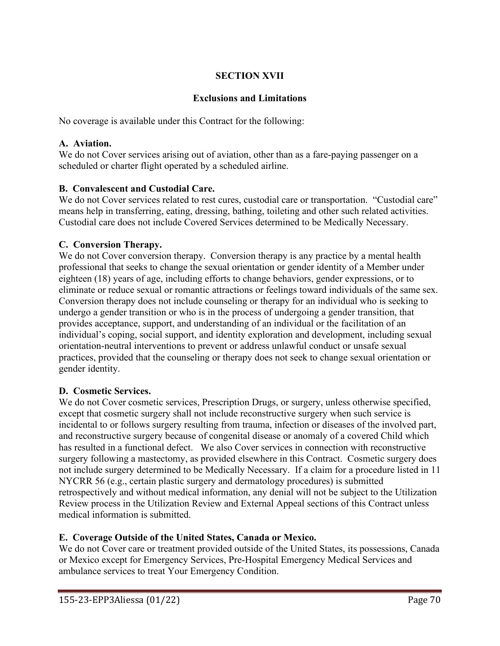## **SECTION XVII**

## **Exclusions and Limitations**

No coverage is available under this Contract for the following:

#### **A. Aviation.**

We do not Cover services arising out of aviation, other than as a fare-paying passenger on a scheduled or charter flight operated by a scheduled airline.

### **B. Convalescent and Custodial Care.**

We do not Cover services related to rest cures, custodial care or transportation. "Custodial care" means help in transferring, eating, dressing, bathing, toileting and other such related activities. Custodial care does not include Covered Services determined to be Medically Necessary.

### **C. Conversion Therapy.**

We do not Cover conversion therapy. Conversion therapy is any practice by a mental health professional that seeks to change the sexual orientation or gender identity of a Member under eighteen (18) years of age, including efforts to change behaviors, gender expressions, or to eliminate or reduce sexual or romantic attractions or feelings toward individuals of the same sex. Conversion therapy does not include counseling or therapy for an individual who is seeking to undergo a gender transition or who is in the process of undergoing a gender transition, that provides acceptance, support, and understanding of an individual or the facilitation of an individual's coping, social support, and identity exploration and development, including sexual orientation-neutral interventions to prevent or address unlawful conduct or unsafe sexual practices, provided that the counseling or therapy does not seek to change sexual orientation or gender identity.

#### **D. Cosmetic Services.**

We do not Cover cosmetic services, Prescription Drugs, or surgery, unless otherwise specified, except that cosmetic surgery shall not include reconstructive surgery when such service is incidental to or follows surgery resulting from trauma, infection or diseases of the involved part, and reconstructive surgery because of congenital disease or anomaly of a covered Child which has resulted in a functional defect. We also Cover services in connection with reconstructive surgery following a mastectomy, as provided elsewhere in this Contract. Cosmetic surgery does not include surgery determined to be Medically Necessary. If a claim for a procedure listed in 11 NYCRR 56 (e.g., certain plastic surgery and dermatology procedures) is submitted retrospectively and without medical information, any denial will not be subject to the Utilization Review process in the Utilization Review and External Appeal sections of this Contract unless medical information is submitted.

## **E. Coverage Outside of the United States, Canada or Mexico.**

We do not Cover care or treatment provided outside of the United States, its possessions, Canada or Mexico except for Emergency Services, Pre-Hospital Emergency Medical Services and ambulance services to treat Your Emergency Condition.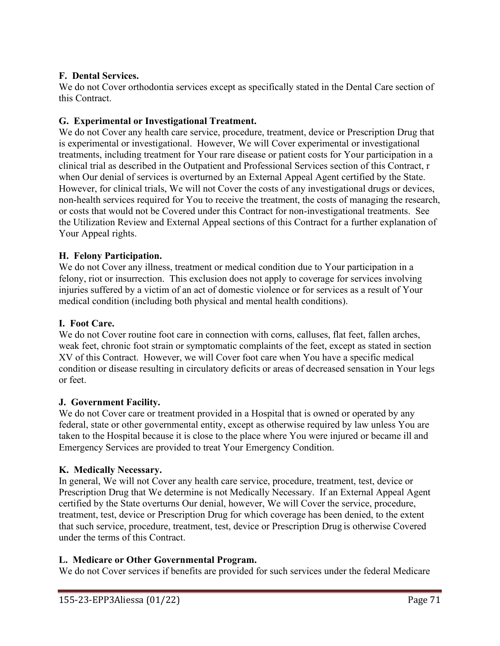### **F. Dental Services.**

We do not Cover orthodontia services except as specifically stated in the Dental Care section of this Contract.

### **G. Experimental or Investigational Treatment.**

We do not Cover any health care service, procedure, treatment, device or Prescription Drug that is experimental or investigational. However, We will Cover experimental or investigational treatments, including treatment for Your rare disease or patient costs for Your participation in a clinical trial as described in the Outpatient and Professional Services section of this Contract, r when Our denial of services is overturned by an External Appeal Agent certified by the State. However, for clinical trials, We will not Cover the costs of any investigational drugs or devices, non-health services required for You to receive the treatment, the costs of managing the research, or costs that would not be Covered under this Contract for non-investigational treatments. See the Utilization Review and External Appeal sections of this Contract for a further explanation of Your Appeal rights.

### **H. Felony Participation.**

We do not Cover any illness, treatment or medical condition due to Your participation in a felony, riot or insurrection. This exclusion does not apply to coverage for services involving injuries suffered by a victim of an act of domestic violence or for services as a result of Your medical condition (including both physical and mental health conditions).

#### **I. Foot Care.**

We do not Cover routine foot care in connection with corns, calluses, flat feet, fallen arches, weak feet, chronic foot strain or symptomatic complaints of the feet, except as stated in section XV of this Contract. However, we will Cover foot care when You have a specific medical condition or disease resulting in circulatory deficits or areas of decreased sensation in Your legs or feet.

#### **J. Government Facility.**

We do not Cover care or treatment provided in a Hospital that is owned or operated by any federal, state or other governmental entity, except as otherwise required by law unless You are taken to the Hospital because it is close to the place where You were injured or became ill and Emergency Services are provided to treat Your Emergency Condition.

#### **K. Medically Necessary.**

In general, We will not Cover any health care service, procedure, treatment, test, device or Prescription Drug that We determine is not Medically Necessary. If an External Appeal Agent certified by the State overturns Our denial, however, We will Cover the service, procedure, treatment, test, device or Prescription Drug for which coverage has been denied, to the extent that such service, procedure, treatment, test, device or Prescription Drug is otherwise Covered under the terms of this Contract.

#### **L. Medicare or Other Governmental Program.**

We do not Cover services if benefits are provided for such services under the federal Medicare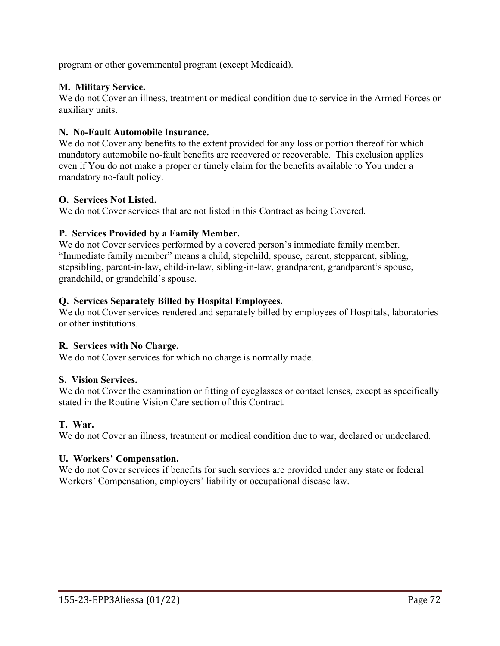program or other governmental program (except Medicaid).

### **M. Military Service.**

We do not Cover an illness, treatment or medical condition due to service in the Armed Forces or auxiliary units.

#### **N. No-Fault Automobile Insurance.**

We do not Cover any benefits to the extent provided for any loss or portion thereof for which mandatory automobile no-fault benefits are recovered or recoverable. This exclusion applies even if You do not make a proper or timely claim for the benefits available to You under a mandatory no-fault policy.

### **O. Services Not Listed.**

We do not Cover services that are not listed in this Contract as being Covered.

### **P. Services Provided by a Family Member.**

We do not Cover services performed by a covered person's immediate family member. "Immediate family member" means a child, stepchild, spouse, parent, stepparent, sibling, stepsibling, parent-in-law, child-in-law, sibling-in-law, grandparent, grandparent's spouse, grandchild, or grandchild's spouse.

### **Q. Services Separately Billed by Hospital Employees.**

We do not Cover services rendered and separately billed by employees of Hospitals, laboratories or other institutions.

#### **R. Services with No Charge.**

We do not Cover services for which no charge is normally made.

#### **S. Vision Services.**

We do not Cover the examination or fitting of eyeglasses or contact lenses, except as specifically stated in the Routine Vision Care section of this Contract.

#### **T. War.**

We do not Cover an illness, treatment or medical condition due to war, declared or undeclared.

#### **U. Workers' Compensation.**

We do not Cover services if benefits for such services are provided under any state or federal Workers' Compensation, employers' liability or occupational disease law.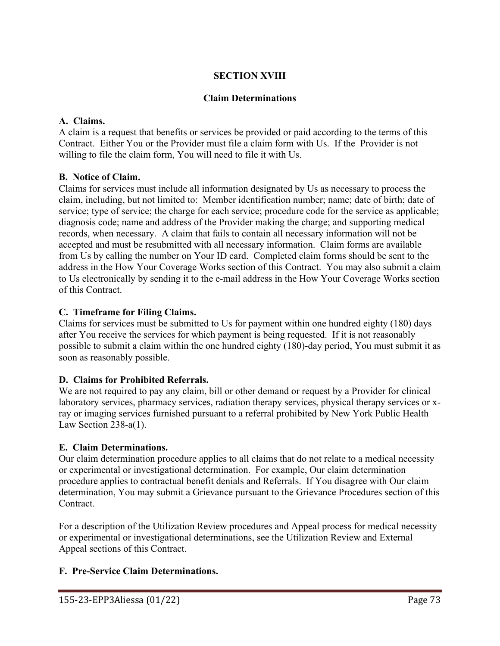## **SECTION XVIII**

### **Claim Determinations**

### **A. Claims.**

A claim is a request that benefits or services be provided or paid according to the terms of this Contract. Either You or the Provider must file a claim form with Us. If the Provider is not willing to file the claim form, You will need to file it with Us.

### **B. Notice of Claim.**

Claims for services must include all information designated by Us as necessary to process the claim, including, but not limited to: Member identification number; name; date of birth; date of service; type of service; the charge for each service; procedure code for the service as applicable; diagnosis code; name and address of the Provider making the charge; and supporting medical records, when necessary. A claim that fails to contain all necessary information will not be accepted and must be resubmitted with all necessary information. Claim forms are available from Us by calling the number on Your ID card. Completed claim forms should be sent to the address in the How Your Coverage Works section of this Contract. You may also submit a claim to Us electronically by sending it to the e-mail address in the How Your Coverage Works section of this Contract.

### **C. Timeframe for Filing Claims.**

Claims for services must be submitted to Us for payment within one hundred eighty (180) days after You receive the services for which payment is being requested. If it is not reasonably possible to submit a claim within the one hundred eighty (180)-day period, You must submit it as soon as reasonably possible.

## **D. Claims for Prohibited Referrals.**

We are not required to pay any claim, bill or other demand or request by a Provider for clinical laboratory services, pharmacy services, radiation therapy services, physical therapy services or xray or imaging services furnished pursuant to a referral prohibited by New York Public Health Law Section 238-a(1).

#### **E. Claim Determinations.**

Our claim determination procedure applies to all claims that do not relate to a medical necessity or experimental or investigational determination. For example, Our claim determination procedure applies to contractual benefit denials and Referrals. If You disagree with Our claim determination, You may submit a Grievance pursuant to the Grievance Procedures section of this Contract.

For a description of the Utilization Review procedures and Appeal process for medical necessity or experimental or investigational determinations, see the Utilization Review and External Appeal sections of this Contract.

## **F. Pre-Service Claim Determinations.**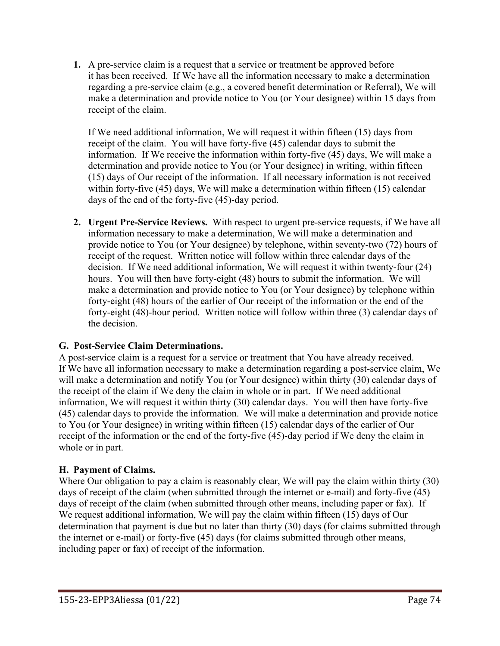**1.** A pre-service claim is a request that a service or treatment be approved before it has been received. If We have all the information necessary to make a determination regarding a pre-service claim (e.g., a covered benefit determination or Referral), We will make a determination and provide notice to You (or Your designee) within 15 days from receipt of the claim.

If We need additional information, We will request it within fifteen (15) days from receipt of the claim. You will have forty-five (45) calendar days to submit the information. If We receive the information within forty-five (45) days, We will make a determination and provide notice to You (or Your designee) in writing, within fifteen (15) days of Our receipt of the information. If all necessary information is not received within forty-five (45) days, We will make a determination within fifteen (15) calendar days of the end of the forty-five (45)-day period.

**2. Urgent Pre-Service Reviews.** With respect to urgent pre-service requests, if We have all information necessary to make a determination, We will make a determination and provide notice to You (or Your designee) by telephone, within seventy-two (72) hours of receipt of the request. Written notice will follow within three calendar days of the decision. If We need additional information, We will request it within twenty-four (24) hours. You will then have forty-eight (48) hours to submit the information. We will make a determination and provide notice to You (or Your designee) by telephone within forty-eight (48) hours of the earlier of Our receipt of the information or the end of the forty-eight (48)-hour period. Written notice will follow within three (3) calendar days of the decision.

## **G. Post-Service Claim Determinations.**

A post-service claim is a request for a service or treatment that You have already received. If We have all information necessary to make a determination regarding a post-service claim, We will make a determination and notify You (or Your designee) within thirty (30) calendar days of the receipt of the claim if We deny the claim in whole or in part. If We need additional information, We will request it within thirty (30) calendar days. You will then have forty-five (45) calendar days to provide the information. We will make a determination and provide notice to You (or Your designee) in writing within fifteen (15) calendar days of the earlier of Our receipt of the information or the end of the forty-five (45)-day period if We deny the claim in whole or in part.

## **H. Payment of Claims.**

Where Our obligation to pay a claim is reasonably clear, We will pay the claim within thirty (30) days of receipt of the claim (when submitted through the internet or e-mail) and forty-five (45) days of receipt of the claim (when submitted through other means, including paper or fax). If We request additional information, We will pay the claim within fifteen (15) days of Our determination that payment is due but no later than thirty (30) days (for claims submitted through the internet or e-mail) or forty-five (45) days (for claims submitted through other means, including paper or fax) of receipt of the information.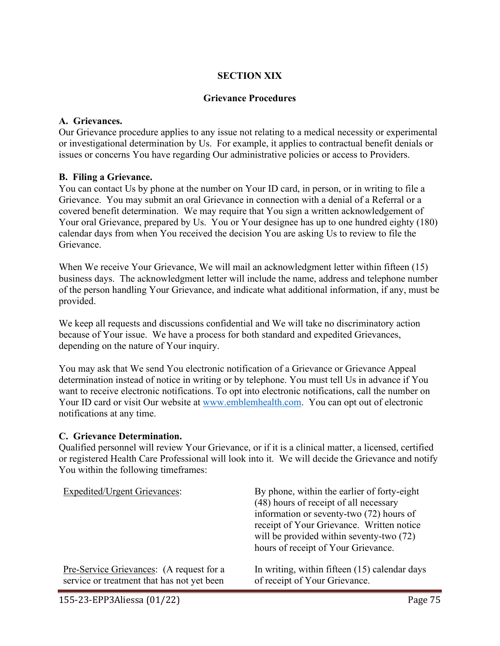#### **SECTION XIX**

#### **Grievance Procedures**

#### **A. Grievances.**

Our Grievance procedure applies to any issue not relating to a medical necessity or experimental or investigational determination by Us. For example, it applies to contractual benefit denials or issues or concerns You have regarding Our administrative policies or access to Providers.

#### **B. Filing a Grievance.**

You can contact Us by phone at the number on Your ID card, in person, or in writing to file a Grievance. You may submit an oral Grievance in connection with a denial of a Referral or a covered benefit determination. We may require that You sign a written acknowledgement of Your oral Grievance, prepared by Us. You or Your designee has up to one hundred eighty (180) calendar days from when You received the decision You are asking Us to review to file the Grievance.

When We receive Your Grievance, We will mail an acknowledgment letter within fifteen (15) business days. The acknowledgment letter will include the name, address and telephone number of the person handling Your Grievance, and indicate what additional information, if any, must be provided.

We keep all requests and discussions confidential and We will take no discriminatory action because of Your issue. We have a process for both standard and expedited Grievances, depending on the nature of Your inquiry.

You may ask that We send You electronic notification of a Grievance or Grievance Appeal determination instead of notice in writing or by telephone. You must tell Us in advance if You want to receive electronic notifications. To opt into electronic notifications, call the number on Your ID card or visit Our website at [www.emblemhealth.com.](http://www.emblemhealth.com/) You can opt out of electronic notifications at any time.

#### **C. Grievance Determination.**

Qualified personnel will review Your Grievance, or if it is a clinical matter, a licensed, certified or registered Health Care Professional will look into it. We will decide the Grievance and notify You within the following timeframes:

| <b>Expedited/Urgent Grievances:</b>        | By phone, within the earlier of forty-eight<br>(48) hours of receipt of all necessary<br>information or seventy-two (72) hours of<br>receipt of Your Grievance. Written notice<br>will be provided within seventy-two (72)<br>hours of receipt of Your Grievance. |
|--------------------------------------------|-------------------------------------------------------------------------------------------------------------------------------------------------------------------------------------------------------------------------------------------------------------------|
| Pre-Service Grievances: (A request for a   | In writing, within fifteen (15) calendar days                                                                                                                                                                                                                     |
| service or treatment that has not yet been | of receipt of Your Grievance.                                                                                                                                                                                                                                     |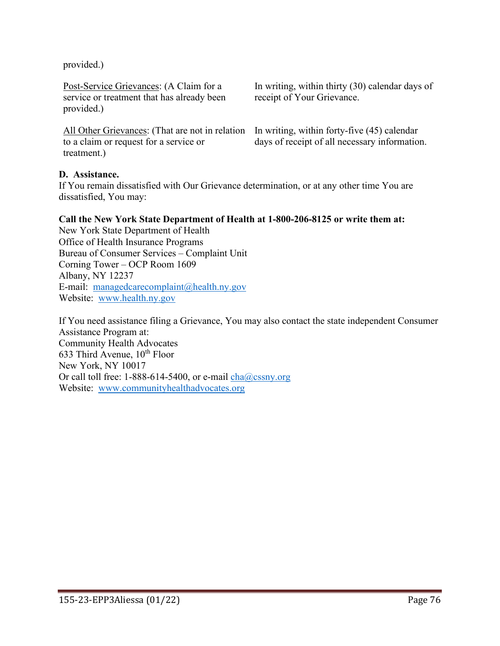provided.)

Post-Service Grievances: (A Claim for a service or treatment that has already been provided.)

All Other Grievances: (That are not in relation to a claim or request for a service or treatment.)

In writing, within thirty (30) calendar days of receipt of Your Grievance.

In writing, within forty-five (45) calendar days of receipt of all necessary information.

#### **D. Assistance.**

If You remain dissatisfied with Our Grievance determination, or at any other time You are dissatisfied, You may:

#### **Call the New York State Department of Health at 1-800-206-8125 or write them at:**

New York State Department of Health Office of Health Insurance Programs Bureau of Consumer Services – Complaint Unit Corning Tower – OCP Room 1609 Albany, NY 12237 E-mail: [managedcarecomplaint@health.ny.gov](mailto:managedcarecomplaint@health.ny.gov) Website: [www.health.ny.gov](http://www.health.ny.gov/) 

If You need assistance filing a Grievance, You may also contact the state independent Consumer Assistance Program at: Community Health Advocates 633 Third Avenue,  $10^{th}$  Floor New York, NY 10017 Or call toll free: 1-888-614-5400, or e-mail  $\frac{\text{cha@cssny.org}}{\text{cha@cssny.org}}$ Website: [www.communityhealthadvocates.org](http://www.communityhealthadvocates.org/)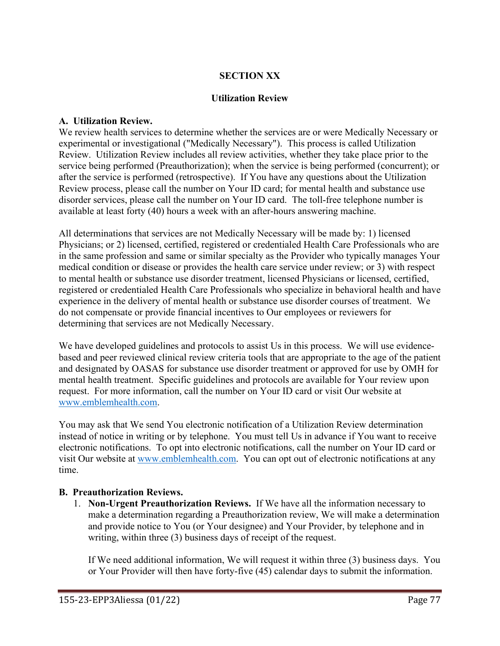### **SECTION XX**

#### **Utilization Review**

#### **A. Utilization Review.**

We review health services to determine whether the services are or were Medically Necessary or experimental or investigational ("Medically Necessary"). This process is called Utilization Review. Utilization Review includes all review activities, whether they take place prior to the service being performed (Preauthorization); when the service is being performed (concurrent); or after the service is performed (retrospective). If You have any questions about the Utilization Review process, please call the number on Your ID card; for mental health and substance use disorder services, please call the number on Your ID card. The toll-free telephone number is available at least forty (40) hours a week with an after-hours answering machine.

All determinations that services are not Medically Necessary will be made by: 1) licensed Physicians; or 2) licensed, certified, registered or credentialed Health Care Professionals who are in the same profession and same or similar specialty as the Provider who typically manages Your medical condition or disease or provides the health care service under review; or 3) with respect to mental health or substance use disorder treatment, licensed Physicians or licensed, certified, registered or credentialed Health Care Professionals who specialize in behavioral health and have experience in the delivery of mental health or substance use disorder courses of treatment. We do not compensate or provide financial incentives to Our employees or reviewers for determining that services are not Medically Necessary.

We have developed guidelines and protocols to assist Us in this process. We will use evidencebased and peer reviewed clinical review criteria tools that are appropriate to the age of the patient and designated by OASAS for substance use disorder treatment or approved for use by OMH for mental health treatment. Specific guidelines and protocols are available for Your review upon request. For more information, call the number on Your ID card or visit Our website at [www.emblemhealth.com.](http://www.emblemhealth.com/)

You may ask that We send You electronic notification of a Utilization Review determination instead of notice in writing or by telephone. You must tell Us in advance if You want to receive electronic notifications. To opt into electronic notifications, call the number on Your ID card or visit Our website at [www.emblemhealth.com.](http://www.emblemhealth.com/) You can opt out of electronic notifications at any time.

#### **B. Preauthorization Reviews.**

1. **Non-Urgent Preauthorization Reviews.** If We have all the information necessary to make a determination regarding a Preauthorization review, We will make a determination and provide notice to You (or Your designee) and Your Provider, by telephone and in writing, within three (3) business days of receipt of the request.

If We need additional information, We will request it within three (3) business days. You or Your Provider will then have forty-five (45) calendar days to submit the information.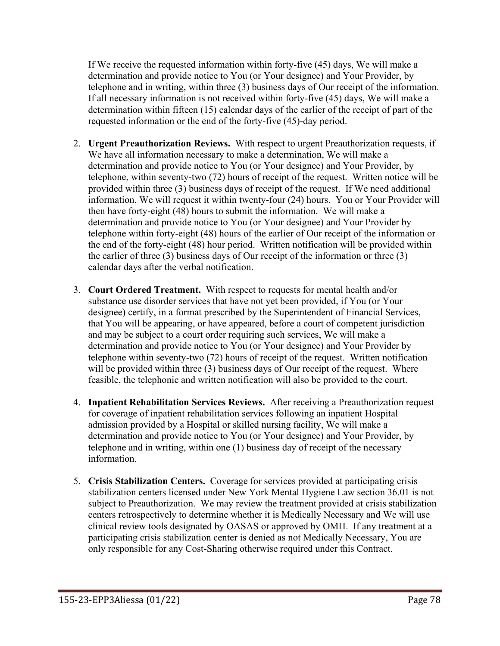If We receive the requested information within forty-five (45) days, We will make a determination and provide notice to You (or Your designee) and Your Provider, by telephone and in writing, within three (3) business days of Our receipt of the information. If all necessary information is not received within forty-five (45) days, We will make a determination within fifteen (15) calendar days of the earlier of the receipt of part of the requested information or the end of the forty-five (45)-day period.

- 2. **Urgent Preauthorization Reviews.** With respect to urgent Preauthorization requests, if We have all information necessary to make a determination, We will make a determination and provide notice to You (or Your designee) and Your Provider, by telephone, within seventy-two (72) hours of receipt of the request. Written notice will be provided within three (3) business days of receipt of the request. If We need additional information, We will request it within twenty-four (24) hours. You or Your Provider will then have forty-eight (48) hours to submit the information. We will make a determination and provide notice to You (or Your designee) and Your Provider by telephone within forty-eight (48) hours of the earlier of Our receipt of the information or the end of the forty-eight (48) hour period. Written notification will be provided within the earlier of three (3) business days of Our receipt of the information or three (3) calendar days after the verbal notification.
- 3. **Court Ordered Treatment.** With respect to requests for mental health and/or substance use disorder services that have not yet been provided, if You (or Your designee) certify, in a format prescribed by the Superintendent of Financial Services, that You will be appearing, or have appeared, before a court of competent jurisdiction and may be subject to a court order requiring such services, We will make a determination and provide notice to You (or Your designee) and Your Provider by telephone within seventy-two (72) hours of receipt of the request. Written notification will be provided within three (3) business days of Our receipt of the request. Where feasible, the telephonic and written notification will also be provided to the court.
- 4. **Inpatient Rehabilitation Services Reviews.** After receiving a Preauthorization request for coverage of inpatient rehabilitation services following an inpatient Hospital admission provided by a Hospital or skilled nursing facility, We will make a determination and provide notice to You (or Your designee) and Your Provider, by telephone and in writing, within one (1) business day of receipt of the necessary information.
- 5. **Crisis Stabilization Centers.** Coverage for services provided at participating crisis stabilization centers licensed under New York Mental Hygiene Law section 36.01 is not subject to Preauthorization. We may review the treatment provided at crisis stabilization centers retrospectively to determine whether it is Medically Necessary and We will use clinical review tools designated by OASAS or approved by OMH. If any treatment at a participating crisis stabilization center is denied as not Medically Necessary, You are only responsible for any Cost-Sharing otherwise required under this Contract.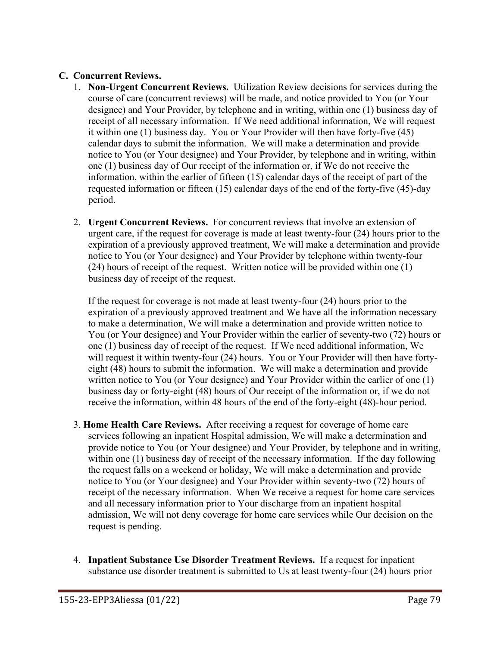### **C. Concurrent Reviews.**

- 1. **Non-Urgent Concurrent Reviews.** Utilization Review decisions for services during the course of care (concurrent reviews) will be made, and notice provided to You (or Your designee) and Your Provider, by telephone and in writing, within one (1) business day of receipt of all necessary information. If We need additional information, We will request it within one (1) business day. You or Your Provider will then have forty-five (45) calendar days to submit the information. We will make a determination and provide notice to You (or Your designee) and Your Provider, by telephone and in writing, within one (1) business day of Our receipt of the information or, if We do not receive the information, within the earlier of fifteen (15) calendar days of the receipt of part of the requested information or fifteen (15) calendar days of the end of the forty-five (45)-day period.
- 2. **Urgent Concurrent Reviews.** For concurrent reviews that involve an extension of urgent care, if the request for coverage is made at least twenty-four (24) hours prior to the expiration of a previously approved treatment, We will make a determination and provide notice to You (or Your designee) and Your Provider by telephone within twenty-four (24) hours of receipt of the request. Written notice will be provided within one (1) business day of receipt of the request.

If the request for coverage is not made at least twenty-four (24) hours prior to the expiration of a previously approved treatment and We have all the information necessary to make a determination, We will make a determination and provide written notice to You (or Your designee) and Your Provider within the earlier of seventy-two (72) hours or one (1) business day of receipt of the request. If We need additional information, We will request it within twenty-four (24) hours. You or Your Provider will then have fortyeight (48) hours to submit the information. We will make a determination and provide written notice to You (or Your designee) and Your Provider within the earlier of one (1) business day or forty-eight (48) hours of Our receipt of the information or, if we do not receive the information, within 48 hours of the end of the forty-eight (48)-hour period.

- 3. **Home Health Care Reviews.** After receiving a request for coverage of home care services following an inpatient Hospital admission, We will make a determination and provide notice to You (or Your designee) and Your Provider, by telephone and in writing, within one (1) business day of receipt of the necessary information. If the day following the request falls on a weekend or holiday, We will make a determination and provide notice to You (or Your designee) and Your Provider within seventy-two (72) hours of receipt of the necessary information. When We receive a request for home care services and all necessary information prior to Your discharge from an inpatient hospital admission, We will not deny coverage for home care services while Our decision on the request is pending.
- 4. **Inpatient Substance Use Disorder Treatment Reviews.** If a request for inpatient substance use disorder treatment is submitted to Us at least twenty-four (24) hours prior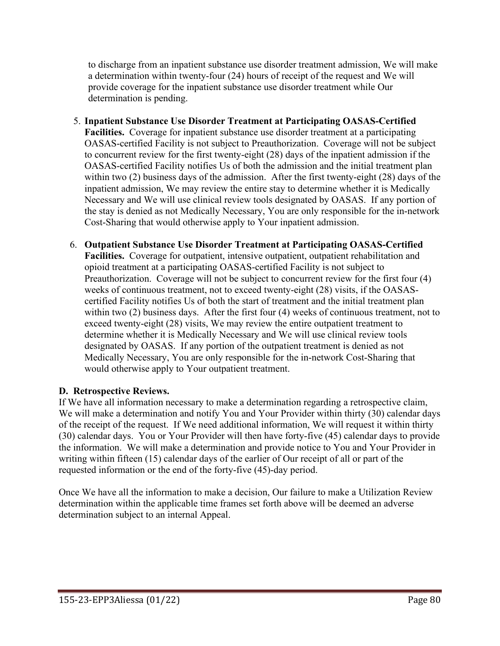to discharge from an inpatient substance use disorder treatment admission, We will make a determination within twenty-four (24) hours of receipt of the request and We will provide coverage for the inpatient substance use disorder treatment while Our determination is pending.

- 5. **Inpatient Substance Use Disorder Treatment at Participating OASAS-Certified Facilities.** Coverage for inpatient substance use disorder treatment at a participating OASAS-certified Facility is not subject to Preauthorization. Coverage will not be subject to concurrent review for the first twenty-eight (28) days of the inpatient admission if the OASAS-certified Facility notifies Us of both the admission and the initial treatment plan within two (2) business days of the admission. After the first twenty-eight (28) days of the inpatient admission, We may review the entire stay to determine whether it is Medically Necessary and We will use clinical review tools designated by OASAS. If any portion of the stay is denied as not Medically Necessary, You are only responsible for the in-network Cost-Sharing that would otherwise apply to Your inpatient admission.
- 6. **Outpatient Substance Use Disorder Treatment at Participating OASAS-Certified Facilities.** Coverage for outpatient, intensive outpatient, outpatient rehabilitation and opioid treatment at a participating OASAS-certified Facility is not subject to Preauthorization. Coverage will not be subject to concurrent review for the first four (4) weeks of continuous treatment, not to exceed twenty-eight (28) visits, if the OASAScertified Facility notifies Us of both the start of treatment and the initial treatment plan within two (2) business days. After the first four (4) weeks of continuous treatment, not to exceed twenty-eight (28) visits, We may review the entire outpatient treatment to determine whether it is Medically Necessary and We will use clinical review tools designated by OASAS. If any portion of the outpatient treatment is denied as not Medically Necessary, You are only responsible for the in-network Cost-Sharing that would otherwise apply to Your outpatient treatment.

## **D. Retrospective Reviews.**

If We have all information necessary to make a determination regarding a retrospective claim, We will make a determination and notify You and Your Provider within thirty (30) calendar days of the receipt of the request. If We need additional information, We will request it within thirty (30) calendar days. You or Your Provider will then have forty-five (45) calendar days to provide the information. We will make a determination and provide notice to You and Your Provider in writing within fifteen (15) calendar days of the earlier of Our receipt of all or part of the requested information or the end of the forty-five (45)-day period.

Once We have all the information to make a decision, Our failure to make a Utilization Review determination within the applicable time frames set forth above will be deemed an adverse determination subject to an internal Appeal.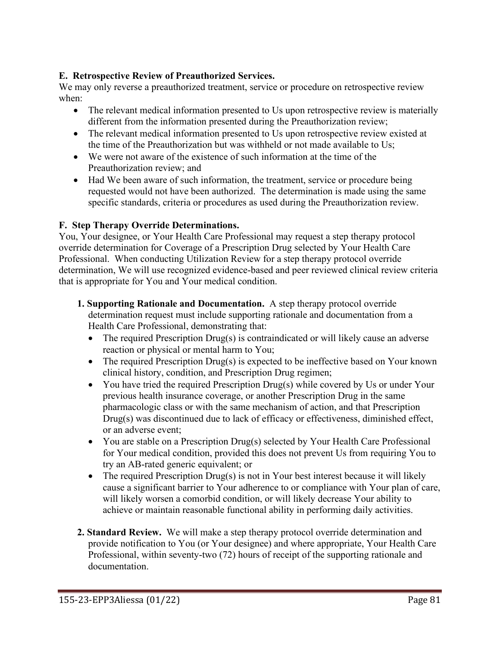### **E. Retrospective Review of Preauthorized Services.**

We may only reverse a preauthorized treatment, service or procedure on retrospective review when:

- The relevant medical information presented to Us upon retrospective review is materially different from the information presented during the Preauthorization review;
- The relevant medical information presented to Us upon retrospective review existed at the time of the Preauthorization but was withheld or not made available to Us;
- We were not aware of the existence of such information at the time of the Preauthorization review; and
- Had We been aware of such information, the treatment, service or procedure being requested would not have been authorized. The determination is made using the same specific standards, criteria or procedures as used during the Preauthorization review.

### **F. Step Therapy Override Determinations.**

You, Your designee, or Your Health Care Professional may request a step therapy protocol override determination for Coverage of a Prescription Drug selected by Your Health Care Professional. When conducting Utilization Review for a step therapy protocol override determination, We will use recognized evidence-based and peer reviewed clinical review criteria that is appropriate for You and Your medical condition.

- **1. Supporting Rationale and Documentation.** A step therapy protocol override determination request must include supporting rationale and documentation from a Health Care Professional, demonstrating that:
	- The required Prescription Drug(s) is contraindicated or will likely cause an adverse reaction or physical or mental harm to You;
	- The required Prescription Drug(s) is expected to be ineffective based on Your known clinical history, condition, and Prescription Drug regimen;
	- You have tried the required Prescription Drug(s) while covered by Us or under Your previous health insurance coverage, or another Prescription Drug in the same pharmacologic class or with the same mechanism of action, and that Prescription Drug(s) was discontinued due to lack of efficacy or effectiveness, diminished effect, or an adverse event;
	- You are stable on a Prescription Drug(s) selected by Your Health Care Professional for Your medical condition, provided this does not prevent Us from requiring You to try an AB-rated generic equivalent; or
	- The required Prescription Drug(s) is not in Your best interest because it will likely cause a significant barrier to Your adherence to or compliance with Your plan of care, will likely worsen a comorbid condition, or will likely decrease Your ability to achieve or maintain reasonable functional ability in performing daily activities.
- **2. Standard Review.** We will make a step therapy protocol override determination and provide notification to You (or Your designee) and where appropriate, Your Health Care Professional, within seventy-two (72) hours of receipt of the supporting rationale and documentation.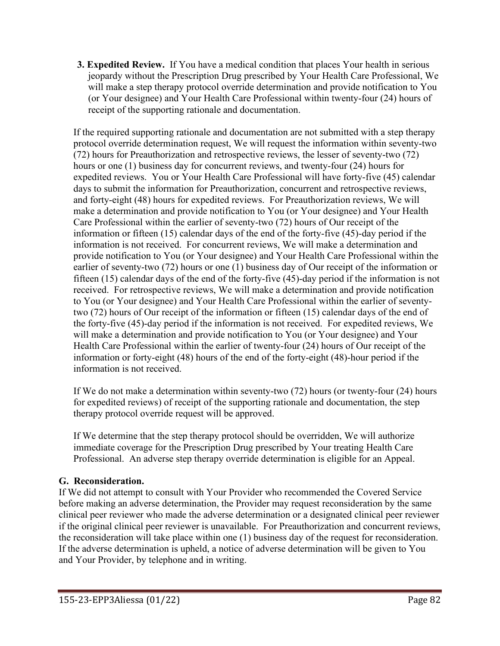**3. Expedited Review.** If You have a medical condition that places Your health in serious jeopardy without the Prescription Drug prescribed by Your Health Care Professional, We will make a step therapy protocol override determination and provide notification to You (or Your designee) and Your Health Care Professional within twenty-four (24) hours of receipt of the supporting rationale and documentation.

If the required supporting rationale and documentation are not submitted with a step therapy protocol override determination request, We will request the information within seventy-two (72) hours for Preauthorization and retrospective reviews, the lesser of seventy-two (72) hours or one (1) business day for concurrent reviews, and twenty-four (24) hours for expedited reviews. You or Your Health Care Professional will have forty-five (45) calendar days to submit the information for Preauthorization, concurrent and retrospective reviews, and forty-eight (48) hours for expedited reviews. For Preauthorization reviews, We will make a determination and provide notification to You (or Your designee) and Your Health Care Professional within the earlier of seventy-two (72) hours of Our receipt of the information or fifteen (15) calendar days of the end of the forty-five (45)-day period if the information is not received. For concurrent reviews, We will make a determination and provide notification to You (or Your designee) and Your Health Care Professional within the earlier of seventy-two (72) hours or one (1) business day of Our receipt of the information or fifteen (15) calendar days of the end of the forty-five (45)-day period if the information is not received. For retrospective reviews, We will make a determination and provide notification to You (or Your designee) and Your Health Care Professional within the earlier of seventytwo (72) hours of Our receipt of the information or fifteen (15) calendar days of the end of the forty-five (45)-day period if the information is not received. For expedited reviews, We will make a determination and provide notification to You (or Your designee) and Your Health Care Professional within the earlier of twenty-four (24) hours of Our receipt of the information or forty-eight (48) hours of the end of the forty-eight (48)-hour period if the information is not received.

If We do not make a determination within seventy-two (72) hours (or twenty-four (24) hours for expedited reviews) of receipt of the supporting rationale and documentation, the step therapy protocol override request will be approved.

If We determine that the step therapy protocol should be overridden, We will authorize immediate coverage for the Prescription Drug prescribed by Your treating Health Care Professional. An adverse step therapy override determination is eligible for an Appeal.

## **G. Reconsideration.**

If We did not attempt to consult with Your Provider who recommended the Covered Service before making an adverse determination, the Provider may request reconsideration by the same clinical peer reviewer who made the adverse determination or a designated clinical peer reviewer if the original clinical peer reviewer is unavailable. For Preauthorization and concurrent reviews, the reconsideration will take place within one (1) business day of the request for reconsideration. If the adverse determination is upheld, a notice of adverse determination will be given to You and Your Provider, by telephone and in writing.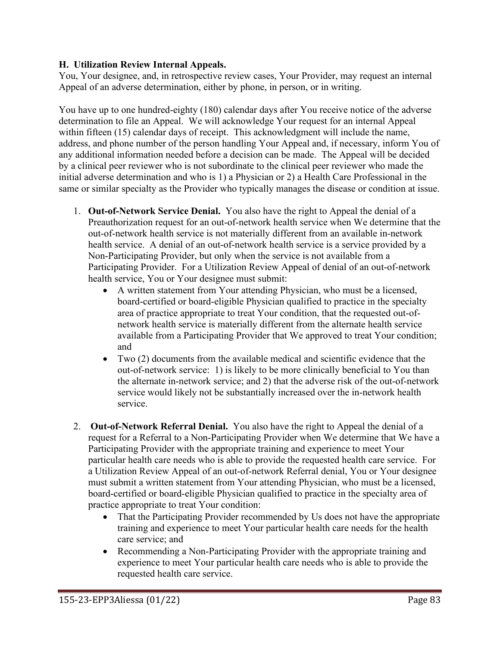### **H. Utilization Review Internal Appeals.**

You, Your designee, and, in retrospective review cases, Your Provider, may request an internal Appeal of an adverse determination, either by phone, in person, or in writing.

You have up to one hundred-eighty (180) calendar days after You receive notice of the adverse determination to file an Appeal. We will acknowledge Your request for an internal Appeal within fifteen (15) calendar days of receipt. This acknowledgment will include the name, address, and phone number of the person handling Your Appeal and, if necessary, inform You of any additional information needed before a decision can be made. The Appeal will be decided by a clinical peer reviewer who is not subordinate to the clinical peer reviewer who made the initial adverse determination and who is 1) a Physician or 2) a Health Care Professional in the same or similar specialty as the Provider who typically manages the disease or condition at issue.

- 1. **Out-of-Network Service Denial.** You also have the right to Appeal the denial of a Preauthorization request for an out-of-network health service when We determine that the out-of-network health service is not materially different from an available in-network health service. A denial of an out-of-network health service is a service provided by a Non-Participating Provider, but only when the service is not available from a Participating Provider. For a Utilization Review Appeal of denial of an out-of-network health service, You or Your designee must submit:
	- A written statement from Your attending Physician, who must be a licensed, board-certified or board-eligible Physician qualified to practice in the specialty area of practice appropriate to treat Your condition, that the requested out-ofnetwork health service is materially different from the alternate health service available from a Participating Provider that We approved to treat Your condition; and
	- Two (2) documents from the available medical and scientific evidence that the out-of-network service: 1) is likely to be more clinically beneficial to You than the alternate in-network service; and 2) that the adverse risk of the out-of-network service would likely not be substantially increased over the in-network health service.
- 2. **Out-of-Network Referral Denial.** You also have the right to Appeal the denial of a request for a Referral to a Non-Participating Provider when We determine that We have a Participating Provider with the appropriate training and experience to meet Your particular health care needs who is able to provide the requested health care service. For a Utilization Review Appeal of an out-of-network Referral denial, You or Your designee must submit a written statement from Your attending Physician, who must be a licensed, board-certified or board-eligible Physician qualified to practice in the specialty area of practice appropriate to treat Your condition:
	- That the Participating Provider recommended by Us does not have the appropriate training and experience to meet Your particular health care needs for the health care service; and
	- Recommending a Non-Participating Provider with the appropriate training and experience to meet Your particular health care needs who is able to provide the requested health care service.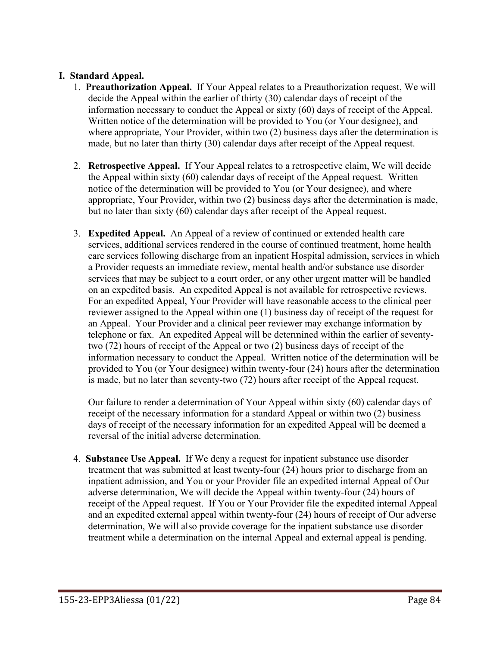### **I. Standard Appeal.**

- 1. **Preauthorization Appeal.** If Your Appeal relates to a Preauthorization request, We will decide the Appeal within the earlier of thirty (30) calendar days of receipt of the information necessary to conduct the Appeal or sixty (60) days of receipt of the Appeal. Written notice of the determination will be provided to You (or Your designee), and where appropriate, Your Provider, within two (2) business days after the determination is made, but no later than thirty (30) calendar days after receipt of the Appeal request.
- 2. **Retrospective Appeal.** If Your Appeal relates to a retrospective claim, We will decide the Appeal within sixty (60) calendar days of receipt of the Appeal request. Written notice of the determination will be provided to You (or Your designee), and where appropriate, Your Provider, within two (2) business days after the determination is made, but no later than sixty (60) calendar days after receipt of the Appeal request.
- 3. **Expedited Appeal.** An Appeal of a review of continued or extended health care services, additional services rendered in the course of continued treatment, home health care services following discharge from an inpatient Hospital admission, services in which a Provider requests an immediate review, mental health and/or substance use disorder services that may be subject to a court order, or any other urgent matter will be handled on an expedited basis. An expedited Appeal is not available for retrospective reviews. For an expedited Appeal, Your Provider will have reasonable access to the clinical peer reviewer assigned to the Appeal within one (1) business day of receipt of the request for an Appeal. Your Provider and a clinical peer reviewer may exchange information by telephone or fax. An expedited Appeal will be determined within the earlier of seventytwo (72) hours of receipt of the Appeal or two (2) business days of receipt of the information necessary to conduct the Appeal. Written notice of the determination will be provided to You (or Your designee) within twenty-four (24) hours after the determination is made, but no later than seventy-two (72) hours after receipt of the Appeal request.

Our failure to render a determination of Your Appeal within sixty (60) calendar days of receipt of the necessary information for a standard Appeal or within two (2) business days of receipt of the necessary information for an expedited Appeal will be deemed a reversal of the initial adverse determination.

4. **Substance Use Appeal.** If We deny a request for inpatient substance use disorder treatment that was submitted at least twenty-four (24) hours prior to discharge from an inpatient admission, and You or your Provider file an expedited internal Appeal of Our adverse determination, We will decide the Appeal within twenty-four (24) hours of receipt of the Appeal request. If You or Your Provider file the expedited internal Appeal and an expedited external appeal within twenty-four (24) hours of receipt of Our adverse determination, We will also provide coverage for the inpatient substance use disorder treatment while a determination on the internal Appeal and external appeal is pending.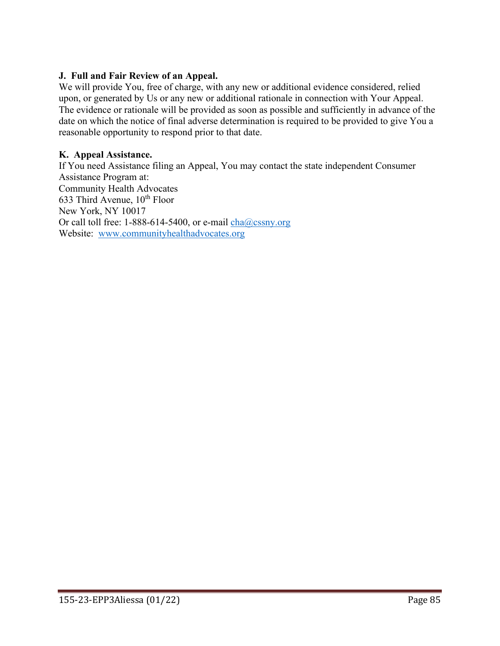#### **J. Full and Fair Review of an Appeal.**

We will provide You, free of charge, with any new or additional evidence considered, relied upon, or generated by Us or any new or additional rationale in connection with Your Appeal. The evidence or rationale will be provided as soon as possible and sufficiently in advance of the date on which the notice of final adverse determination is required to be provided to give You a reasonable opportunity to respond prior to that date.

#### **K. Appeal Assistance.**

If You need Assistance filing an Appeal, You may contact the state independent Consumer Assistance Program at: Community Health Advocates 633 Third Avenue,  $10^{th}$  Floor New York, NY 10017 Or call toll free: 1-888-614-5400, or e-mail  $cha@cssny.org$ Website: [www.communityhealthadvocates.org](http://www.communityhealthadvocates.org/)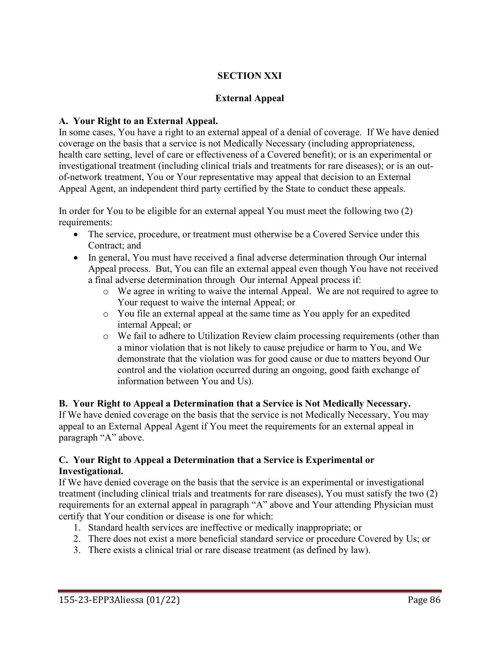## **SECTION XXI**

#### **External Appeal**

#### **A. Your Right to an External Appeal.**

In some cases, You have a right to an external appeal of a denial of coverage. If We have denied coverage on the basis that a service is not Medically Necessary (including appropriateness, health care setting, level of care or effectiveness of a Covered benefit); or is an experimental or investigational treatment (including clinical trials and treatments for rare diseases); or is an outof-network treatment, You or Your representative may appeal that decision to an External Appeal Agent, an independent third party certified by the State to conduct these appeals.

In order for You to be eligible for an external appeal You must meet the following two (2) requirements:

- The service, procedure, or treatment must otherwise be a Covered Service under this Contract; and
- In general, You must have received a final adverse determination through Our internal Appeal process. But, You can file an external appeal even though You have not received a final adverse determination through Our internal Appeal process if:
	- o We agree in writing to waive the internal Appeal. We are not required to agree to Your request to waive the internal Appeal; or
	- o You file an external appeal at the same time as You apply for an expedited internal Appeal; or
	- o We fail to adhere to Utilization Review claim processing requirements (other than a minor violation that is not likely to cause prejudice or harm to You, and We demonstrate that the violation was for good cause or due to matters beyond Our control and the violation occurred during an ongoing, good faith exchange of information between You and Us).

**B. Your Right to Appeal a Determination that a Service is Not Medically Necessary.** If We have denied coverage on the basis that the service is not Medically Necessary, You may appeal to an External Appeal Agent if You meet the requirements for an external appeal in paragraph "A" above.

### **C. Your Right to Appeal a Determination that a Service is Experimental or Investigational.**

If We have denied coverage on the basis that the service is an experimental or investigational treatment (including clinical trials and treatments for rare diseases), You must satisfy the two (2) requirements for an external appeal in paragraph "A" above and Your attending Physician must certify that Your condition or disease is one for which:

- 1. Standard health services are ineffective or medically inappropriate; or
- 2. There does not exist a more beneficial standard service or procedure Covered by Us; or
- 3. There exists a clinical trial or rare disease treatment (as defined by law).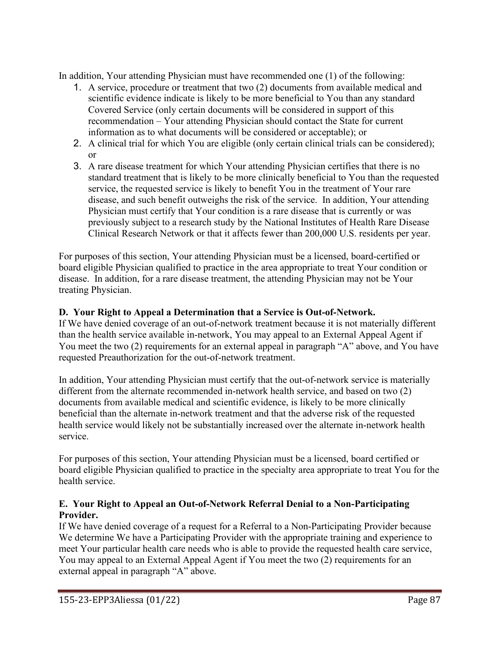In addition, Your attending Physician must have recommended one (1) of the following:

- 1. A service, procedure or treatment that two (2) documents from available medical and scientific evidence indicate is likely to be more beneficial to You than any standard Covered Service (only certain documents will be considered in support of this recommendation – Your attending Physician should contact the State for current information as to what documents will be considered or acceptable); or
- 2. A clinical trial for which You are eligible (only certain clinical trials can be considered); or
- 3. A rare disease treatment for which Your attending Physician certifies that there is no standard treatment that is likely to be more clinically beneficial to You than the requested service, the requested service is likely to benefit You in the treatment of Your rare disease, and such benefit outweighs the risk of the service. In addition, Your attending Physician must certify that Your condition is a rare disease that is currently or was previously subject to a research study by the National Institutes of Health Rare Disease Clinical Research Network or that it affects fewer than 200,000 U.S. residents per year.

For purposes of this section, Your attending Physician must be a licensed, board-certified or board eligible Physician qualified to practice in the area appropriate to treat Your condition or disease. In addition, for a rare disease treatment, the attending Physician may not be Your treating Physician.

## **D. Your Right to Appeal a Determination that a Service is Out-of-Network.**

If We have denied coverage of an out-of-network treatment because it is not materially different than the health service available in-network, You may appeal to an External Appeal Agent if You meet the two (2) requirements for an external appeal in paragraph "A" above, and You have requested Preauthorization for the out-of-network treatment.

In addition, Your attending Physician must certify that the out-of-network service is materially different from the alternate recommended in-network health service, and based on two (2) documents from available medical and scientific evidence, is likely to be more clinically beneficial than the alternate in-network treatment and that the adverse risk of the requested health service would likely not be substantially increased over the alternate in-network health service.

For purposes of this section, Your attending Physician must be a licensed, board certified or board eligible Physician qualified to practice in the specialty area appropriate to treat You for the health service.

### **E. Your Right to Appeal an Out-of-Network Referral Denial to a Non-Participating Provider.**

If We have denied coverage of a request for a Referral to a Non-Participating Provider because We determine We have a Participating Provider with the appropriate training and experience to meet Your particular health care needs who is able to provide the requested health care service, You may appeal to an External Appeal Agent if You meet the two (2) requirements for an external appeal in paragraph "A" above.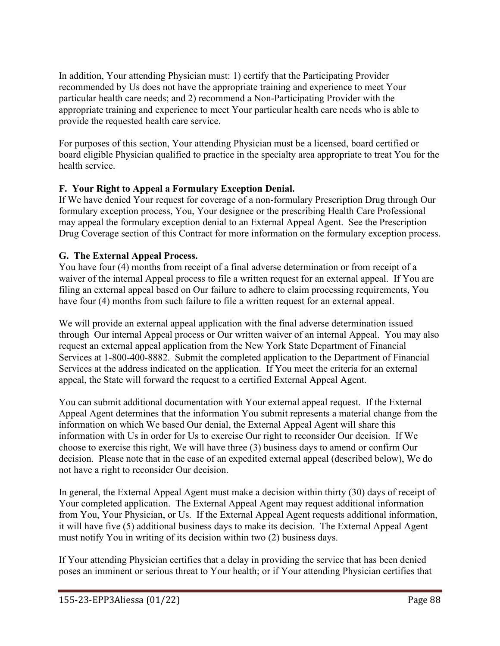In addition, Your attending Physician must: 1) certify that the Participating Provider recommended by Us does not have the appropriate training and experience to meet Your particular health care needs; and 2) recommend a Non-Participating Provider with the appropriate training and experience to meet Your particular health care needs who is able to provide the requested health care service.

For purposes of this section, Your attending Physician must be a licensed, board certified or board eligible Physician qualified to practice in the specialty area appropriate to treat You for the health service.

## **F. Your Right to Appeal a Formulary Exception Denial.**

If We have denied Your request for coverage of a non-formulary Prescription Drug through Our formulary exception process, You, Your designee or the prescribing Health Care Professional may appeal the formulary exception denial to an External Appeal Agent. See the Prescription Drug Coverage section of this Contract for more information on the formulary exception process.

## **G. The External Appeal Process.**

You have four (4) months from receipt of a final adverse determination or from receipt of a waiver of the internal Appeal process to file a written request for an external appeal. If You are filing an external appeal based on Our failure to adhere to claim processing requirements, You have four (4) months from such failure to file a written request for an external appeal.

We will provide an external appeal application with the final adverse determination issued through Our internal Appeal process or Our written waiver of an internal Appeal. You may also request an external appeal application from the New York State Department of Financial Services at 1-800-400-8882. Submit the completed application to the Department of Financial Services at the address indicated on the application. If You meet the criteria for an external appeal, the State will forward the request to a certified External Appeal Agent.

You can submit additional documentation with Your external appeal request. If the External Appeal Agent determines that the information You submit represents a material change from the information on which We based Our denial, the External Appeal Agent will share this information with Us in order for Us to exercise Our right to reconsider Our decision. If We choose to exercise this right, We will have three (3) business days to amend or confirm Our decision. Please note that in the case of an expedited external appeal (described below), We do not have a right to reconsider Our decision.

In general, the External Appeal Agent must make a decision within thirty (30) days of receipt of Your completed application. The External Appeal Agent may request additional information from You, Your Physician, or Us. If the External Appeal Agent requests additional information, it will have five (5) additional business days to make its decision. The External Appeal Agent must notify You in writing of its decision within two (2) business days.

If Your attending Physician certifies that a delay in providing the service that has been denied poses an imminent or serious threat to Your health; or if Your attending Physician certifies that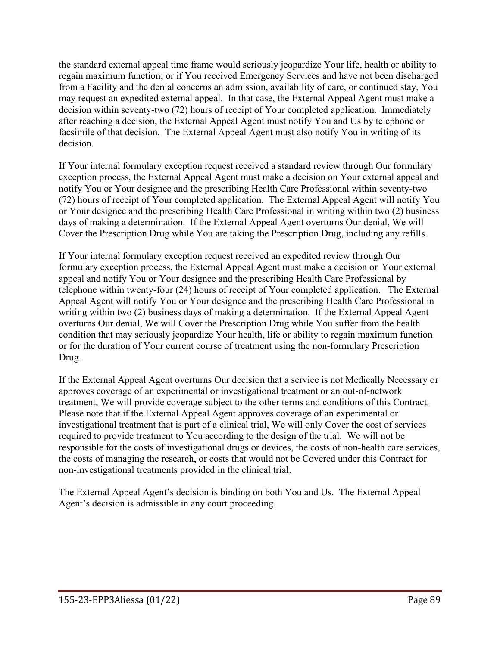the standard external appeal time frame would seriously jeopardize Your life, health or ability to regain maximum function; or if You received Emergency Services and have not been discharged from a Facility and the denial concerns an admission, availability of care, or continued stay, You may request an expedited external appeal. In that case, the External Appeal Agent must make a decision within seventy-two (72) hours of receipt of Your completed application. Immediately after reaching a decision, the External Appeal Agent must notify You and Us by telephone or facsimile of that decision. The External Appeal Agent must also notify You in writing of its decision.

If Your internal formulary exception request received a standard review through Our formulary exception process, the External Appeal Agent must make a decision on Your external appeal and notify You or Your designee and the prescribing Health Care Professional within seventy-two (72) hours of receipt of Your completed application. The External Appeal Agent will notify You or Your designee and the prescribing Health Care Professional in writing within two (2) business days of making a determination. If the External Appeal Agent overturns Our denial, We will Cover the Prescription Drug while You are taking the Prescription Drug, including any refills.

If Your internal formulary exception request received an expedited review through Our formulary exception process, the External Appeal Agent must make a decision on Your external appeal and notify You or Your designee and the prescribing Health Care Professional by telephone within twenty-four (24) hours of receipt of Your completed application. The External Appeal Agent will notify You or Your designee and the prescribing Health Care Professional in writing within two (2) business days of making a determination. If the External Appeal Agent overturns Our denial, We will Cover the Prescription Drug while You suffer from the health condition that may seriously jeopardize Your health, life or ability to regain maximum function or for the duration of Your current course of treatment using the non-formulary Prescription Drug.

If the External Appeal Agent overturns Our decision that a service is not Medically Necessary or approves coverage of an experimental or investigational treatment or an out-of-network treatment, We will provide coverage subject to the other terms and conditions of this Contract. Please note that if the External Appeal Agent approves coverage of an experimental or investigational treatment that is part of a clinical trial, We will only Cover the cost of services required to provide treatment to You according to the design of the trial. We will not be responsible for the costs of investigational drugs or devices, the costs of non-health care services, the costs of managing the research, or costs that would not be Covered under this Contract for non-investigational treatments provided in the clinical trial.

The External Appeal Agent's decision is binding on both You and Us. The External Appeal Agent's decision is admissible in any court proceeding.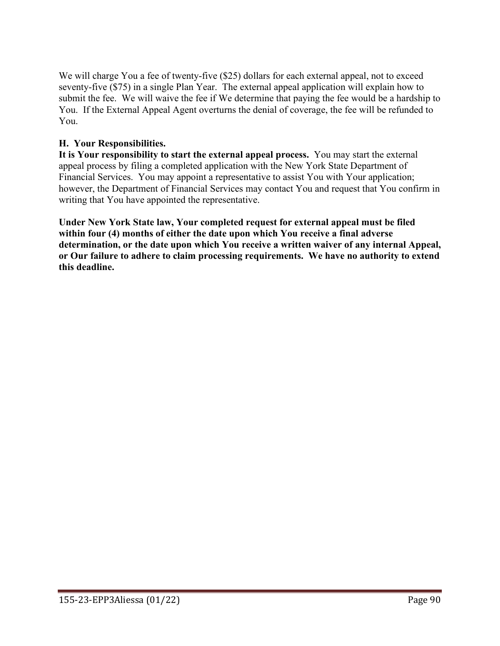We will charge You a fee of twenty-five (\$25) dollars for each external appeal, not to exceed seventy-five (\$75) in a single Plan Year. The external appeal application will explain how to submit the fee. We will waive the fee if We determine that paying the fee would be a hardship to You. If the External Appeal Agent overturns the denial of coverage, the fee will be refunded to You.

### **H. Your Responsibilities.**

**It is Your responsibility to start the external appeal process.** You may start the external appeal process by filing a completed application with the New York State Department of Financial Services. You may appoint a representative to assist You with Your application; however, the Department of Financial Services may contact You and request that You confirm in writing that You have appointed the representative.

**Under New York State law, Your completed request for external appeal must be filed within four (4) months of either the date upon which You receive a final adverse determination, or the date upon which You receive a written waiver of any internal Appeal, or Our failure to adhere to claim processing requirements. We have no authority to extend this deadline.**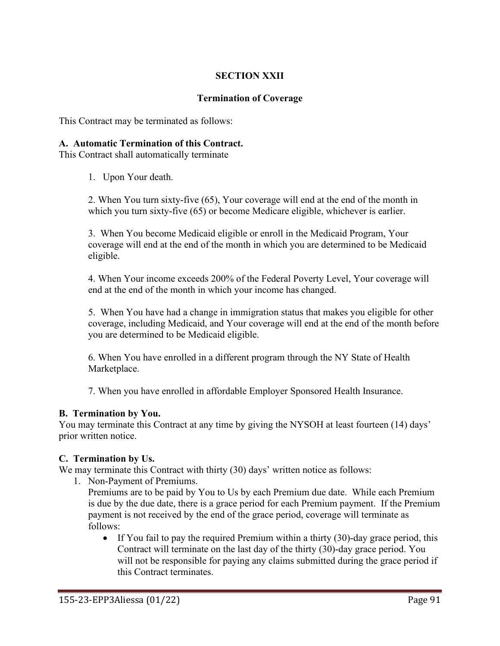## **SECTION XXII**

#### **Termination of Coverage**

This Contract may be terminated as follows:

#### **A. Automatic Termination of this Contract.**

This Contract shall automatically terminate

1. Upon Your death.

2. When You turn sixty-five (65), Your coverage will end at the end of the month in which you turn sixty-five (65) or become Medicare eligible, whichever is earlier.

3. When You become Medicaid eligible or enroll in the Medicaid Program, Your coverage will end at the end of the month in which you are determined to be Medicaid eligible.

4. When Your income exceeds 200% of the Federal Poverty Level, Your coverage will end at the end of the month in which your income has changed.

5. When You have had a change in immigration status that makes you eligible for other coverage, including Medicaid, and Your coverage will end at the end of the month before you are determined to be Medicaid eligible.

6. When You have enrolled in a different program through the NY State of Health Marketplace.

7. When you have enrolled in affordable Employer Sponsored Health Insurance.

#### **B. Termination by You.**

You may terminate this Contract at any time by giving the NYSOH at least fourteen (14) days' prior written notice.

#### **C. Termination by Us.**

We may terminate this Contract with thirty (30) days' written notice as follows:

1. Non-Payment of Premiums.

Premiums are to be paid by You to Us by each Premium due date. While each Premium is due by the due date, there is a grace period for each Premium payment. If the Premium payment is not received by the end of the grace period, coverage will terminate as follows:

• If You fail to pay the required Premium within a thirty (30)-day grace period, this Contract will terminate on the last day of the thirty (30)-day grace period. You will not be responsible for paying any claims submitted during the grace period if this Contract terminates.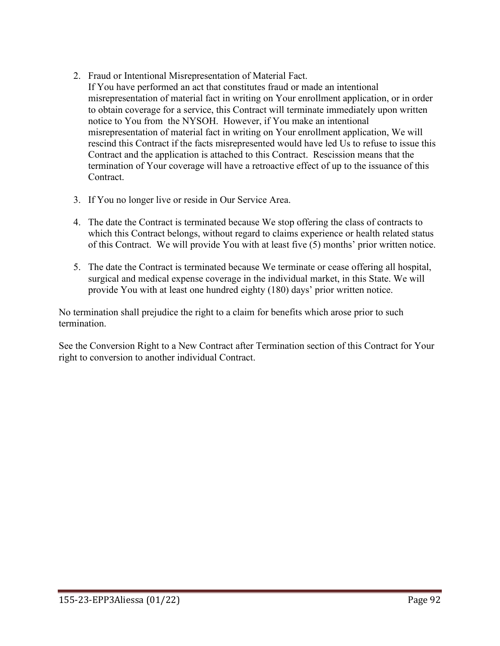- 2. Fraud or Intentional Misrepresentation of Material Fact. If You have performed an act that constitutes fraud or made an intentional misrepresentation of material fact in writing on Your enrollment application, or in order to obtain coverage for a service, this Contract will terminate immediately upon written notice to You from the NYSOH. However, if You make an intentional misrepresentation of material fact in writing on Your enrollment application, We will rescind this Contract if the facts misrepresented would have led Us to refuse to issue this Contract and the application is attached to this Contract. Rescission means that the termination of Your coverage will have a retroactive effect of up to the issuance of this Contract.
- 3. If You no longer live or reside in Our Service Area.
- 4. The date the Contract is terminated because We stop offering the class of contracts to which this Contract belongs, without regard to claims experience or health related status of this Contract. We will provide You with at least five (5) months' prior written notice.
- 5. The date the Contract is terminated because We terminate or cease offering all hospital, surgical and medical expense coverage in the individual market, in this State. We will provide You with at least one hundred eighty (180) days' prior written notice.

No termination shall prejudice the right to a claim for benefits which arose prior to such termination.

See the Conversion Right to a New Contract after Termination section of this Contract for Your right to conversion to another individual Contract.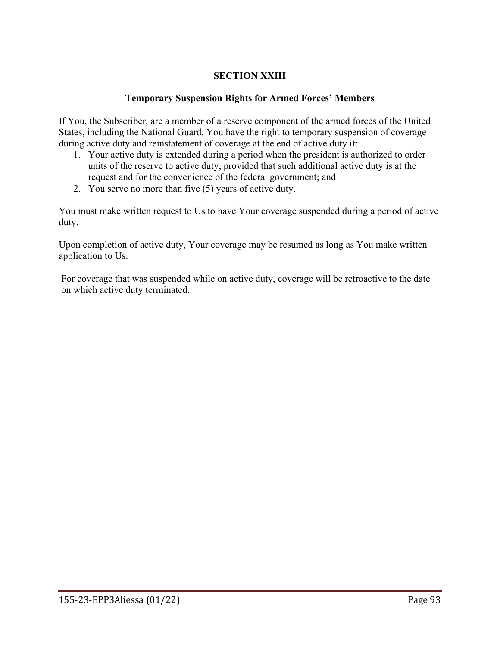## **SECTION XXIII**

#### **Temporary Suspension Rights for Armed Forces' Members**

If You, the Subscriber, are a member of a reserve component of the armed forces of the United States, including the National Guard, You have the right to temporary suspension of coverage during active duty and reinstatement of coverage at the end of active duty if:

- 1. Your active duty is extended during a period when the president is authorized to order units of the reserve to active duty, provided that such additional active duty is at the request and for the convenience of the federal government; and
- 2. You serve no more than five (5) years of active duty.

You must make written request to Us to have Your coverage suspended during a period of active duty.

Upon completion of active duty, Your coverage may be resumed as long as You make written application to Us.

For coverage that was suspended while on active duty, coverage will be retroactive to the date on which active duty terminated.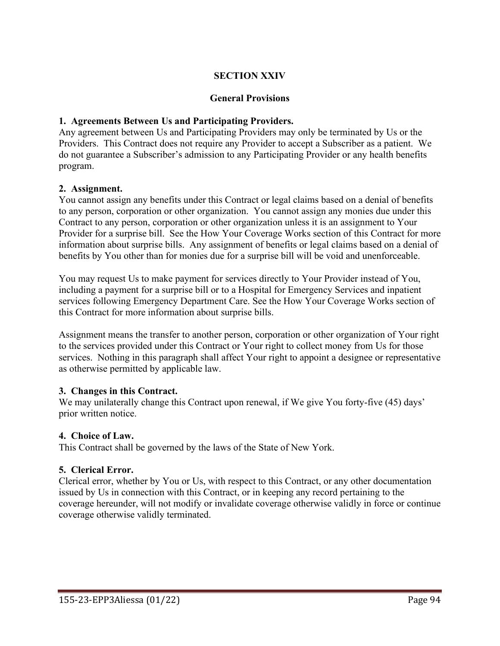### **SECTION XXIV**

#### **General Provisions**

#### **1. Agreements Between Us and Participating Providers.**

Any agreement between Us and Participating Providers may only be terminated by Us or the Providers. This Contract does not require any Provider to accept a Subscriber as a patient. We do not guarantee a Subscriber's admission to any Participating Provider or any health benefits program.

#### **2. Assignment.**

You cannot assign any benefits under this Contract or legal claims based on a denial of benefits to any person, corporation or other organization. You cannot assign any monies due under this Contract to any person, corporation or other organization unless it is an assignment to Your Provider for a surprise bill. See the How Your Coverage Works section of this Contract for more information about surprise bills. Any assignment of benefits or legal claims based on a denial of benefits by You other than for monies due for a surprise bill will be void and unenforceable.

You may request Us to make payment for services directly to Your Provider instead of You, including a payment for a surprise bill or to a Hospital for Emergency Services and inpatient services following Emergency Department Care. See the How Your Coverage Works section of this Contract for more information about surprise bills.

Assignment means the transfer to another person, corporation or other organization of Your right to the services provided under this Contract or Your right to collect money from Us for those services. Nothing in this paragraph shall affect Your right to appoint a designee or representative as otherwise permitted by applicable law.

#### **3. Changes in this Contract.**

We may unilaterally change this Contract upon renewal, if We give You forty-five (45) days' prior written notice.

#### **4. Choice of Law.**

This Contract shall be governed by the laws of the State of New York.

#### **5. Clerical Error.**

Clerical error, whether by You or Us, with respect to this Contract, or any other documentation issued by Us in connection with this Contract, or in keeping any record pertaining to the coverage hereunder, will not modify or invalidate coverage otherwise validly in force or continue coverage otherwise validly terminated.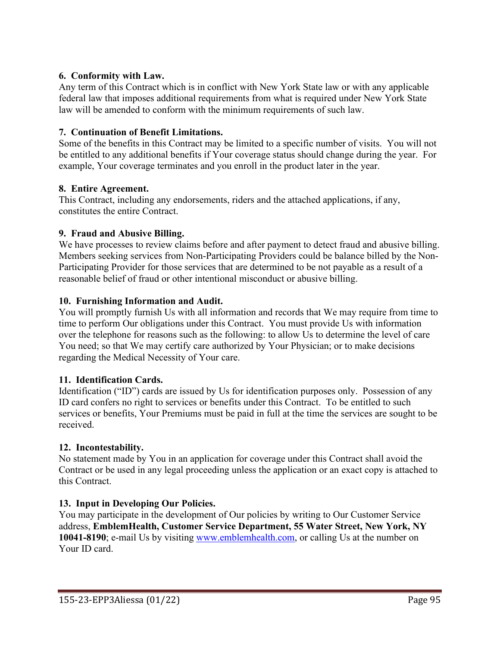### **6. Conformity with Law.**

Any term of this Contract which is in conflict with New York State law or with any applicable federal law that imposes additional requirements from what is required under New York State law will be amended to conform with the minimum requirements of such law.

### **7. Continuation of Benefit Limitations.**

Some of the benefits in this Contract may be limited to a specific number of visits. You will not be entitled to any additional benefits if Your coverage status should change during the year. For example, Your coverage terminates and you enroll in the product later in the year.

### **8. Entire Agreement.**

This Contract, including any endorsements, riders and the attached applications, if any, constitutes the entire Contract.

### **9. Fraud and Abusive Billing.**

We have processes to review claims before and after payment to detect fraud and abusive billing. Members seeking services from Non-Participating Providers could be balance billed by the Non-Participating Provider for those services that are determined to be not payable as a result of a reasonable belief of fraud or other intentional misconduct or abusive billing.

### **10. Furnishing Information and Audit.**

You will promptly furnish Us with all information and records that We may require from time to time to perform Our obligations under this Contract. You must provide Us with information over the telephone for reasons such as the following: to allow Us to determine the level of care You need; so that We may certify care authorized by Your Physician; or to make decisions regarding the Medical Necessity of Your care.

#### **11. Identification Cards.**

Identification ("ID") cards are issued by Us for identification purposes only. Possession of any ID card confers no right to services or benefits under this Contract. To be entitled to such services or benefits, Your Premiums must be paid in full at the time the services are sought to be received.

#### **12. Incontestability.**

No statement made by You in an application for coverage under this Contract shall avoid the Contract or be used in any legal proceeding unless the application or an exact copy is attached to this Contract.

## **13. Input in Developing Our Policies.**

You may participate in the development of Our policies by writing to Our Customer Service address, **EmblemHealth, Customer Service Department, 55 Water Street, New York, NY 10041-8190**; e-mail Us by visiting [www.emblemhealth.com,](http://www.emblemhealth.com/) or calling Us at the number on Your ID card.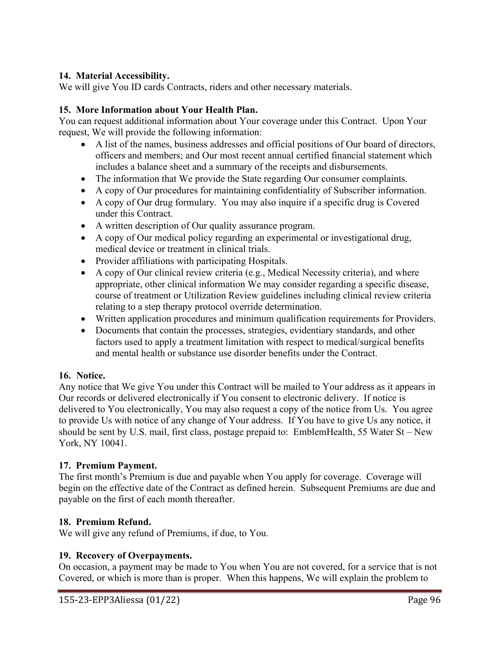#### **14. Material Accessibility.**

We will give You ID cards Contracts, riders and other necessary materials.

#### **15. More Information about Your Health Plan.**

You can request additional information about Your coverage under this Contract. Upon Your request, We will provide the following information:

- A list of the names, business addresses and official positions of Our board of directors, officers and members; and Our most recent annual certified financial statement which includes a balance sheet and a summary of the receipts and disbursements.
- The information that We provide the State regarding Our consumer complaints.
- A copy of Our procedures for maintaining confidentiality of Subscriber information.
- A copy of Our drug formulary. You may also inquire if a specific drug is Covered under this Contract.
- A written description of Our quality assurance program.
- A copy of Our medical policy regarding an experimental or investigational drug, medical device or treatment in clinical trials.
- Provider affiliations with participating Hospitals.
- A copy of Our clinical review criteria (e.g., Medical Necessity criteria), and where appropriate, other clinical information We may consider regarding a specific disease, course of treatment or Utilization Review guidelines including clinical review criteria relating to a step therapy protocol override determination.
- Written application procedures and minimum qualification requirements for Providers.
- Documents that contain the processes, strategies, evidentiary standards, and other factors used to apply a treatment limitation with respect to medical/surgical benefits and mental health or substance use disorder benefits under the Contract.

#### **16. Notice.**

Any notice that We give You under this Contract will be mailed to Your address as it appears in Our records or delivered electronically if You consent to electronic delivery. If notice is delivered to You electronically, You may also request a copy of the notice from Us. You agree to provide Us with notice of any change of Your address. If You have to give Us any notice, it should be sent by U.S. mail, first class, postage prepaid to: EmblemHealth, 55 Water St – New York, NY 10041.

#### **17. Premium Payment.**

The first month's Premium is due and payable when You apply for coverage. Coverage will begin on the effective date of the Contract as defined herein. Subsequent Premiums are due and payable on the first of each month thereafter.

#### **18. Premium Refund.**

We will give any refund of Premiums, if due, to You.

#### **19. Recovery of Overpayments.**

On occasion, a payment may be made to You when You are not covered, for a service that is not Covered, or which is more than is proper. When this happens, We will explain the problem to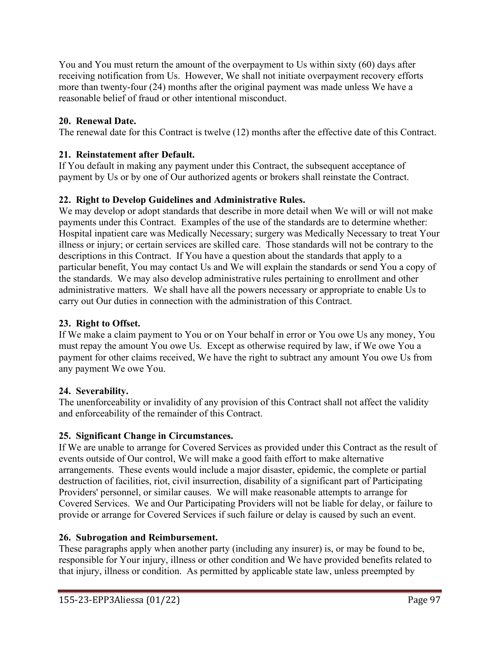You and You must return the amount of the overpayment to Us within sixty (60) days after receiving notification from Us. However, We shall not initiate overpayment recovery efforts more than twenty-four (24) months after the original payment was made unless We have a reasonable belief of fraud or other intentional misconduct.

## **20. Renewal Date.**

The renewal date for this Contract is twelve (12) months after the effective date of this Contract.

## **21. Reinstatement after Default.**

If You default in making any payment under this Contract, the subsequent acceptance of payment by Us or by one of Our authorized agents or brokers shall reinstate the Contract.

## **22. Right to Develop Guidelines and Administrative Rules.**

We may develop or adopt standards that describe in more detail when We will or will not make payments under this Contract. Examples of the use of the standards are to determine whether: Hospital inpatient care was Medically Necessary; surgery was Medically Necessary to treat Your illness or injury; or certain services are skilled care. Those standards will not be contrary to the descriptions in this Contract. If You have a question about the standards that apply to a particular benefit, You may contact Us and We will explain the standards or send You a copy of the standards. We may also develop administrative rules pertaining to enrollment and other administrative matters. We shall have all the powers necessary or appropriate to enable Us to carry out Our duties in connection with the administration of this Contract.

## **23. Right to Offset.**

If We make a claim payment to You or on Your behalf in error or You owe Us any money, You must repay the amount You owe Us. Except as otherwise required by law, if We owe You a payment for other claims received, We have the right to subtract any amount You owe Us from any payment We owe You.

## **24. Severability.**

The unenforceability or invalidity of any provision of this Contract shall not affect the validity and enforceability of the remainder of this Contract.

## **25. Significant Change in Circumstances.**

If We are unable to arrange for Covered Services as provided under this Contract as the result of events outside of Our control, We will make a good faith effort to make alternative arrangements. These events would include a major disaster, epidemic, the complete or partial destruction of facilities, riot, civil insurrection, disability of a significant part of Participating Providers' personnel, or similar causes. We will make reasonable attempts to arrange for Covered Services. We and Our Participating Providers will not be liable for delay, or failure to provide or arrange for Covered Services if such failure or delay is caused by such an event.

## **26. Subrogation and Reimbursement.**

These paragraphs apply when another party (including any insurer) is, or may be found to be, responsible for Your injury, illness or other condition and We have provided benefits related to that injury, illness or condition. As permitted by applicable state law, unless preempted by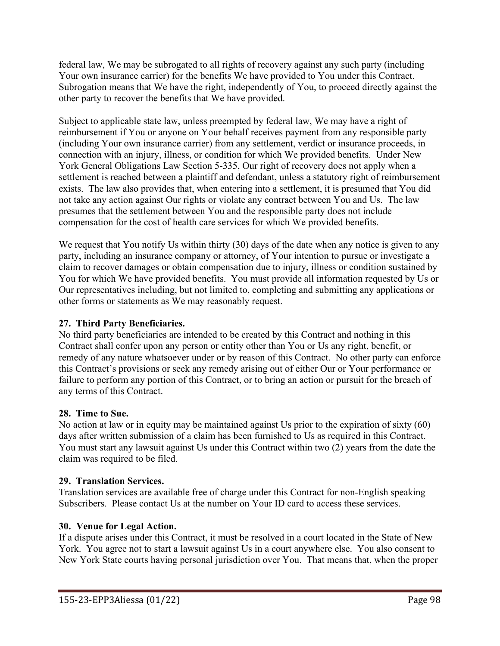federal law, We may be subrogated to all rights of recovery against any such party (including Your own insurance carrier) for the benefits We have provided to You under this Contract. Subrogation means that We have the right, independently of You, to proceed directly against the other party to recover the benefits that We have provided.

Subject to applicable state law, unless preempted by federal law, We may have a right of reimbursement if You or anyone on Your behalf receives payment from any responsible party (including Your own insurance carrier) from any settlement, verdict or insurance proceeds, in connection with an injury, illness, or condition for which We provided benefits. Under New York General Obligations Law Section 5-335, Our right of recovery does not apply when a settlement is reached between a plaintiff and defendant, unless a statutory right of reimbursement exists. The law also provides that, when entering into a settlement, it is presumed that You did not take any action against Our rights or violate any contract between You and Us. The law presumes that the settlement between You and the responsible party does not include compensation for the cost of health care services for which We provided benefits.

We request that You notify Us within thirty (30) days of the date when any notice is given to any party, including an insurance company or attorney, of Your intention to pursue or investigate a claim to recover damages or obtain compensation due to injury, illness or condition sustained by You for which We have provided benefits. You must provide all information requested by Us or Our representatives including, but not limited to, completing and submitting any applications or other forms or statements as We may reasonably request.

## **27. Third Party Beneficiaries.**

No third party beneficiaries are intended to be created by this Contract and nothing in this Contract shall confer upon any person or entity other than You or Us any right, benefit, or remedy of any nature whatsoever under or by reason of this Contract. No other party can enforce this Contract's provisions or seek any remedy arising out of either Our or Your performance or failure to perform any portion of this Contract, or to bring an action or pursuit for the breach of any terms of this Contract.

#### **28. Time to Sue.**

No action at law or in equity may be maintained against Us prior to the expiration of sixty (60) days after written submission of a claim has been furnished to Us as required in this Contract. You must start any lawsuit against Us under this Contract within two (2) years from the date the claim was required to be filed.

#### **29. Translation Services.**

Translation services are available free of charge under this Contract for non-English speaking Subscribers. Please contact Us at the number on Your ID card to access these services.

#### **30. Venue for Legal Action.**

If a dispute arises under this Contract, it must be resolved in a court located in the State of New York. You agree not to start a lawsuit against Us in a court anywhere else. You also consent to New York State courts having personal jurisdiction over You. That means that, when the proper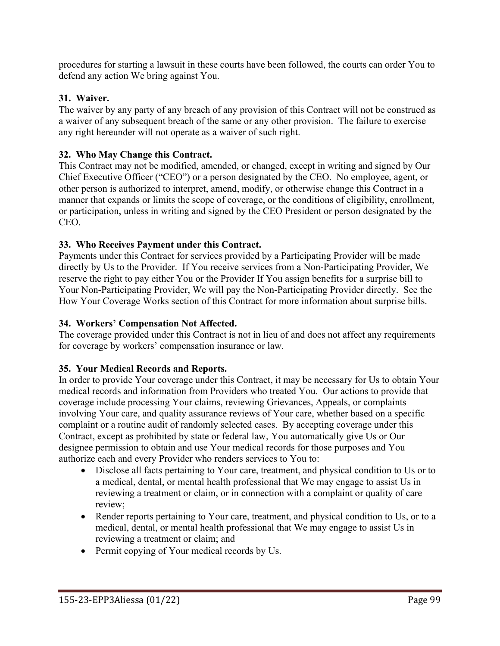procedures for starting a lawsuit in these courts have been followed, the courts can order You to defend any action We bring against You.

### **31. Waiver.**

The waiver by any party of any breach of any provision of this Contract will not be construed as a waiver of any subsequent breach of the same or any other provision. The failure to exercise any right hereunder will not operate as a waiver of such right.

### **32. Who May Change this Contract.**

This Contract may not be modified, amended, or changed, except in writing and signed by Our Chief Executive Officer ("CEO") or a person designated by the CEO. No employee, agent, or other person is authorized to interpret, amend, modify, or otherwise change this Contract in a manner that expands or limits the scope of coverage, or the conditions of eligibility, enrollment, or participation, unless in writing and signed by the CEO President or person designated by the CEO.

### **33. Who Receives Payment under this Contract.**

Payments under this Contract for services provided by a Participating Provider will be made directly by Us to the Provider. If You receive services from a Non-Participating Provider, We reserve the right to pay either You or the Provider If You assign benefits for a surprise bill to Your Non-Participating Provider, We will pay the Non-Participating Provider directly. See the How Your Coverage Works section of this Contract for more information about surprise bills.

#### **34. Workers' Compensation Not Affected.**

The coverage provided under this Contract is not in lieu of and does not affect any requirements for coverage by workers' compensation insurance or law.

#### **35. Your Medical Records and Reports.**

In order to provide Your coverage under this Contract, it may be necessary for Us to obtain Your medical records and information from Providers who treated You. Our actions to provide that coverage include processing Your claims, reviewing Grievances, Appeals, or complaints involving Your care, and quality assurance reviews of Your care, whether based on a specific complaint or a routine audit of randomly selected cases. By accepting coverage under this Contract, except as prohibited by state or federal law, You automatically give Us or Our designee permission to obtain and use Your medical records for those purposes and You authorize each and every Provider who renders services to You to:

- Disclose all facts pertaining to Your care, treatment, and physical condition to Us or to a medical, dental, or mental health professional that We may engage to assist Us in reviewing a treatment or claim, or in connection with a complaint or quality of care review;
- Render reports pertaining to Your care, treatment, and physical condition to Us, or to a medical, dental, or mental health professional that We may engage to assist Us in reviewing a treatment or claim; and
- Permit copying of Your medical records by Us.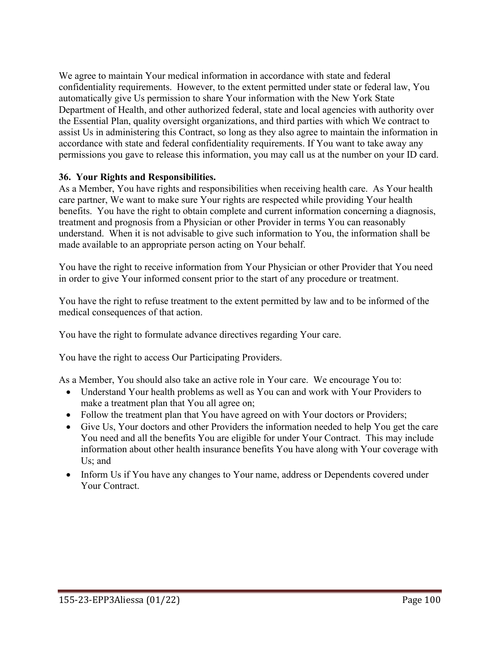We agree to maintain Your medical information in accordance with state and federal confidentiality requirements. However, to the extent permitted under state or federal law, You automatically give Us permission to share Your information with the New York State Department of Health, and other authorized federal, state and local agencies with authority over the Essential Plan, quality oversight organizations, and third parties with which We contract to assist Us in administering this Contract, so long as they also agree to maintain the information in accordance with state and federal confidentiality requirements. If You want to take away any permissions you gave to release this information, you may call us at the number on your ID card.

#### **36. Your Rights and Responsibilities.**

As a Member, You have rights and responsibilities when receiving health care. As Your health care partner, We want to make sure Your rights are respected while providing Your health benefits. You have the right to obtain complete and current information concerning a diagnosis, treatment and prognosis from a Physician or other Provider in terms You can reasonably understand. When it is not advisable to give such information to You, the information shall be made available to an appropriate person acting on Your behalf.

You have the right to receive information from Your Physician or other Provider that You need in order to give Your informed consent prior to the start of any procedure or treatment.

You have the right to refuse treatment to the extent permitted by law and to be informed of the medical consequences of that action.

You have the right to formulate advance directives regarding Your care.

You have the right to access Our Participating Providers.

As a Member, You should also take an active role in Your care. We encourage You to:

- Understand Your health problems as well as You can and work with Your Providers to make a treatment plan that You all agree on;
- Follow the treatment plan that You have agreed on with Your doctors or Providers;
- Give Us, Your doctors and other Providers the information needed to help You get the care You need and all the benefits You are eligible for under Your Contract. This may include information about other health insurance benefits You have along with Your coverage with Us; and
- Inform Us if You have any changes to Your name, address or Dependents covered under Your Contract.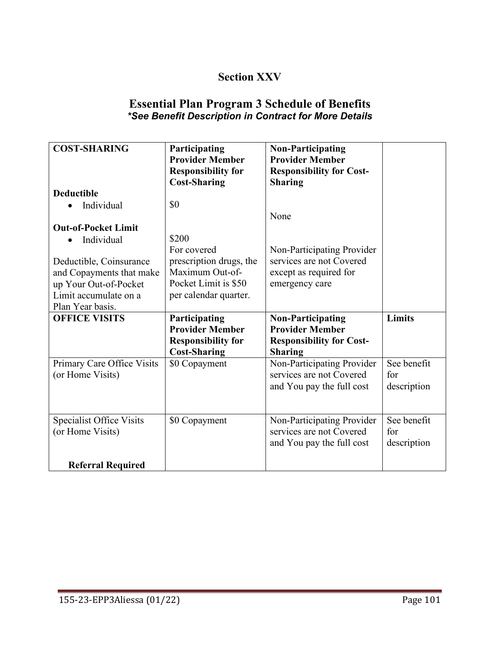# **Section XXV**

## **Essential Plan Program 3 Schedule of Benefits** *\*See Benefit Description in Contract for More Details*

| <b>COST-SHARING</b>                               | Participating<br><b>Provider Member</b><br><b>Responsibility for</b><br><b>Cost-Sharing</b> | <b>Non-Participating</b><br><b>Provider Member</b><br><b>Responsibility for Cost-</b><br><b>Sharing</b> |             |
|---------------------------------------------------|---------------------------------------------------------------------------------------------|---------------------------------------------------------------------------------------------------------|-------------|
| <b>Deductible</b>                                 |                                                                                             |                                                                                                         |             |
| Individual                                        | \$0                                                                                         |                                                                                                         |             |
|                                                   |                                                                                             | None                                                                                                    |             |
| <b>Out-of-Pocket Limit</b>                        |                                                                                             |                                                                                                         |             |
| Individual                                        | \$200                                                                                       |                                                                                                         |             |
|                                                   | For covered                                                                                 | Non-Participating Provider                                                                              |             |
| Deductible, Coinsurance                           | prescription drugs, the<br>Maximum Out-of-                                                  | services are not Covered                                                                                |             |
| and Copayments that make<br>up Your Out-of-Pocket | Pocket Limit is \$50                                                                        | except as required for<br>emergency care                                                                |             |
| Limit accumulate on a                             | per calendar quarter.                                                                       |                                                                                                         |             |
| Plan Year basis.                                  |                                                                                             |                                                                                                         |             |
| <b>OFFICE VISITS</b>                              | Participating                                                                               | <b>Non-Participating</b>                                                                                | Limits      |
|                                                   | <b>Provider Member</b>                                                                      | <b>Provider Member</b>                                                                                  |             |
|                                                   | <b>Responsibility for</b>                                                                   | <b>Responsibility for Cost-</b>                                                                         |             |
|                                                   | <b>Cost-Sharing</b>                                                                         | <b>Sharing</b>                                                                                          |             |
| Primary Care Office Visits                        | \$0 Copayment                                                                               | Non-Participating Provider                                                                              | See benefit |
| (or Home Visits)                                  |                                                                                             | services are not Covered                                                                                | for         |
|                                                   |                                                                                             | and You pay the full cost                                                                               | description |
|                                                   |                                                                                             |                                                                                                         |             |
| Specialist Office Visits                          | \$0 Copayment                                                                               | Non-Participating Provider                                                                              | See benefit |
| (or Home Visits)                                  |                                                                                             | services are not Covered                                                                                | for         |
|                                                   |                                                                                             | and You pay the full cost                                                                               | description |
| <b>Referral Required</b>                          |                                                                                             |                                                                                                         |             |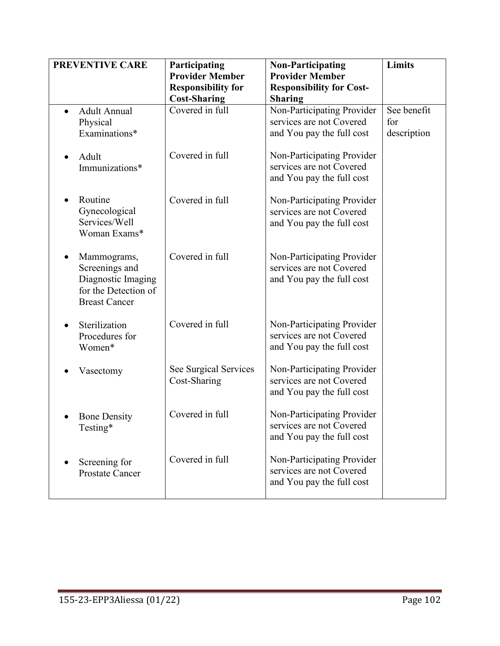| <b>PREVENTIVE CARE</b>                                                                              | Participating<br><b>Provider Member</b><br><b>Responsibility for</b><br><b>Cost-Sharing</b> | <b>Non-Participating</b><br><b>Provider Member</b><br><b>Responsibility for Cost-</b><br><b>Sharing</b> | Limits                            |
|-----------------------------------------------------------------------------------------------------|---------------------------------------------------------------------------------------------|---------------------------------------------------------------------------------------------------------|-----------------------------------|
| <b>Adult Annual</b><br>$\bullet$<br>Physical<br>Examinations*                                       | Covered in full                                                                             | Non-Participating Provider<br>services are not Covered<br>and You pay the full cost                     | See benefit<br>for<br>description |
| Adult<br>Immunizations*                                                                             | Covered in full                                                                             | Non-Participating Provider<br>services are not Covered<br>and You pay the full cost                     |                                   |
| Routine<br>Gynecological<br>Services/Well<br>Woman Exams*                                           | Covered in full                                                                             | Non-Participating Provider<br>services are not Covered<br>and You pay the full cost                     |                                   |
| Mammograms,<br>Screenings and<br>Diagnostic Imaging<br>for the Detection of<br><b>Breast Cancer</b> | Covered in full                                                                             | Non-Participating Provider<br>services are not Covered<br>and You pay the full cost                     |                                   |
| Sterilization<br>Procedures for<br>Women*                                                           | Covered in full                                                                             | Non-Participating Provider<br>services are not Covered<br>and You pay the full cost                     |                                   |
| Vasectomy                                                                                           | See Surgical Services<br>Cost-Sharing                                                       | Non-Participating Provider<br>services are not Covered<br>and You pay the full cost                     |                                   |
| <b>Bone Density</b><br>Testing*                                                                     | Covered in full                                                                             | Non-Participating Provider<br>services are not Covered<br>and You pay the full cost                     |                                   |
| Screening for<br><b>Prostate Cancer</b>                                                             | Covered in full                                                                             | Non-Participating Provider<br>services are not Covered<br>and You pay the full cost                     |                                   |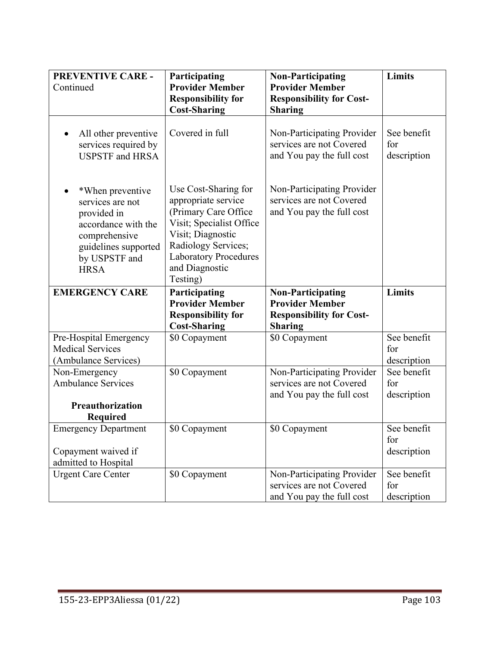| <b>PREVENTIVE CARE -</b><br>Continued                                                                                                               | Participating<br><b>Provider Member</b>                                                                                                                                                                   | <b>Non-Participating</b><br><b>Provider Member</b>                                  | Limits                            |
|-----------------------------------------------------------------------------------------------------------------------------------------------------|-----------------------------------------------------------------------------------------------------------------------------------------------------------------------------------------------------------|-------------------------------------------------------------------------------------|-----------------------------------|
|                                                                                                                                                     | <b>Responsibility for</b><br><b>Cost-Sharing</b>                                                                                                                                                          | <b>Responsibility for Cost-</b><br><b>Sharing</b>                                   |                                   |
| All other preventive<br>$\bullet$<br>services required by<br><b>USPSTF</b> and HRSA                                                                 | Covered in full                                                                                                                                                                                           | Non-Participating Provider<br>services are not Covered<br>and You pay the full cost | See benefit<br>for<br>description |
| *When preventive<br>services are not<br>provided in<br>accordance with the<br>comprehensive<br>guidelines supported<br>by USPSTF and<br><b>HRSA</b> | Use Cost-Sharing for<br>appropriate service<br>(Primary Care Office<br>Visit; Specialist Office<br>Visit; Diagnostic<br>Radiology Services;<br><b>Laboratory Procedures</b><br>and Diagnostic<br>Testing) | Non-Participating Provider<br>services are not Covered<br>and You pay the full cost |                                   |
| <b>EMERGENCY CARE</b>                                                                                                                               | Participating                                                                                                                                                                                             | <b>Non-Participating</b>                                                            | Limits                            |
|                                                                                                                                                     | <b>Provider Member</b><br><b>Responsibility for</b>                                                                                                                                                       | <b>Provider Member</b><br><b>Responsibility for Cost-</b>                           |                                   |
|                                                                                                                                                     | <b>Cost-Sharing</b>                                                                                                                                                                                       | <b>Sharing</b>                                                                      | See benefit                       |
| Pre-Hospital Emergency<br><b>Medical Services</b><br>(Ambulance Services)                                                                           | \$0 Copayment                                                                                                                                                                                             | \$0 Copayment                                                                       | for                               |
| Non-Emergency                                                                                                                                       | \$0 Copayment                                                                                                                                                                                             | Non-Participating Provider                                                          | description<br>See benefit        |
| <b>Ambulance Services</b>                                                                                                                           |                                                                                                                                                                                                           | services are not Covered                                                            | for                               |
|                                                                                                                                                     |                                                                                                                                                                                                           | and You pay the full cost                                                           | description                       |
| Preauthorization                                                                                                                                    |                                                                                                                                                                                                           |                                                                                     |                                   |
| <b>Required</b>                                                                                                                                     |                                                                                                                                                                                                           |                                                                                     |                                   |
| <b>Emergency Department</b>                                                                                                                         | \$0 Copayment                                                                                                                                                                                             | \$0 Copayment                                                                       | See benefit                       |
|                                                                                                                                                     |                                                                                                                                                                                                           |                                                                                     | for                               |
| Copayment waived if<br>admitted to Hospital                                                                                                         |                                                                                                                                                                                                           |                                                                                     | description                       |
| <b>Urgent Care Center</b>                                                                                                                           | \$0 Copayment                                                                                                                                                                                             | Non-Participating Provider                                                          | See benefit                       |
|                                                                                                                                                     |                                                                                                                                                                                                           | services are not Covered<br>and You pay the full cost                               | for<br>description                |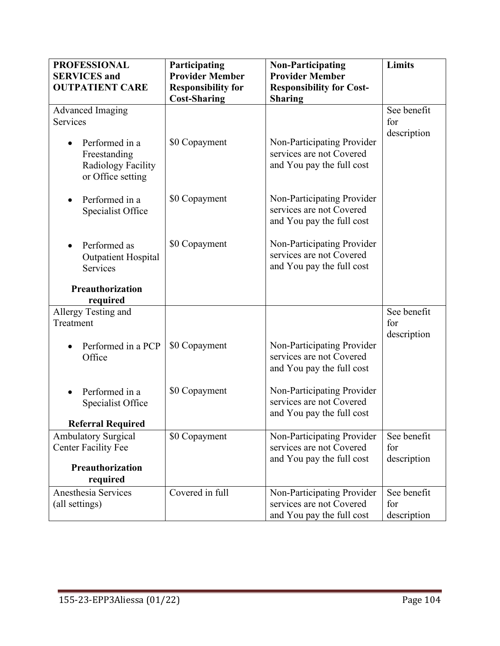| <b>PROFESSIONAL</b>                                                       | Participating             | <b>Non-Participating</b>                                                            | Limits                            |
|---------------------------------------------------------------------------|---------------------------|-------------------------------------------------------------------------------------|-----------------------------------|
| <b>SERVICES</b> and                                                       | <b>Provider Member</b>    | <b>Provider Member</b>                                                              |                                   |
| <b>OUTPATIENT CARE</b>                                                    | <b>Responsibility for</b> | <b>Responsibility for Cost-</b>                                                     |                                   |
|                                                                           | <b>Cost-Sharing</b>       | <b>Sharing</b>                                                                      |                                   |
| <b>Advanced Imaging</b>                                                   |                           |                                                                                     | See benefit                       |
| Services                                                                  |                           |                                                                                     | for                               |
| Performed in a<br>Freestanding<br>Radiology Facility<br>or Office setting | \$0 Copayment             | Non-Participating Provider<br>services are not Covered<br>and You pay the full cost | description                       |
| Performed in a<br>Specialist Office                                       | \$0 Copayment             | Non-Participating Provider<br>services are not Covered<br>and You pay the full cost |                                   |
| Performed as<br><b>Outpatient Hospital</b><br><b>Services</b>             | \$0 Copayment             | Non-Participating Provider<br>services are not Covered<br>and You pay the full cost |                                   |
| Preauthorization                                                          |                           |                                                                                     |                                   |
| required                                                                  |                           |                                                                                     |                                   |
| Allergy Testing and<br>Treatment                                          |                           |                                                                                     | See benefit<br>for<br>description |
| Performed in a PCP<br>Office                                              | \$0 Copayment             | Non-Participating Provider<br>services are not Covered<br>and You pay the full cost |                                   |
| Performed in a<br>Specialist Office                                       | \$0 Copayment             | Non-Participating Provider<br>services are not Covered<br>and You pay the full cost |                                   |
| <b>Referral Required</b>                                                  |                           |                                                                                     |                                   |
| <b>Ambulatory Surgical</b><br><b>Center Facility Fee</b>                  | \$0 Copayment             | Non-Participating Provider<br>services are not Covered<br>and You pay the full cost | See benefit<br>for<br>description |
| Preauthorization                                                          |                           |                                                                                     |                                   |
| required                                                                  |                           |                                                                                     |                                   |
| Anesthesia Services<br>(all settings)                                     | Covered in full           | Non-Participating Provider<br>services are not Covered<br>and You pay the full cost | See benefit<br>for<br>description |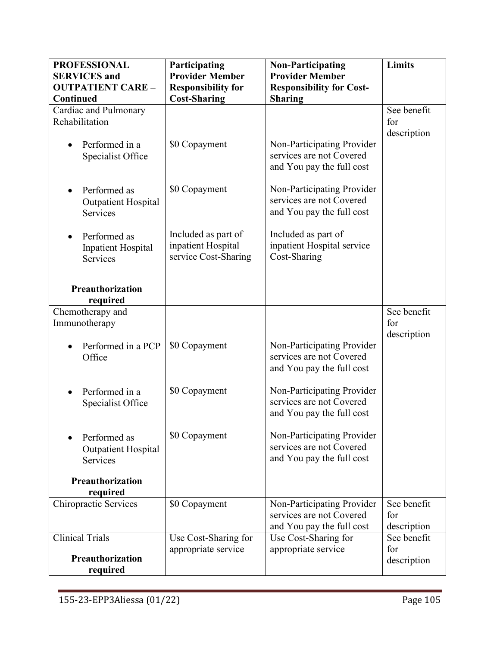| <b>PROFESSIONAL</b>          | Participating             | <b>Non-Participating</b>        | <b>Limits</b> |
|------------------------------|---------------------------|---------------------------------|---------------|
| <b>SERVICES</b> and          | <b>Provider Member</b>    | <b>Provider Member</b>          |               |
| <b>OUTPATIENT CARE -</b>     | <b>Responsibility for</b> | <b>Responsibility for Cost-</b> |               |
| Continued                    | <b>Cost-Sharing</b>       | <b>Sharing</b>                  |               |
| Cardiac and Pulmonary        |                           |                                 | See benefit   |
| Rehabilitation               |                           |                                 | for           |
|                              |                           |                                 | description   |
| Performed in a               | \$0 Copayment             | Non-Participating Provider      |               |
| Specialist Office            |                           | services are not Covered        |               |
|                              |                           | and You pay the full cost       |               |
|                              |                           |                                 |               |
| Performed as                 | \$0 Copayment             | Non-Participating Provider      |               |
| <b>Outpatient Hospital</b>   |                           | services are not Covered        |               |
| Services                     |                           | and You pay the full cost       |               |
| Performed as                 | Included as part of       | Included as part of             |               |
| Inpatient Hospital           | inpatient Hospital        | inpatient Hospital service      |               |
| <b>Services</b>              | service Cost-Sharing      | Cost-Sharing                    |               |
|                              |                           |                                 |               |
|                              |                           |                                 |               |
| Preauthorization             |                           |                                 |               |
| required                     |                           |                                 |               |
| Chemotherapy and             |                           |                                 | See benefit   |
| Immunotherapy                |                           |                                 | for           |
| Performed in a PCP           | \$0 Copayment             | Non-Participating Provider      | description   |
| Office                       |                           | services are not Covered        |               |
|                              |                           | and You pay the full cost       |               |
|                              |                           |                                 |               |
| Performed in a               | \$0 Copayment             | Non-Participating Provider      |               |
| Specialist Office            |                           | services are not Covered        |               |
|                              |                           | and You pay the full cost       |               |
|                              |                           |                                 |               |
| Performed as                 | \$0 Copayment             | Non-Participating Provider      |               |
| <b>Outpatient Hospital</b>   |                           | services are not Covered        |               |
| Services                     |                           | and You pay the full cost       |               |
|                              |                           |                                 |               |
| Preauthorization<br>required |                           |                                 |               |
| Chiropractic Services        | \$0 Copayment             | Non-Participating Provider      | See benefit   |
|                              |                           | services are not Covered        | for           |
|                              |                           | and You pay the full cost       | description   |
| <b>Clinical Trials</b>       | Use Cost-Sharing for      | Use Cost-Sharing for            | See benefit   |
|                              | appropriate service       | appropriate service             | for           |
| Preauthorization             |                           |                                 | description   |
| required                     |                           |                                 |               |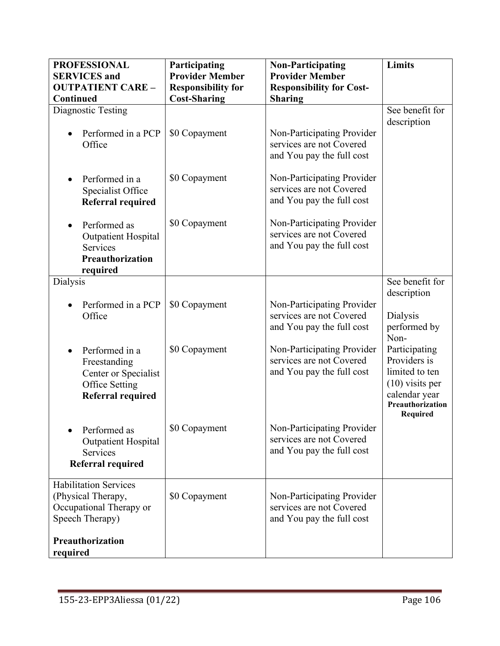| <b>PROFESSIONAL</b><br><b>SERVICES</b> and<br><b>OUTPATIENT CARE -</b><br>Continued              | Participating<br><b>Provider Member</b><br><b>Responsibility for</b><br><b>Cost-Sharing</b> | <b>Non-Participating</b><br><b>Provider Member</b><br><b>Responsibility for Cost-</b><br><b>Sharing</b> | Limits                                                                                                                |
|--------------------------------------------------------------------------------------------------|---------------------------------------------------------------------------------------------|---------------------------------------------------------------------------------------------------------|-----------------------------------------------------------------------------------------------------------------------|
| Diagnostic Testing<br>Performed in a PCP<br>Office                                               | \$0 Copayment                                                                               | Non-Participating Provider<br>services are not Covered<br>and You pay the full cost                     | See benefit for<br>description                                                                                        |
| Performed in a<br>Specialist Office<br>Referral required                                         | \$0 Copayment                                                                               | Non-Participating Provider<br>services are not Covered<br>and You pay the full cost                     |                                                                                                                       |
| Performed as<br><b>Outpatient Hospital</b><br>Services<br>Preauthorization<br>required           | \$0 Copayment                                                                               | Non-Participating Provider<br>services are not Covered<br>and You pay the full cost                     |                                                                                                                       |
| <b>Dialysis</b>                                                                                  |                                                                                             |                                                                                                         | See benefit for                                                                                                       |
| Performed in a PCP<br>Office                                                                     | \$0 Copayment                                                                               | Non-Participating Provider<br>services are not Covered<br>and You pay the full cost                     | description<br>Dialysis<br>performed by<br>Non-                                                                       |
| Performed in a<br>Freestanding<br>Center or Specialist<br>Office Setting<br>Referral required    | \$0 Copayment                                                                               | Non-Participating Provider<br>services are not Covered<br>and You pay the full cost                     | Participating<br>Providers is<br>limited to ten<br>$(10)$ visits per<br>calendar year<br>Preauthorization<br>Required |
| Performed as<br><b>Outpatient Hospital</b><br>Services<br>Referral required                      | \$0 Copayment                                                                               | Non-Participating Provider<br>services are not Covered<br>and You pay the full cost                     |                                                                                                                       |
| <b>Habilitation Services</b><br>(Physical Therapy,<br>Occupational Therapy or<br>Speech Therapy) | \$0 Copayment                                                                               | Non-Participating Provider<br>services are not Covered<br>and You pay the full cost                     |                                                                                                                       |
| Preauthorization<br>required                                                                     |                                                                                             |                                                                                                         |                                                                                                                       |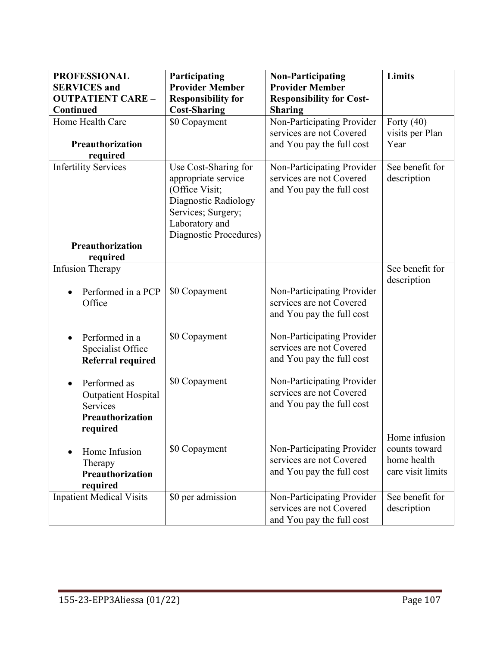| <b>PROFESSIONAL</b>             | Participating             | <b>Non-Participating</b>        | Limits            |
|---------------------------------|---------------------------|---------------------------------|-------------------|
| <b>SERVICES</b> and             | <b>Provider Member</b>    | <b>Provider Member</b>          |                   |
| <b>OUTPATIENT CARE -</b>        | <b>Responsibility for</b> | <b>Responsibility for Cost-</b> |                   |
| Continued                       | <b>Cost-Sharing</b>       | <b>Sharing</b>                  |                   |
| Home Health Care                | \$0 Copayment             | Non-Participating Provider      | Forty $(40)$      |
|                                 |                           | services are not Covered        | visits per Plan   |
| Preauthorization                |                           | and You pay the full cost       | Year              |
| required                        |                           |                                 |                   |
| <b>Infertility Services</b>     | Use Cost-Sharing for      | Non-Participating Provider      | See benefit for   |
|                                 | appropriate service       | services are not Covered        | description       |
|                                 | (Office Visit;            | and You pay the full cost       |                   |
|                                 | Diagnostic Radiology      |                                 |                   |
|                                 | Services; Surgery;        |                                 |                   |
|                                 | Laboratory and            |                                 |                   |
|                                 | Diagnostic Procedures)    |                                 |                   |
| Preauthorization                |                           |                                 |                   |
| required                        |                           |                                 |                   |
| <b>Infusion Therapy</b>         |                           |                                 | See benefit for   |
|                                 |                           |                                 | description       |
| Performed in a PCP              | \$0 Copayment             | Non-Participating Provider      |                   |
| Office                          |                           | services are not Covered        |                   |
|                                 |                           | and You pay the full cost       |                   |
|                                 |                           |                                 |                   |
| Performed in a                  | \$0 Copayment             | Non-Participating Provider      |                   |
| Specialist Office               |                           | services are not Covered        |                   |
| <b>Referral required</b>        |                           | and You pay the full cost       |                   |
|                                 |                           |                                 |                   |
| Performed as                    | \$0 Copayment             | Non-Participating Provider      |                   |
| <b>Outpatient Hospital</b>      |                           | services are not Covered        |                   |
| <b>Services</b>                 |                           | and You pay the full cost       |                   |
| Preauthorization                |                           |                                 |                   |
| required                        |                           |                                 |                   |
|                                 |                           |                                 | Home infusion     |
| Home Infusion                   | \$0 Copayment             | Non-Participating Provider      | counts toward     |
| Therapy                         |                           | services are not Covered        | home health       |
| Preauthorization                |                           | and You pay the full cost       | care visit limits |
| required                        |                           |                                 |                   |
| <b>Inpatient Medical Visits</b> | \$0 per admission         | Non-Participating Provider      | See benefit for   |
|                                 |                           | services are not Covered        | description       |
|                                 |                           | and You pay the full cost       |                   |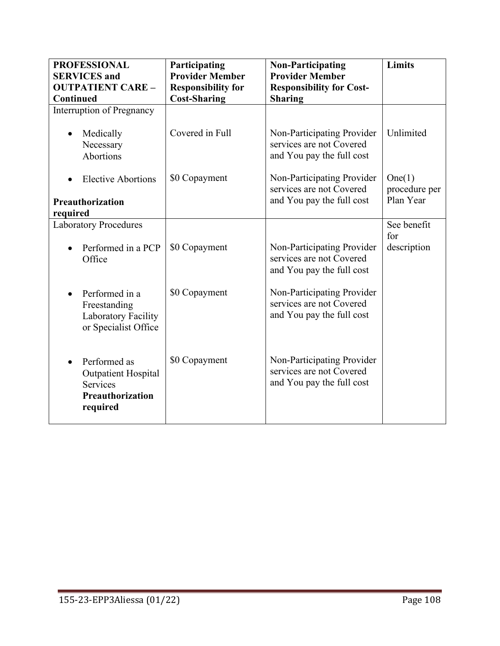| <b>PROFESSIONAL</b><br><b>SERVICES</b> and<br><b>OUTPATIENT CARE -</b>                        | Participating<br><b>Provider Member</b><br><b>Responsibility for</b> | <b>Non-Participating</b><br><b>Provider Member</b><br><b>Responsibility for Cost-</b> | <b>Limits</b>           |
|-----------------------------------------------------------------------------------------------|----------------------------------------------------------------------|---------------------------------------------------------------------------------------|-------------------------|
| Continued<br>Interruption of Pregnancy                                                        | <b>Cost-Sharing</b>                                                  | <b>Sharing</b>                                                                        |                         |
| Medically                                                                                     | Covered in Full                                                      | Non-Participating Provider                                                            | Unlimited               |
| Necessary                                                                                     |                                                                      | services are not Covered                                                              |                         |
| Abortions                                                                                     |                                                                      | and You pay the full cost                                                             |                         |
| <b>Elective Abortions</b>                                                                     | \$0 Copayment                                                        | Non-Participating Provider<br>services are not Covered                                | One(1)<br>procedure per |
| Preauthorization                                                                              |                                                                      | and You pay the full cost                                                             | Plan Year               |
| required                                                                                      |                                                                      |                                                                                       |                         |
| <b>Laboratory Procedures</b>                                                                  |                                                                      |                                                                                       | See benefit<br>for      |
| Performed in a PCP<br>Office                                                                  | \$0 Copayment                                                        | Non-Participating Provider<br>services are not Covered<br>and You pay the full cost   | description             |
| Performed in a<br>Freestanding<br>Laboratory Facility<br>or Specialist Office                 | \$0 Copayment                                                        | Non-Participating Provider<br>services are not Covered<br>and You pay the full cost   |                         |
| Performed as<br><b>Outpatient Hospital</b><br><b>Services</b><br>Preauthorization<br>required | \$0 Copayment                                                        | Non-Participating Provider<br>services are not Covered<br>and You pay the full cost   |                         |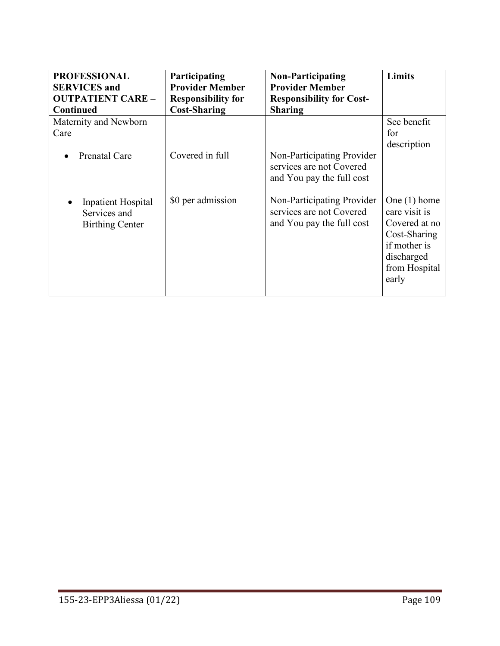| <b>PROFESSIONAL</b>                                          | Participating             | <b>Non-Participating</b>                                                            | <b>Limits</b>                                                                                                            |
|--------------------------------------------------------------|---------------------------|-------------------------------------------------------------------------------------|--------------------------------------------------------------------------------------------------------------------------|
| <b>SERVICES</b> and                                          | <b>Provider Member</b>    | <b>Provider Member</b>                                                              |                                                                                                                          |
| <b>OUTPATIENT CARE -</b>                                     | <b>Responsibility for</b> | <b>Responsibility for Cost-</b>                                                     |                                                                                                                          |
| <b>Continued</b>                                             | <b>Cost-Sharing</b>       | <b>Sharing</b>                                                                      |                                                                                                                          |
| Maternity and Newborn                                        | Covered in full           | Non-Participating Provider                                                          | See benefit                                                                                                              |
| Care                                                         |                           | services are not Covered                                                            | for                                                                                                                      |
| Prenatal Care                                                |                           | and You pay the full cost                                                           | description                                                                                                              |
| Inpatient Hospital<br>Services and<br><b>Birthing Center</b> | \$0 per admission         | Non-Participating Provider<br>services are not Covered<br>and You pay the full cost | One $(1)$ home<br>care visit is<br>Covered at no<br>Cost-Sharing<br>if mother is<br>discharged<br>from Hospital<br>early |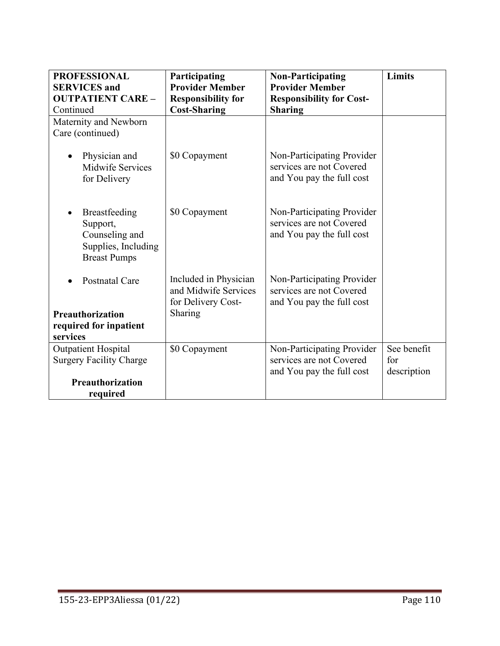| <b>PROFESSIONAL</b><br><b>SERVICES</b> and                                                | Participating<br><b>Provider Member</b>                             | <b>Non-Participating</b><br><b>Provider Member</b>                                  | <b>Limits</b> |
|-------------------------------------------------------------------------------------------|---------------------------------------------------------------------|-------------------------------------------------------------------------------------|---------------|
| <b>OUTPATIENT CARE -</b>                                                                  | <b>Responsibility for</b>                                           | <b>Responsibility for Cost-</b>                                                     |               |
| Continued                                                                                 | <b>Cost-Sharing</b>                                                 | <b>Sharing</b>                                                                      |               |
| Maternity and Newborn                                                                     |                                                                     |                                                                                     |               |
| Care (continued)                                                                          |                                                                     |                                                                                     |               |
| Physician and<br>Midwife Services<br>for Delivery                                         | \$0 Copayment                                                       | Non-Participating Provider<br>services are not Covered<br>and You pay the full cost |               |
| Breastfeeding<br>Support,<br>Counseling and<br>Supplies, Including<br><b>Breast Pumps</b> | \$0 Copayment                                                       | Non-Participating Provider<br>services are not Covered<br>and You pay the full cost |               |
| <b>Postnatal Care</b>                                                                     | Included in Physician<br>and Midwife Services<br>for Delivery Cost- | Non-Participating Provider<br>services are not Covered<br>and You pay the full cost |               |
| Preauthorization                                                                          | Sharing                                                             |                                                                                     |               |
| required for inpatient                                                                    |                                                                     |                                                                                     |               |
| services                                                                                  |                                                                     |                                                                                     |               |
| <b>Outpatient Hospital</b>                                                                | \$0 Copayment                                                       | Non-Participating Provider                                                          | See benefit   |
| <b>Surgery Facility Charge</b>                                                            |                                                                     | services are not Covered                                                            | for           |
| <b>Preauthorization</b>                                                                   |                                                                     | and You pay the full cost                                                           | description   |
| required                                                                                  |                                                                     |                                                                                     |               |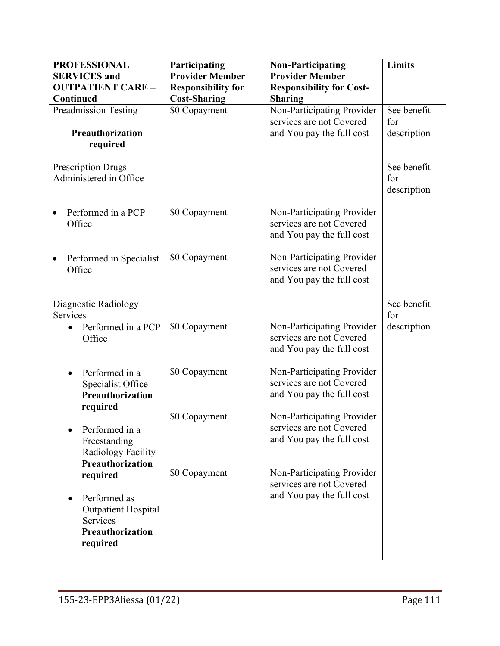| <b>PROFESSIONAL</b>                                                                  | Participating                                       | <b>Non-Participating</b>                                                            | <b>Limits</b>      |
|--------------------------------------------------------------------------------------|-----------------------------------------------------|-------------------------------------------------------------------------------------|--------------------|
| <b>SERVICES</b> and<br><b>OUTPATIENT CARE -</b>                                      | <b>Provider Member</b><br><b>Responsibility for</b> | <b>Provider Member</b><br><b>Responsibility for Cost-</b>                           |                    |
| Continued                                                                            | <b>Cost-Sharing</b>                                 | <b>Sharing</b>                                                                      |                    |
| <b>Preadmission Testing</b>                                                          | \$0 Copayment                                       | Non-Participating Provider                                                          | See benefit        |
|                                                                                      |                                                     | services are not Covered                                                            | for                |
| Preauthorization<br>required                                                         |                                                     | and You pay the full cost                                                           | description        |
|                                                                                      |                                                     |                                                                                     |                    |
| <b>Prescription Drugs</b><br>Administered in Office                                  |                                                     |                                                                                     | See benefit<br>for |
|                                                                                      |                                                     |                                                                                     | description        |
| Performed in a PCP<br>Office                                                         | \$0 Copayment                                       | Non-Participating Provider<br>services are not Covered<br>and You pay the full cost |                    |
| Performed in Specialist<br>Office                                                    | \$0 Copayment                                       | Non-Participating Provider<br>services are not Covered<br>and You pay the full cost |                    |
| Diagnostic Radiology                                                                 |                                                     |                                                                                     | See benefit        |
| <b>Services</b><br>Performed in a PCP<br>Office                                      | \$0 Copayment                                       | Non-Participating Provider<br>services are not Covered<br>and You pay the full cost | for<br>description |
| Performed in a<br>Specialist Office<br><b>Preauthorization</b>                       | \$0 Copayment                                       | Non-Participating Provider<br>services are not Covered<br>and You pay the full cost |                    |
| required<br>Performed in a<br>Freestanding<br>Radiology Facility<br>Preauthorization | \$0 Copayment                                       | Non-Participating Provider<br>services are not Covered<br>and You pay the full cost |                    |
| required                                                                             | \$0 Copayment                                       | Non-Participating Provider<br>services are not Covered                              |                    |
| Performed as<br><b>Outpatient Hospital</b><br><b>Services</b><br>Preauthorization    |                                                     | and You pay the full cost                                                           |                    |
| required                                                                             |                                                     |                                                                                     |                    |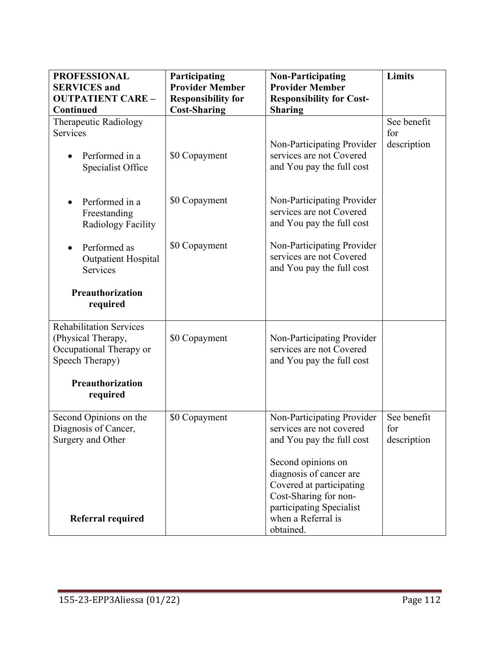| <b>PROFESSIONAL</b><br><b>SERVICES</b> and<br><b>OUTPATIENT CARE -</b><br>Continued                | Participating<br><b>Provider Member</b><br><b>Responsibility for</b><br><b>Cost-Sharing</b> | <b>Non-Participating</b><br><b>Provider Member</b><br><b>Responsibility for Cost-</b><br><b>Sharing</b> | <b>Limits</b>                     |
|----------------------------------------------------------------------------------------------------|---------------------------------------------------------------------------------------------|---------------------------------------------------------------------------------------------------------|-----------------------------------|
| Therapeutic Radiology                                                                              |                                                                                             |                                                                                                         | See benefit                       |
| Services                                                                                           |                                                                                             |                                                                                                         | for                               |
| Performed in a<br>Specialist Office                                                                | \$0 Copayment                                                                               | Non-Participating Provider<br>services are not Covered<br>and You pay the full cost                     | description                       |
| Performed in a<br>Freestanding<br>Radiology Facility                                               | \$0 Copayment                                                                               | Non-Participating Provider<br>services are not Covered<br>and You pay the full cost                     |                                   |
| Performed as<br><b>Outpatient Hospital</b><br>Services                                             | \$0 Copayment                                                                               | Non-Participating Provider<br>services are not Covered<br>and You pay the full cost                     |                                   |
| Preauthorization<br>required                                                                       |                                                                                             |                                                                                                         |                                   |
| <b>Rehabilitation Services</b><br>(Physical Therapy,<br>Occupational Therapy or<br>Speech Therapy) | \$0 Copayment                                                                               | Non-Participating Provider<br>services are not Covered<br>and You pay the full cost                     |                                   |
| Preauthorization<br>required                                                                       |                                                                                             |                                                                                                         |                                   |
| Second Opinions on the<br>Diagnosis of Cancer,<br>Surgery and Other                                | \$0 Copayment                                                                               | Non-Participating Provider<br>services are not covered<br>and You pay the full cost                     | See benefit<br>for<br>description |
|                                                                                                    |                                                                                             | Second opinions on<br>diagnosis of cancer are<br>Covered at participating<br>Cost-Sharing for non-      |                                   |
| Referral required                                                                                  |                                                                                             | participating Specialist<br>when a Referral is<br>obtained.                                             |                                   |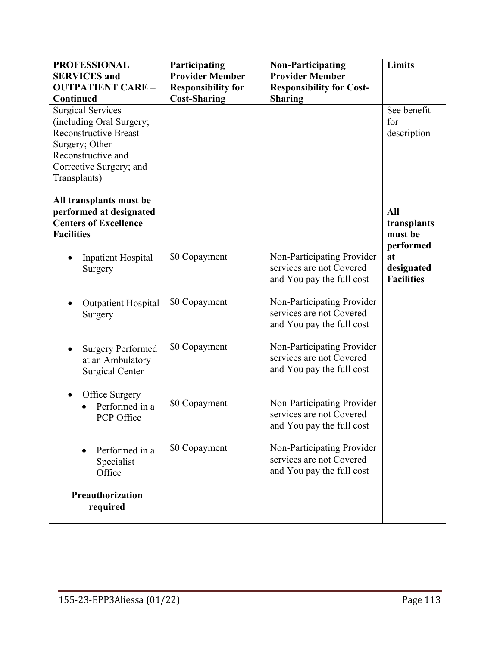| <b>PROFESSIONAL</b>                                | Participating             | <b>Non-Participating</b>                               | <b>Limits</b>     |
|----------------------------------------------------|---------------------------|--------------------------------------------------------|-------------------|
| <b>SERVICES</b> and                                | <b>Provider Member</b>    | <b>Provider Member</b>                                 |                   |
| <b>OUTPATIENT CARE -</b>                           | <b>Responsibility for</b> | <b>Responsibility for Cost-</b>                        |                   |
| Continued                                          | <b>Cost-Sharing</b>       | <b>Sharing</b>                                         |                   |
| <b>Surgical Services</b>                           |                           |                                                        | See benefit       |
| (including Oral Surgery;                           |                           |                                                        | for               |
| <b>Reconstructive Breast</b>                       |                           |                                                        | description       |
| Surgery; Other                                     |                           |                                                        |                   |
| Reconstructive and                                 |                           |                                                        |                   |
| Corrective Surgery; and                            |                           |                                                        |                   |
| Transplants)                                       |                           |                                                        |                   |
| All transplants must be<br>performed at designated |                           |                                                        | All               |
| <b>Centers of Excellence</b>                       |                           |                                                        | transplants       |
| <b>Facilities</b>                                  |                           |                                                        | must be           |
|                                                    |                           |                                                        | performed         |
| <b>Inpatient Hospital</b>                          | \$0 Copayment             | Non-Participating Provider                             | at                |
| Surgery                                            |                           | services are not Covered                               | designated        |
|                                                    |                           | and You pay the full cost                              | <b>Facilities</b> |
|                                                    |                           |                                                        |                   |
| <b>Outpatient Hospital</b>                         | \$0 Copayment             | Non-Participating Provider                             |                   |
| Surgery                                            |                           | services are not Covered                               |                   |
|                                                    |                           | and You pay the full cost                              |                   |
|                                                    |                           |                                                        |                   |
| <b>Surgery Performed</b>                           | \$0 Copayment             | Non-Participating Provider<br>services are not Covered |                   |
| at an Ambulatory                                   |                           |                                                        |                   |
| <b>Surgical Center</b>                             |                           | and You pay the full cost                              |                   |
|                                                    |                           |                                                        |                   |
| Office Surgery<br>Performed in a                   | \$0 Copayment             | Non-Participating Provider                             |                   |
| PCP Office                                         |                           | services are not Covered                               |                   |
|                                                    |                           | and You pay the full cost                              |                   |
|                                                    |                           |                                                        |                   |
| Performed in a                                     | \$0 Copayment             | Non-Participating Provider                             |                   |
| Specialist                                         |                           | services are not Covered                               |                   |
| Office                                             |                           | and You pay the full cost                              |                   |
|                                                    |                           |                                                        |                   |
| Preauthorization                                   |                           |                                                        |                   |
| required                                           |                           |                                                        |                   |
|                                                    |                           |                                                        |                   |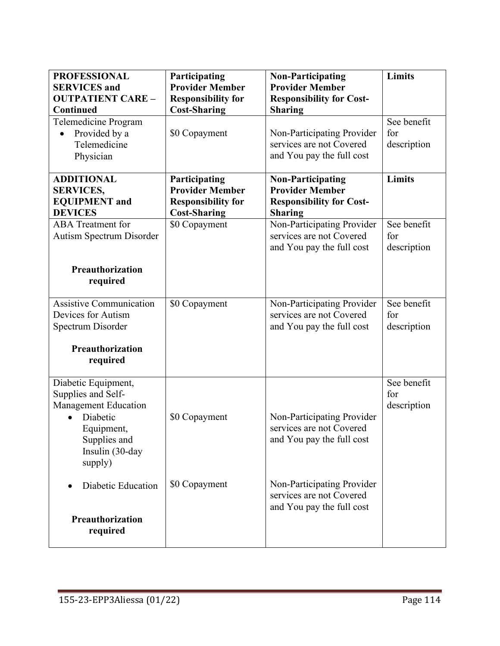| <b>PROFESSIONAL</b><br><b>SERVICES</b> and<br><b>OUTPATIENT CARE -</b><br>Continued                                                              | Participating<br><b>Provider Member</b><br><b>Responsibility for</b><br><b>Cost-Sharing</b> | <b>Non-Participating</b><br><b>Provider Member</b><br><b>Responsibility for Cost-</b><br><b>Sharing</b> | <b>Limits</b>                     |
|--------------------------------------------------------------------------------------------------------------------------------------------------|---------------------------------------------------------------------------------------------|---------------------------------------------------------------------------------------------------------|-----------------------------------|
| Telemedicine Program<br>Provided by a<br>Telemedicine<br>Physician                                                                               | \$0 Copayment                                                                               | Non-Participating Provider<br>services are not Covered<br>and You pay the full cost                     | See benefit<br>for<br>description |
| <b>ADDITIONAL</b><br><b>SERVICES,</b><br><b>EQUIPMENT</b> and<br><b>DEVICES</b>                                                                  | Participating<br><b>Provider Member</b><br><b>Responsibility for</b><br><b>Cost-Sharing</b> | <b>Non-Participating</b><br><b>Provider Member</b><br><b>Responsibility for Cost-</b><br><b>Sharing</b> | <b>Limits</b>                     |
| <b>ABA</b> Treatment for<br>Autism Spectrum Disorder                                                                                             | \$0 Copayment                                                                               | Non-Participating Provider<br>services are not Covered<br>and You pay the full cost                     | See benefit<br>for<br>description |
| Preauthorization<br>required                                                                                                                     |                                                                                             |                                                                                                         |                                   |
| <b>Assistive Communication</b><br>Devices for Autism<br>Spectrum Disorder                                                                        | \$0 Copayment                                                                               | Non-Participating Provider<br>services are not Covered<br>and You pay the full cost                     | See benefit<br>for<br>description |
| Preauthorization<br>required                                                                                                                     |                                                                                             |                                                                                                         |                                   |
| Diabetic Equipment,<br>Supplies and Self-<br><b>Management Education</b><br>Diabetic<br>Equipment,<br>Supplies and<br>Insulin (30-day<br>supply) | \$0 Copayment                                                                               | Non-Participating Provider<br>services are not Covered<br>and You pay the full cost                     | See benefit<br>for<br>description |
| Diabetic Education<br>Preauthorization<br>required                                                                                               | \$0 Copayment                                                                               | Non-Participating Provider<br>services are not Covered<br>and You pay the full cost                     |                                   |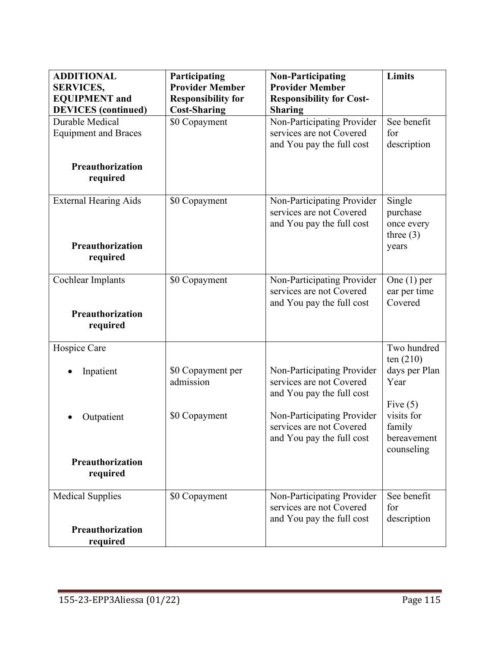| <b>ADDITIONAL</b><br><b>SERVICES,</b><br><b>EQUIPMENT</b> and<br><b>DEVICES</b> (continued) | Participating<br><b>Provider Member</b><br><b>Responsibility for</b><br><b>Cost-Sharing</b> | <b>Non-Participating</b><br><b>Provider Member</b><br><b>Responsibility for Cost-</b><br><b>Sharing</b> | Limits                                                            |
|---------------------------------------------------------------------------------------------|---------------------------------------------------------------------------------------------|---------------------------------------------------------------------------------------------------------|-------------------------------------------------------------------|
| Durable Medical<br><b>Equipment and Braces</b><br>Preauthorization<br>required              | \$0 Copayment                                                                               | Non-Participating Provider<br>services are not Covered<br>and You pay the full cost                     | See benefit<br>for<br>description                                 |
| <b>External Hearing Aids</b><br>Preauthorization<br>required                                | \$0 Copayment                                                                               | Non-Participating Provider<br>services are not Covered<br>and You pay the full cost                     | Single<br>purchase<br>once every<br>three $(3)$<br>years          |
| Cochlear Implants<br>Preauthorization<br>required                                           | \$0 Copayment                                                                               | Non-Participating Provider<br>services are not Covered<br>and You pay the full cost                     | One $(1)$ per<br>ear per time<br>Covered                          |
| Hospice Care<br>Inpatient                                                                   | \$0 Copayment per<br>admission                                                              | Non-Participating Provider<br>services are not Covered<br>and You pay the full cost                     | Two hundred<br>ten $(210)$<br>days per Plan<br>Year<br>Five $(5)$ |
| Outpatient<br>Preauthorization<br>required                                                  | \$0 Copayment                                                                               | Non-Participating Provider<br>services are not Covered<br>and You pay the full cost                     | visits for<br>family<br>bereavement<br>counseling                 |
| <b>Medical Supplies</b><br>Preauthorization<br>required                                     | \$0 Copayment                                                                               | Non-Participating Provider<br>services are not Covered<br>and You pay the full cost                     | See benefit<br>for<br>description                                 |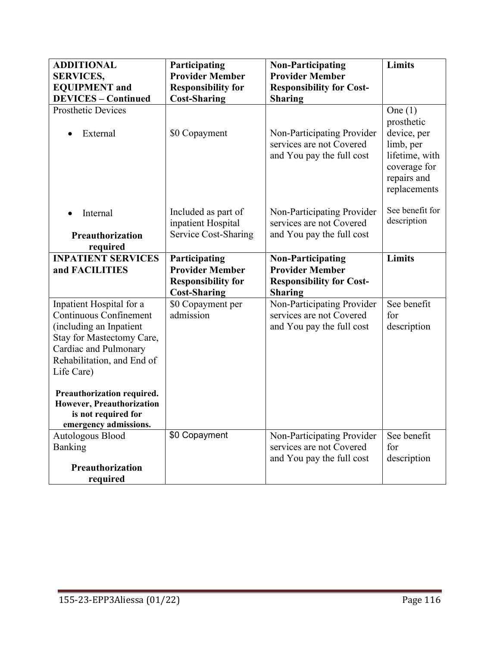| <b>ADDITIONAL</b><br><b>SERVICES,</b>                                                                                                                                                  | Participating<br><b>Provider Member</b>                                                     | <b>Non-Participating</b><br><b>Provider Member</b>                                                      | <b>Limits</b>                                                                                                        |
|----------------------------------------------------------------------------------------------------------------------------------------------------------------------------------------|---------------------------------------------------------------------------------------------|---------------------------------------------------------------------------------------------------------|----------------------------------------------------------------------------------------------------------------------|
| <b>EQUIPMENT</b> and<br><b>DEVICES - Continued</b>                                                                                                                                     | <b>Responsibility for</b><br><b>Cost-Sharing</b>                                            | <b>Responsibility for Cost-</b><br><b>Sharing</b>                                                       |                                                                                                                      |
| <b>Prosthetic Devices</b><br>External                                                                                                                                                  | \$0 Copayment                                                                               | Non-Participating Provider<br>services are not Covered<br>and You pay the full cost                     | One $(1)$<br>prosthetic<br>device, per<br>limb, per<br>lifetime, with<br>coverage for<br>repairs and<br>replacements |
| Internal<br>Preauthorization<br>required                                                                                                                                               | Included as part of<br>inpatient Hospital<br><b>Service Cost-Sharing</b>                    | Non-Participating Provider<br>services are not Covered<br>and You pay the full cost                     | See benefit for<br>description                                                                                       |
| <b>INPATIENT SERVICES</b><br>and FACILITIES                                                                                                                                            | Participating<br><b>Provider Member</b><br><b>Responsibility for</b><br><b>Cost-Sharing</b> | <b>Non-Participating</b><br><b>Provider Member</b><br><b>Responsibility for Cost-</b><br><b>Sharing</b> | <b>Limits</b>                                                                                                        |
| Inpatient Hospital for a<br><b>Continuous Confinement</b><br>(including an Inpatient<br>Stay for Mastectomy Care,<br>Cardiac and Pulmonary<br>Rehabilitation, and End of<br>Life Care) | \$0 Copayment per<br>admission                                                              | Non-Participating Provider<br>services are not Covered<br>and You pay the full cost                     | See benefit<br>for<br>description                                                                                    |
| Preauthorization required.<br>However, Preauthorization<br>is not required for<br>emergency admissions.                                                                                |                                                                                             |                                                                                                         |                                                                                                                      |
| Autologous Blood<br>Banking<br>Preauthorization<br>required                                                                                                                            | \$0 Copayment                                                                               | Non-Participating Provider<br>services are not Covered<br>and You pay the full cost                     | See benefit<br>for<br>description                                                                                    |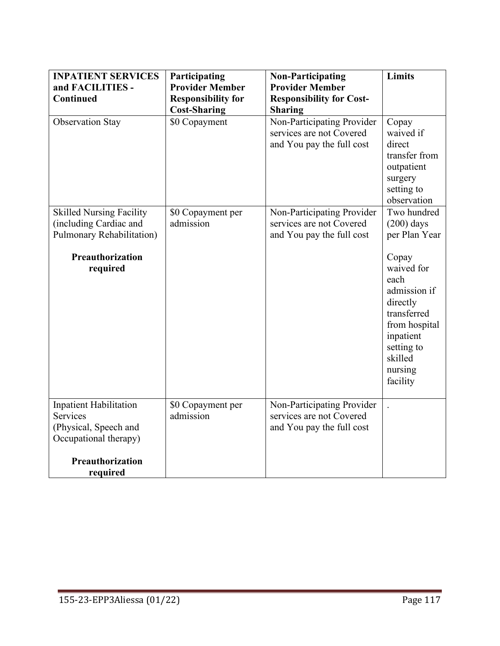| <b>INPATIENT SERVICES</b>                                                                                       | Participating                  | <b>Non-Participating</b>                                                            | <b>Limits</b>                                                                                                                                        |
|-----------------------------------------------------------------------------------------------------------------|--------------------------------|-------------------------------------------------------------------------------------|------------------------------------------------------------------------------------------------------------------------------------------------------|
| and FACILITIES -                                                                                                | <b>Provider Member</b>         | <b>Provider Member</b>                                                              |                                                                                                                                                      |
| <b>Continued</b>                                                                                                | <b>Responsibility for</b>      | <b>Responsibility for Cost-</b>                                                     |                                                                                                                                                      |
|                                                                                                                 | <b>Cost-Sharing</b>            | <b>Sharing</b>                                                                      |                                                                                                                                                      |
| <b>Observation Stay</b>                                                                                         | \$0 Copayment                  | Non-Participating Provider<br>services are not Covered<br>and You pay the full cost | Copay<br>waived if<br>direct<br>transfer from<br>outpatient<br>surgery<br>setting to<br>observation                                                  |
| <b>Skilled Nursing Facility</b><br>(including Cardiac and<br>Pulmonary Rehabilitation)                          | \$0 Copayment per<br>admission | Non-Participating Provider<br>services are not Covered<br>and You pay the full cost | Two hundred<br>$(200)$ days<br>per Plan Year                                                                                                         |
| Preauthorization<br>required                                                                                    |                                |                                                                                     | Copay<br>waived for<br>each<br>admission if<br>directly<br>transferred<br>from hospital<br>inpatient<br>setting to<br>skilled<br>nursing<br>facility |
| <b>Inpatient Habilitation</b><br>Services<br>(Physical, Speech and<br>Occupational therapy)<br>Preauthorization | \$0 Copayment per<br>admission | Non-Participating Provider<br>services are not Covered<br>and You pay the full cost |                                                                                                                                                      |
| required                                                                                                        |                                |                                                                                     |                                                                                                                                                      |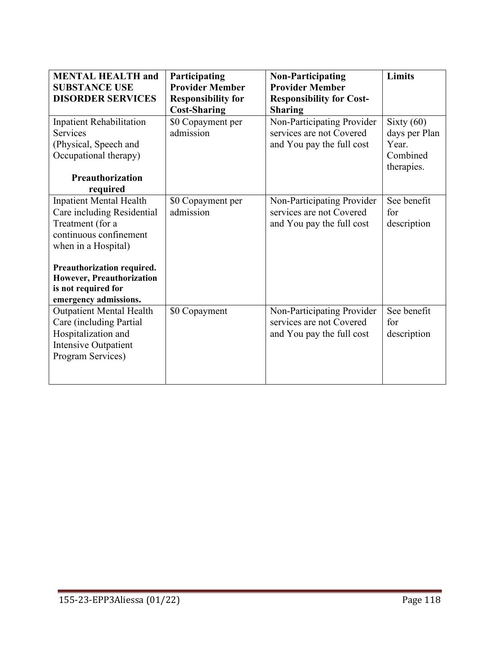| <b>MENTAL HEALTH and</b><br><b>SUBSTANCE USE</b><br><b>DISORDER SERVICES</b>                                                                                                                                                                 | Participating<br><b>Provider Member</b><br><b>Responsibility for</b><br><b>Cost-Sharing</b> | <b>Non-Participating</b><br><b>Provider Member</b><br><b>Responsibility for Cost-</b><br><b>Sharing</b> | Limits                                                           |
|----------------------------------------------------------------------------------------------------------------------------------------------------------------------------------------------------------------------------------------------|---------------------------------------------------------------------------------------------|---------------------------------------------------------------------------------------------------------|------------------------------------------------------------------|
| <b>Inpatient Rehabilitation</b><br><b>Services</b><br>(Physical, Speech and<br>Occupational therapy)<br><b>Preauthorization</b><br>required                                                                                                  | \$0 Copayment per<br>admission                                                              | Non-Participating Provider<br>services are not Covered<br>and You pay the full cost                     | Sixty $(60)$<br>days per Plan<br>Year.<br>Combined<br>therapies. |
| <b>Inpatient Mental Health</b><br>Care including Residential<br>Treatment (for a<br>continuous confinement<br>when in a Hospital)<br>Preauthorization required.<br>However, Preauthorization<br>is not required for<br>emergency admissions. | \$0 Copayment per<br>admission                                                              | Non-Participating Provider<br>services are not Covered<br>and You pay the full cost                     | See benefit<br>for<br>description                                |
| <b>Outpatient Mental Health</b><br>Care (including Partial<br>Hospitalization and<br>Intensive Outpatient<br>Program Services)                                                                                                               | \$0 Copayment                                                                               | Non-Participating Provider<br>services are not Covered<br>and You pay the full cost                     | See benefit<br>for<br>description                                |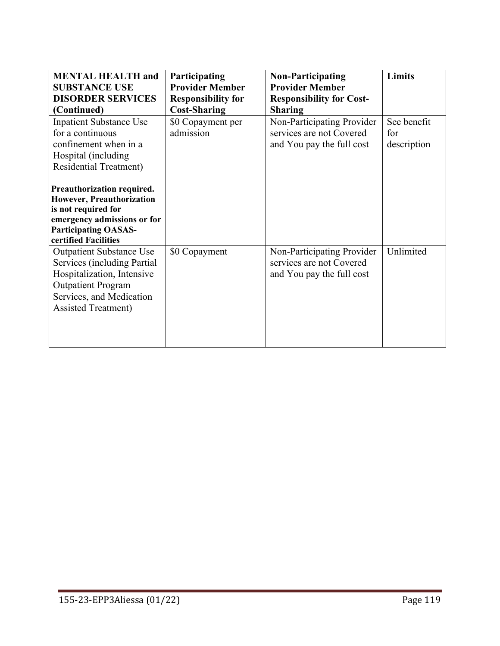| <b>MENTAL HEALTH and</b><br><b>SUBSTANCE USE</b><br><b>DISORDER SERVICES</b><br>(Continued)                                                                                                                                                                                                                        | Participating<br><b>Provider Member</b><br><b>Responsibility for</b><br><b>Cost-Sharing</b> | <b>Non-Participating</b><br><b>Provider Member</b><br><b>Responsibility for Cost-</b><br><b>Sharing</b> | <b>Limits</b>                     |
|--------------------------------------------------------------------------------------------------------------------------------------------------------------------------------------------------------------------------------------------------------------------------------------------------------------------|---------------------------------------------------------------------------------------------|---------------------------------------------------------------------------------------------------------|-----------------------------------|
| <b>Inpatient Substance Use</b><br>for a continuous<br>confinement when in a<br>Hospital (including<br><b>Residential Treatment)</b><br>Preauthorization required.<br><b>However, Preauthorization</b><br>is not required for<br>emergency admissions or for<br><b>Participating OASAS-</b><br>certified Facilities | \$0 Copayment per<br>admission                                                              | Non-Participating Provider<br>services are not Covered<br>and You pay the full cost                     | See benefit<br>for<br>description |
| <b>Outpatient Substance Use</b><br>Services (including Partial<br>Hospitalization, Intensive<br><b>Outpatient Program</b><br>Services, and Medication<br><b>Assisted Treatment)</b>                                                                                                                                | \$0 Copayment                                                                               | Non-Participating Provider<br>services are not Covered<br>and You pay the full cost                     | Unlimited                         |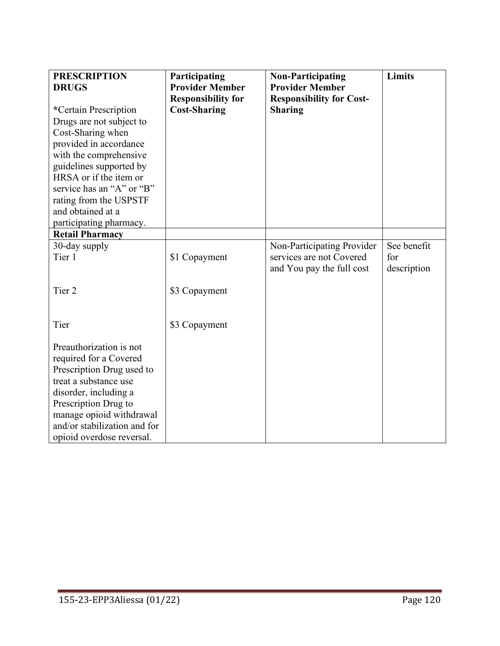| <b>PRESCRIPTION</b><br><b>DRUGS</b><br>*Certain Prescription<br>Drugs are not subject to<br>Cost-Sharing when<br>provided in accordance<br>with the comprehensive<br>guidelines supported by<br>HRSA or if the item or<br>service has an "A" or "B"<br>rating from the USPSTF<br>and obtained at a<br>participating pharmacy.<br><b>Retail Pharmacy</b> | Participating<br><b>Provider Member</b><br><b>Responsibility for</b><br><b>Cost-Sharing</b> | <b>Non-Participating</b><br><b>Provider Member</b><br><b>Responsibility for Cost-</b><br><b>Sharing</b> | <b>Limits</b>      |
|---------------------------------------------------------------------------------------------------------------------------------------------------------------------------------------------------------------------------------------------------------------------------------------------------------------------------------------------------------|---------------------------------------------------------------------------------------------|---------------------------------------------------------------------------------------------------------|--------------------|
|                                                                                                                                                                                                                                                                                                                                                         |                                                                                             |                                                                                                         | See benefit        |
| 30-day supply<br>Tier 1                                                                                                                                                                                                                                                                                                                                 | \$1 Copayment                                                                               | Non-Participating Provider<br>services are not Covered<br>and You pay the full cost                     | for<br>description |
| Tier <sub>2</sub>                                                                                                                                                                                                                                                                                                                                       | \$3 Copayment                                                                               |                                                                                                         |                    |
| Tier                                                                                                                                                                                                                                                                                                                                                    | \$3 Copayment                                                                               |                                                                                                         |                    |
| Preauthorization is not<br>required for a Covered<br>Prescription Drug used to<br>treat a substance use<br>disorder, including a<br>Prescription Drug to<br>manage opioid withdrawal<br>and/or stabilization and for<br>opioid overdose reversal.                                                                                                       |                                                                                             |                                                                                                         |                    |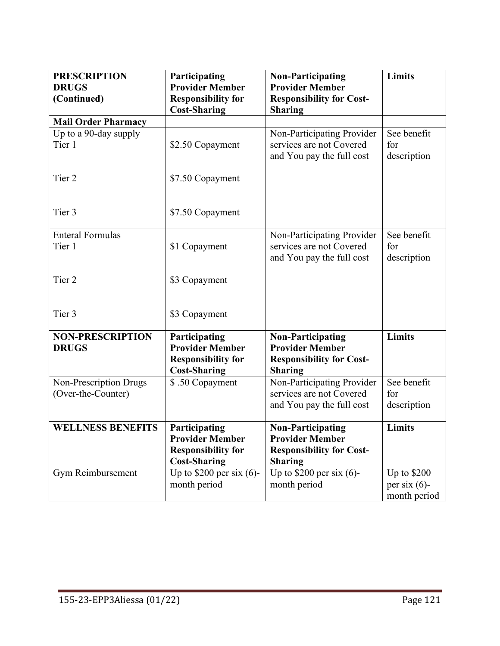| <b>PRESCRIPTION</b><br><b>DRUGS</b>     | Participating<br><b>Provider Member</b>                                                     | <b>Non-Participating</b><br><b>Provider Member</b>                                                      | Limits                            |
|-----------------------------------------|---------------------------------------------------------------------------------------------|---------------------------------------------------------------------------------------------------------|-----------------------------------|
| (Continued)                             | <b>Responsibility for</b><br><b>Cost-Sharing</b>                                            | <b>Responsibility for Cost-</b><br><b>Sharing</b>                                                       |                                   |
| <b>Mail Order Pharmacy</b>              |                                                                                             |                                                                                                         |                                   |
| Up to a 90-day supply<br>Tier 1         | \$2.50 Copayment                                                                            | Non-Participating Provider<br>services are not Covered<br>and You pay the full cost                     | See benefit<br>for<br>description |
| Tier 2                                  | \$7.50 Copayment                                                                            |                                                                                                         |                                   |
| Tier 3                                  | \$7.50 Copayment                                                                            |                                                                                                         |                                   |
| <b>Enteral Formulas</b>                 |                                                                                             | Non-Participating Provider                                                                              | See benefit                       |
| Tier 1                                  | \$1 Copayment                                                                               | services are not Covered<br>and You pay the full cost                                                   | for<br>description                |
| Tier 2                                  | \$3 Copayment                                                                               |                                                                                                         |                                   |
| Tier 3                                  | \$3 Copayment                                                                               |                                                                                                         |                                   |
| <b>NON-PRESCRIPTION</b><br><b>DRUGS</b> | Participating<br><b>Provider Member</b><br><b>Responsibility for</b><br><b>Cost-Sharing</b> | <b>Non-Participating</b><br><b>Provider Member</b><br><b>Responsibility for Cost-</b><br><b>Sharing</b> | <b>Limits</b>                     |
| Non-Prescription Drugs                  | \$.50 Copayment                                                                             | Non-Participating Provider                                                                              | See benefit                       |
| (Over-the-Counter)                      |                                                                                             | services are not Covered                                                                                | for                               |
|                                         |                                                                                             | and You pay the full cost                                                                               | description                       |
| <b>WELLNESS BENEFITS</b>                | Participating<br><b>Provider Member</b><br><b>Responsibility for</b><br><b>Cost-Sharing</b> | <b>Non-Participating</b><br><b>Provider Member</b><br><b>Responsibility for Cost-</b><br><b>Sharing</b> | Limits                            |
| Gym Reimbursement                       | Up to $$200$ per six (6)-                                                                   | Up to $$200$ per six (6)-                                                                               | Up to \$200                       |
|                                         | month period                                                                                | month period                                                                                            | per six $(6)$ -                   |
|                                         |                                                                                             |                                                                                                         | month period                      |